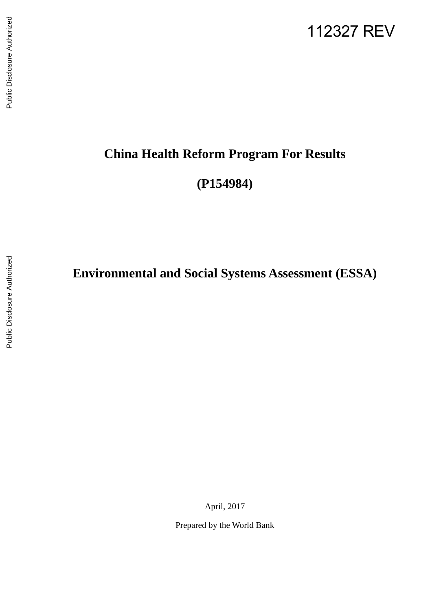### 112327 REV

# Public Disclosure Authorized Public Disclosure Authorized

## **China Health Reform Program For Results**

**(P154984)** 

**Environmental and Social Systems Assessment (ESSA)**

April, 2017

Prepared by the World Bank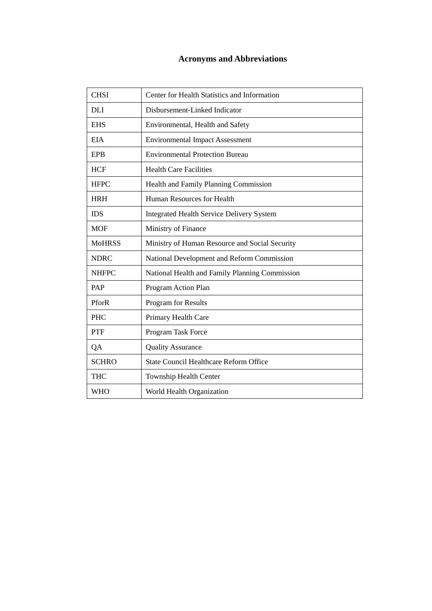#### **Acronyms and Abbreviations**

| <b>CHSI</b>   | Center for Health Statistics and Information     |
|---------------|--------------------------------------------------|
| <b>DLI</b>    | Disbursement-Linked Indicator                    |
| <b>EHS</b>    | Environmental, Health and Safety                 |
| <b>EIA</b>    | <b>Environmental Impact Assessment</b>           |
| <b>EPB</b>    | <b>Environmental Protection Bureau</b>           |
| <b>HCF</b>    | <b>Health Care Facilities</b>                    |
| <b>HFPC</b>   | Health and Family Planning Commission            |
| <b>HRH</b>    | Human Resources for Health                       |
| <b>IDS</b>    | <b>Integrated Health Service Delivery System</b> |
| <b>MOF</b>    | Ministry of Finance                              |
| <b>MoHRSS</b> | Ministry of Human Resource and Social Security   |
| <b>NDRC</b>   | National Development and Reform Commission       |
| <b>NHFPC</b>  | National Health and Family Planning Commission   |
| PAP           | Program Action Plan                              |
| PforR         | Program for Results                              |
| <b>PHC</b>    | Primary Health Care                              |
| <b>PTF</b>    | Program Task Force                               |
| QA            | <b>Quality Assurance</b>                         |
| <b>SCHRO</b>  | <b>State Council Healthcare Reform Office</b>    |
| <b>THC</b>    | Township Health Center                           |
| <b>WHO</b>    | World Health Organization                        |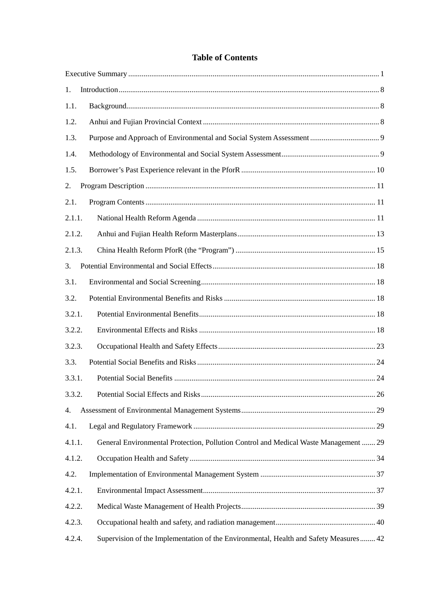#### **Table of Contents**

| 1.     |                                                                                       |
|--------|---------------------------------------------------------------------------------------|
| 1.1.   |                                                                                       |
| 1.2.   |                                                                                       |
| 1.3.   |                                                                                       |
| 1.4.   |                                                                                       |
| 1.5.   |                                                                                       |
| 2.     |                                                                                       |
| 2.1.   |                                                                                       |
| 2.1.1. |                                                                                       |
| 2.1.2. |                                                                                       |
| 2.1.3. |                                                                                       |
| 3.     |                                                                                       |
| 3.1.   |                                                                                       |
| 3.2.   |                                                                                       |
| 3.2.1. |                                                                                       |
| 3.2.2. |                                                                                       |
| 3.2.3. |                                                                                       |
| 3.3.   |                                                                                       |
| 3.3.1. |                                                                                       |
| 3.3.2. | . 26                                                                                  |
| 4.     |                                                                                       |
| 4.1.   |                                                                                       |
| 4.1.1. | General Environmental Protection, Pollution Control and Medical Waste Management  29  |
| 4.1.2. |                                                                                       |
| 4.2.   |                                                                                       |
| 4.2.1. |                                                                                       |
| 4.2.2. |                                                                                       |
| 4.2.3. |                                                                                       |
| 4.2.4. | Supervision of the Implementation of the Environmental, Health and Safety Measures 42 |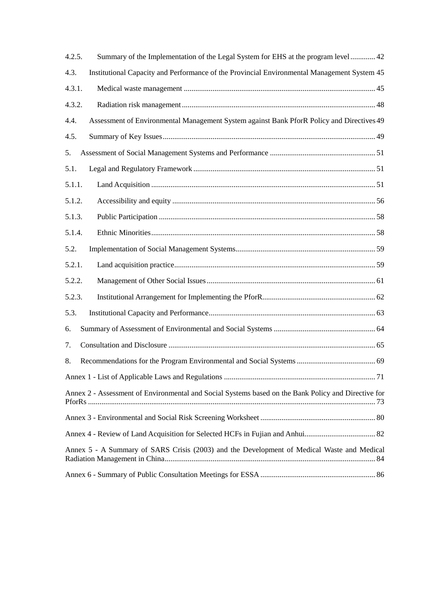<span id="page-3-0"></span>

| 4.2.5. | Summary of the Implementation of the Legal System for EHS at the program level  42                  |  |
|--------|-----------------------------------------------------------------------------------------------------|--|
| 4.3.   | Institutional Capacity and Performance of the Provincial Environmental Management System 45         |  |
| 4.3.1. |                                                                                                     |  |
| 4.3.2. |                                                                                                     |  |
| 4.4.   | Assessment of Environmental Management System against Bank PforR Policy and Directives 49           |  |
| 4.5.   |                                                                                                     |  |
| 5.     |                                                                                                     |  |
| 5.1.   |                                                                                                     |  |
| 5.1.1. |                                                                                                     |  |
| 5.1.2. |                                                                                                     |  |
| 5.1.3. |                                                                                                     |  |
| 5.1.4. |                                                                                                     |  |
| 5.2.   |                                                                                                     |  |
| 5.2.1. |                                                                                                     |  |
| 5.2.2. |                                                                                                     |  |
| 5.2.3. |                                                                                                     |  |
| 5.3.   |                                                                                                     |  |
| 6.     |                                                                                                     |  |
| 7.     |                                                                                                     |  |
| 8.     |                                                                                                     |  |
|        |                                                                                                     |  |
|        | Annex 2 - Assessment of Environmental and Social Systems based on the Bank Policy and Directive for |  |
|        |                                                                                                     |  |
|        |                                                                                                     |  |
|        | Annex 5 - A Summary of SARS Crisis (2003) and the Development of Medical Waste and Medical          |  |
|        |                                                                                                     |  |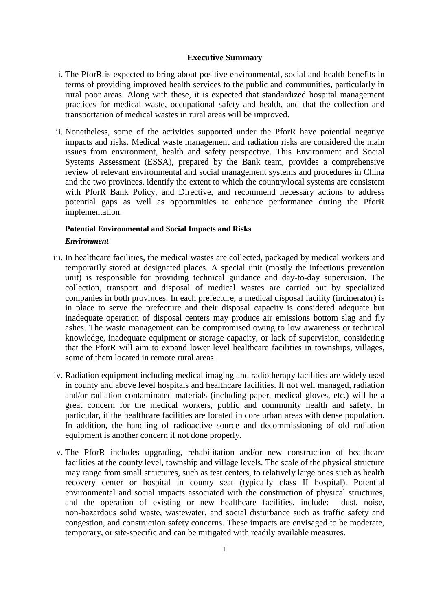#### **Executive Summary**

- i. The PforR is expected to bring about positive environmental, social and health benefits in terms of providing improved health services to the public and communities, particularly in rural poor areas. Along with these, it is expected that standardized hospital management practices for medical waste, occupational safety and health, and that the collection and transportation of medical wastes in rural areas will be improved.
- ii. Nonetheless, some of the activities supported under the PforR have potential negative impacts and risks. Medical waste management and radiation risks are considered the main issues from environment, health and safety perspective. This Environment and Social Systems Assessment (ESSA), prepared by the Bank team, provides a comprehensive review of relevant environmental and social management systems and procedures in China and the two provinces, identify the extent to which the country/local systems are consistent with PforR Bank Policy, and Directive, and recommend necessary actions to address potential gaps as well as opportunities to enhance performance during the PforR implementation.

#### **Potential Environmental and Social Impacts and Risks**

#### *Environment*

- iii. In healthcare facilities, the medical wastes are collected, packaged by medical workers and temporarily stored at designated places. A special unit (mostly the infectious prevention unit) is responsible for providing technical guidance and day-to-day supervision. The collection, transport and disposal of medical wastes are carried out by specialized companies in both provinces. In each prefecture, a medical disposal facility (incinerator) is in place to serve the prefecture and their disposal capacity is considered adequate but inadequate operation of disposal centers may produce air emissions bottom slag and fly ashes. The waste management can be compromised owing to low awareness or technical knowledge, inadequate equipment or storage capacity, or lack of supervision, considering that the PforR will aim to expand lower level healthcare facilities in townships, villages, some of them located in remote rural areas.
- iv. Radiation equipment including medical imaging and radiotherapy facilities are widely used in county and above level hospitals and healthcare facilities. If not well managed, radiation and/or radiation contaminated materials (including paper, medical gloves, etc.) will be a great concern for the medical workers, public and community health and safety. In particular, if the healthcare facilities are located in core urban areas with dense population. In addition, the handling of radioactive source and decommissioning of old radiation equipment is another concern if not done properly.
- v. The PforR includes upgrading, rehabilitation and/or new construction of healthcare facilities at the county level, township and village levels. The scale of the physical structure may range from small structures, such as test centers, to relatively large ones such as health recovery center or hospital in county seat (typically class II hospital). Potential environmental and social impacts associated with the construction of physical structures, and the operation of existing or new healthcare facilities, include: dust, noise, non-hazardous solid waste, wastewater, and social disturbance such as traffic safety and congestion, and construction safety concerns. These impacts are envisaged to be moderate, temporary, or site-specific and can be mitigated with readily available measures.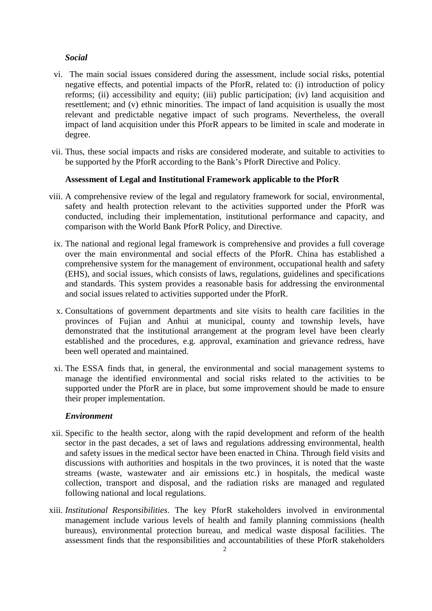#### *Social*

- vi. The main social issues considered during the assessment, include social risks, potential negative effects, and potential impacts of the PforR, related to: (i) introduction of policy reforms; (ii) accessibility and equity; (iii) public participation; (iv) land acquisition and resettlement; and (v) ethnic minorities. The impact of land acquisition is usually the most relevant and predictable negative impact of such programs. Nevertheless, the overall impact of land acquisition under this PforR appears to be limited in scale and moderate in degree.
- vii. Thus, these social impacts and risks are considered moderate, and suitable to activities to be supported by the PforR according to the Bank's PforR Directive and Policy.

#### **Assessment of Legal and Institutional Framework applicable to the PforR**

- viii. A comprehensive review of the legal and regulatory framework for social, environmental, safety and health protection relevant to the activities supported under the PforR was conducted, including their implementation, institutional performance and capacity, and comparison with the World Bank PforR Policy, and Directive.
	- ix. The national and regional legal framework is comprehensive and provides a full coverage over the main environmental and social effects of the PforR. China has established a comprehensive system for the management of environment, occupational health and safety (EHS), and social issues, which consists of laws, regulations, guidelines and specifications and standards. This system provides a reasonable basis for addressing the environmental and social issues related to activities supported under the PforR.
	- x. Consultations of government departments and site visits to health care facilities in the provinces of Fujian and Anhui at municipal, county and township levels, have demonstrated that the institutional arrangement at the program level have been clearly established and the procedures, e.g. approval, examination and grievance redress, have been well operated and maintained.
	- xi. The ESSA finds that, in general, the environmental and social management systems to manage the identified environmental and social risks related to the activities to be supported under the PforR are in place, but some improvement should be made to ensure their proper implementation.

#### *Environment*

- xii. Specific to the health sector, along with the rapid development and reform of the health sector in the past decades, a set of laws and regulations addressing environmental, health and safety issues in the medical sector have been enacted in China. Through field visits and discussions with authorities and hospitals in the two provinces, it is noted that the waste streams (waste, wastewater and air emissions etc.) in hospitals, the medical waste collection, transport and disposal, and the radiation risks are managed and regulated following national and local regulations.
- xiii. *Institutional Responsibilities*. The key PforR stakeholders involved in environmental management include various levels of health and family planning commissions (health bureaus), environmental protection bureau, and medical waste disposal facilities. The assessment finds that the responsibilities and accountabilities of these PforR stakeholders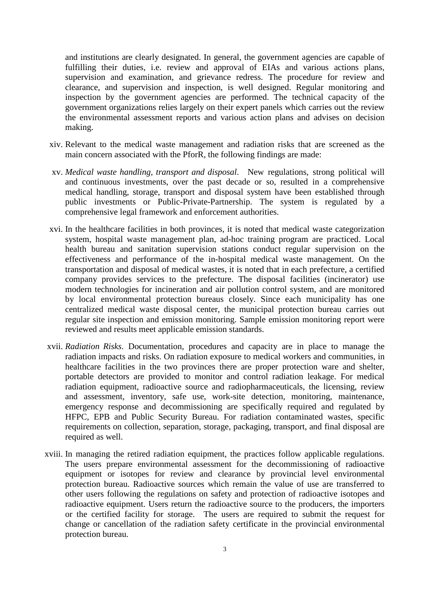and institutions are clearly designated. In general, the government agencies are capable of fulfilling their duties, i.e. review and approval of EIAs and various actions plans, supervision and examination, and grievance redress. The procedure for review and clearance, and supervision and inspection, is well designed. Regular monitoring and inspection by the government agencies are performed. The technical capacity of the government organizations relies largely on their expert panels which carries out the review the environmental assessment reports and various action plans and advises on decision making.

- xiv. Relevant to the medical waste management and radiation risks that are screened as the main concern associated with the PforR, the following findings are made:
- xv. *Medical waste handling, transport and disposal*. New regulations, strong political will and continuous investments, over the past decade or so, resulted in a comprehensive medical handling, storage, transport and disposal system have been established through public investments or Public-Private-Partnership. The system is regulated by a comprehensive legal framework and enforcement authorities.
- xvi. In the healthcare facilities in both provinces, it is noted that medical waste categorization system, hospital waste management plan, ad-hoc training program are practiced. Local health bureau and sanitation supervision stations conduct regular supervision on the effectiveness and performance of the in-hospital medical waste management. On the transportation and disposal of medical wastes, it is noted that in each prefecture, a certified company provides services to the prefecture. The disposal facilities (incinerator) use modern technologies for incineration and air pollution control system, and are monitored by local environmental protection bureaus closely. Since each municipality has one centralized medical waste disposal center, the municipal protection bureau carries out regular site inspection and emission monitoring. Sample emission monitoring report were reviewed and results meet applicable emission standards.
- xvii. *Radiation Risks*. Documentation, procedures and capacity are in place to manage the radiation impacts and risks. On radiation exposure to medical workers and communities, in healthcare facilities in the two provinces there are proper protection ware and shelter, portable detectors are provided to monitor and control radiation leakage. For medical radiation equipment, radioactive source and radiopharmaceuticals, the licensing, review and assessment, inventory, safe use, work-site detection, monitoring, maintenance, emergency response and decommissioning are specifically required and regulated by HFPC, EPB and Public Security Bureau. For radiation contaminated wastes, specific requirements on collection, separation, storage, packaging, transport, and final disposal are required as well.
- xviii. In managing the retired radiation equipment, the practices follow applicable regulations. The users prepare environmental assessment for the decommissioning of radioactive equipment or isotopes for review and clearance by provincial level environmental protection bureau. Radioactive sources which remain the value of use are transferred to other users following the regulations on safety and protection of radioactive isotopes and radioactive equipment. Users return the radioactive source to the producers, the importers or the certified facility for storage. The users are required to submit the request for change or cancellation of the radiation safety certificate in the provincial environmental protection bureau.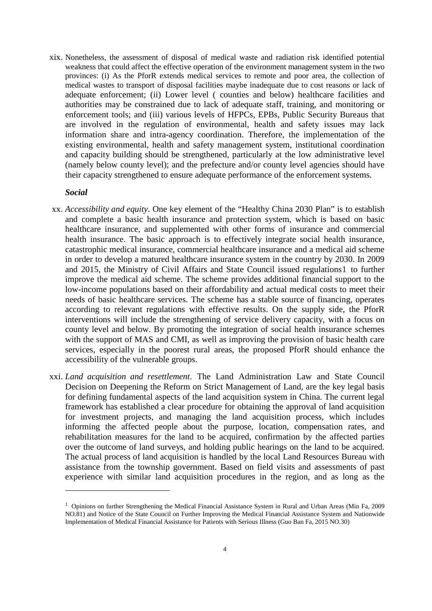xix. Nonetheless, the assessment of disposal of medical waste and radiation risk identified potential weakness that could affect the effective operation of the environment management system in the two provinces: (i) As the PforR extends medical services to remote and poor area, the collection of medical wastes to transport of disposal facilities maybe inadequate due to cost reasons or lack of adequate enforcement; (ii) Lower level ( counties and below) healthcare facilities and authorities may be constrained due to lack of adequate staff, training, and monitoring or enforcement tools; and (iii) various levels of HFPCs, EPBs, Public Security Bureaus that are involved in the regulation of environmental, health and safety issues may lack information share and intra-agency coordination. Therefore, the implementation of the existing environmental, health and safety management system, institutional coordination and capacity building should be strengthened, particularly at the low administrative level (namely below county level); and the prefecture and/or county level agencies should have their capacity strengthened to ensure adequate performance of the enforcement systems.

#### *Social*

 $\overline{a}$ 

- xx. *Accessibility and equity*. One key element of the "Healthy China 2030 Plan" is to establish and complete a basic health insurance and protection system, which is based on basic healthcare insurance, and supplemented with other forms of insurance and commercial health insurance. The basic approach is to effectively integrate social health insurance, catastrophic medical insurance, commercial healthcare insurance and a medical aid scheme in order to develop a matured healthcare insurance system in the country by 2030. In 2009 and 2015, the Ministry of Civil Affairs and State Council issued regulations[1](#page-7-0) to further improve the medical aid scheme. The scheme provides additional financial support to the low-income populations based on their affordability and actual medical costs to meet their needs of basic healthcare services. The scheme has a stable source of financing, operates according to relevant regulations with effective results. On the supply side, the PforR interventions will include the strengthening of service delivery capacity, with a focus on county level and below. By promoting the integration of social health insurance schemes with the support of MAS and CMI, as well as improving the provision of basic health care services, especially in the poorest rural areas, the proposed PforR should enhance the accessibility of the vulnerable groups.
- xxi. *Land acquisition and resettlement*. The Land Administration Law and State Council Decision on Deepening the Reform on Strict Management of Land, are the key legal basis for defining fundamental aspects of the land acquisition system in China. The current legal framework has established a clear procedure for obtaining the approval of land acquisition for investment projects, and managing the land acquisition process, which includes informing the affected people about the purpose, location, compensation rates, and rehabilitation measures for the land to be acquired, confirmation by the affected parties over the outcome of land surveys, and holding public hearings on the land to be acquired. The actual process of land acquisition is handled by the local Land Resources Bureau with assistance from the township government. Based on field visits and assessments of past experience with similar land acquisition procedures in the region, and as long as the

<span id="page-7-0"></span><sup>&</sup>lt;sup>1</sup> Opinions on further Strengthening the Medical Financial Assistance System in Rural and Urban Areas (Min Fa, 2009 NO.81) and Notice of the State Council on Further Improving the Medical Financial Assistance System and Nationwide Implementation of Medical Financial Assistance for Patients with Serious Illness (Guo Ban Fa, 2015 NO.30)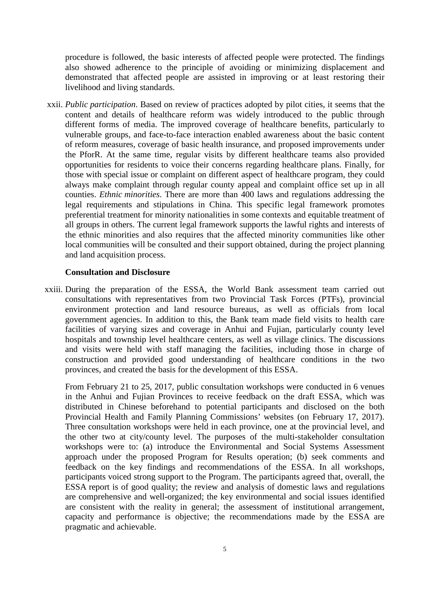procedure is followed, the basic interests of affected people were protected. The findings also showed adherence to the principle of avoiding or minimizing displacement and demonstrated that affected people are assisted in improving or at least restoring their livelihood and living standards.

xxii. *Public participation*. Based on review of practices adopted by pilot cities, it seems that the content and details of healthcare reform was widely introduced to the public through different forms of media. The improved coverage of healthcare benefits, particularly to vulnerable groups, and face-to-face interaction enabled awareness about the basic content of reform measures, coverage of basic health insurance, and proposed improvements under the PforR. At the same time, regular visits by different healthcare teams also provided opportunities for residents to voice their concerns regarding healthcare plans. Finally, for those with special issue or complaint on different aspect of healthcare program, they could always make complaint through regular county appeal and complaint office set up in all counties. *Ethnic minorities*. There are more than 400 laws and regulations addressing the legal requirements and stipulations in China. This specific legal framework promotes preferential treatment for minority nationalities in some contexts and equitable treatment of all groups in others. The current legal framework supports the lawful rights and interests of the ethnic minorities and also requires that the affected minority communities like other local communities will be consulted and their support obtained, during the project planning and land acquisition process.

#### **Consultation and Disclosure**

xxiii. During the preparation of the ESSA, the World Bank assessment team carried out consultations with representatives from two Provincial Task Forces (PTFs), provincial environment protection and land resource bureaus, as well as officials from local government agencies. In addition to this, the Bank team made field visits to health care facilities of varying sizes and coverage in Anhui and Fujian, particularly county level hospitals and township level healthcare centers, as well as village clinics. The discussions and visits were held with staff managing the facilities, including those in charge of construction and provided good understanding of healthcare conditions in the two provinces, and created the basis for the development of this ESSA.

From February 21 to 25, 2017, public consultation workshops were conducted in 6 venues in the Anhui and Fujian Provinces to receive feedback on the draft ESSA, which was distributed in Chinese beforehand to potential participants and disclosed on the both Provincial Health and Family Planning Commissions' websites (on February 17, 2017). Three consultation workshops were held in each province, one at the provincial level, and the other two at city/county level. The purposes of the multi-stakeholder consultation workshops were to: (a) introduce the Environmental and Social Systems Assessment approach under the proposed Program for Results operation; (b) seek comments and feedback on the key findings and recommendations of the ESSA. In all workshops, participants voiced strong support to the Program. The participants agreed that, overall, the ESSA report is of good quality; the review and analysis of domestic laws and regulations are comprehensive and well-organized; the key environmental and social issues identified are consistent with the reality in general; the assessment of institutional arrangement, capacity and performance is objective; the recommendations made by the ESSA are pragmatic and achievable.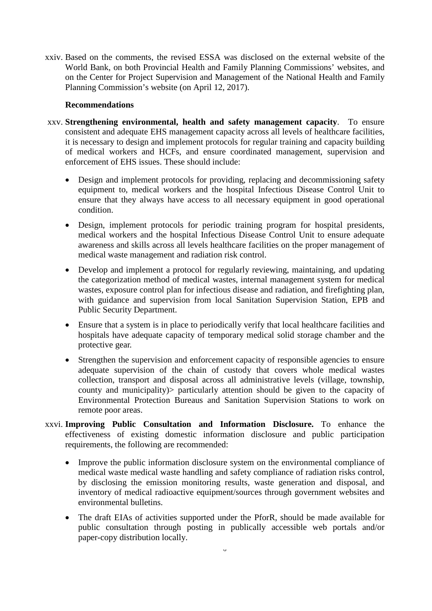xxiv. Based on the comments, the revised ESSA was disclosed on the external website of the World Bank, on both Provincial Health and Family Planning Commissions' websites, and on the Center for Project Supervision and Management of the National Health and Family Planning Commission's website (on April 12, 2017).

#### **Recommendations**

- xxv. **Strengthening environmental, health and safety management capacity**. To ensure consistent and adequate EHS management capacity across all levels of healthcare facilities, it is necessary to design and implement protocols for regular training and capacity building of medical workers and HCFs, and ensure coordinated management, supervision and enforcement of EHS issues. These should include:
	- Design and implement protocols for providing, replacing and decommissioning safety equipment to, medical workers and the hospital Infectious Disease Control Unit to ensure that they always have access to all necessary equipment in good operational condition.
	- Design, implement protocols for periodic training program for hospital presidents, medical workers and the hospital Infectious Disease Control Unit to ensure adequate awareness and skills across all levels healthcare facilities on the proper management of medical waste management and radiation risk control.
	- Develop and implement a protocol for regularly reviewing, maintaining, and updating the categorization method of medical wastes, internal management system for medical wastes, exposure control plan for infectious disease and radiation, and firefighting plan, with guidance and supervision from local Sanitation Supervision Station, EPB and Public Security Department.
	- Ensure that a system is in place to periodically verify that local healthcare facilities and hospitals have adequate capacity of temporary medical solid storage chamber and the protective gear.
	- Strengthen the supervision and enforcement capacity of responsible agencies to ensure adequate supervision of the chain of custody that covers whole medical wastes collection, transport and disposal across all administrative levels (village, township, county and municipality)> particularly attention should be given to the capacity of Environmental Protection Bureaus and Sanitation Supervision Stations to work on remote poor areas.
- xxvi. **Improving Public Consultation and Information Disclosure.** To enhance the effectiveness of existing domestic information disclosure and public participation requirements, the following are recommended:
	- Improve the public information disclosure system on the environmental compliance of medical waste medical waste handling and safety compliance of radiation risks control, by disclosing the emission monitoring results, waste generation and disposal, and inventory of medical radioactive equipment/sources through government websites and environmental bulletins.
	- The draft EIAs of activities supported under the PforR, should be made available for public consultation through posting in publically accessible web portals and/or paper-copy distribution locally.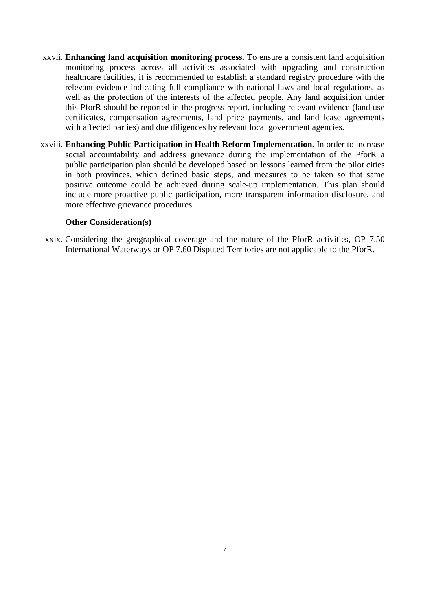- xxvii. **Enhancing land acquisition monitoring process.** To ensure a consistent land acquisition monitoring process across all activities associated with upgrading and construction healthcare facilities, it is recommended to establish a standard registry procedure with the relevant evidence indicating full compliance with national laws and local regulations, as well as the protection of the interests of the affected people. Any land acquisition under this PforR should be reported in the progress report, including relevant evidence (land use certificates, compensation agreements, land price payments, and land lease agreements with affected parties) and due diligences by relevant local government agencies.
- xxviii. **Enhancing Public Participation in Health Reform Implementation.** In order to increase social accountability and address grievance during the implementation of the PforR a public participation plan should be developed based on lessons learned from the pilot cities in both provinces, which defined basic steps, and measures to be taken so that same positive outcome could be achieved during scale-up implementation. This plan should include more proactive public participation, more transparent information disclosure, and more effective grievance procedures.

#### **Other Consideration(s)**

xxix. Considering the geographical coverage and the nature of the PforR activities, OP 7.50 International Waterways or OP 7.60 Disputed Territories are not applicable to the PforR.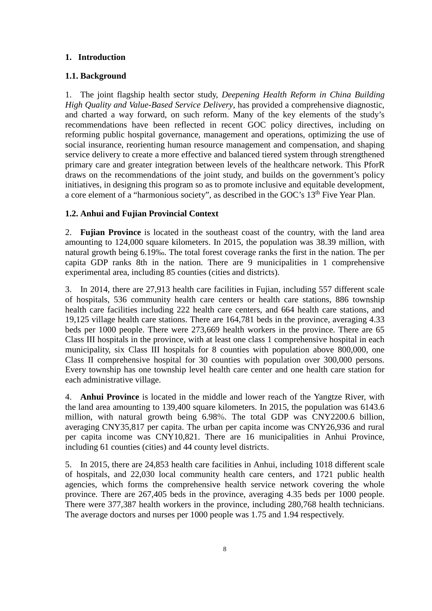#### <span id="page-11-0"></span>**1. Introduction**

#### <span id="page-11-1"></span>**1.1. Background**

1. The joint flagship health sector study, *Deepening Health Reform in China Building High Quality and Value-Based Service Delivery*, has provided a comprehensive diagnostic, and charted a way forward, on such reform. Many of the key elements of the study's recommendations have been reflected in recent GOC policy directives, including on reforming public hospital governance, management and operations, optimizing the use of social insurance, reorienting human resource management and compensation, and shaping service delivery to create a more effective and balanced tiered system through strengthened primary care and greater integration between levels of the healthcare network. This PforR draws on the recommendations of the joint study, and builds on the government's policy initiatives, in designing this program so as to promote inclusive and equitable development, a core element of a "harmonious society", as described in the GOC's 13<sup>th</sup> Five Year Plan.

#### <span id="page-11-2"></span>**1.2. Anhui and Fujian Provincial Context**

2. **Fujian Province** is located in the southeast coast of the country, with the land area amounting to 124,000 square kilometers. In 2015, the population was 38.39 million, with natural growth being 6.19‰. The total forest coverage ranks the first in the nation. The per capita GDP ranks 8th in the nation. There are 9 municipalities in 1 comprehensive experimental area, including 85 counties (cities and districts).

3. In 2014, there are 27,913 health care facilities in Fujian, including 557 different scale of hospitals, 536 community health care centers or health care stations, 886 township health care facilities including 222 health care centers, and 664 health care stations, and 19,125 village health care stations. There are 164,781 beds in the province, averaging 4.33 beds per 1000 people. There were 273,669 health workers in the province. There are 65 Class III hospitals in the province, with at least one class 1 comprehensive hospital in each municipality, six Class III hospitals for 8 counties with population above 800,000, one Class II comprehensive hospital for 30 counties with population over 300,000 persons. Every township has one township level health care center and one health care station for each administrative village.

4. **Anhui Province** is located in the middle and lower reach of the Yangtze River, with the land area amounting to 139,400 square kilometers. In 2015, the population was 6143.6 million, with natural growth being 6.98%. The total GDP was CNY2200.6 billion, averaging CNY35,817 per capita. The urban per capita income was CNY26,936 and rural per capita income was CNY10,821. There are 16 municipalities in Anhui Province, including 61 counties (cities) and 44 county level districts.

5. In 2015, there are 24,853 health care facilities in Anhui, including 1018 different scale of hospitals, and 22,030 local community health care centers, and 1721 public health agencies, which forms the comprehensive health service network covering the whole province. There are 267,405 beds in the province, averaging 4.35 beds per 1000 people. There were 377,387 health workers in the province, including 280,768 health technicians. The average doctors and nurses per 1000 people was 1.75 and 1.94 respectively.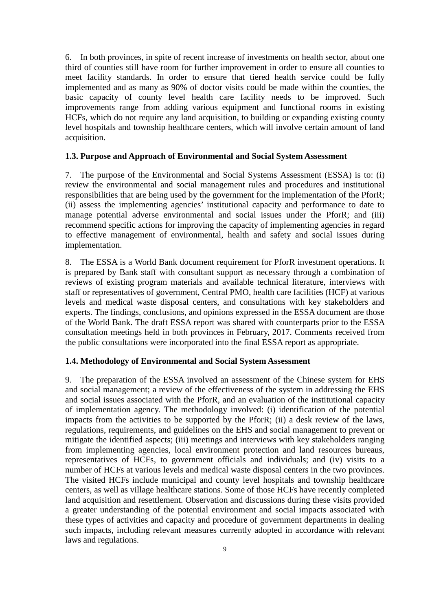6. In both provinces, in spite of recent increase of investments on health sector, about one third of counties still have room for further improvement in order to ensure all counties to meet facility standards. In order to ensure that tiered health service could be fully implemented and as many as 90% of doctor visits could be made within the counties, the basic capacity of county level health care facility needs to be improved. Such improvements range from adding various equipment and functional rooms in existing HCFs, which do not require any land acquisition, to building or expanding existing county level hospitals and township healthcare centers, which will involve certain amount of land acquisition.

#### <span id="page-12-0"></span>**1.3. Purpose and Approach of Environmental and Social System Assessment**

7. The purpose of the Environmental and Social Systems Assessment (ESSA) is to: (i) review the environmental and social management rules and procedures and institutional responsibilities that are being used by the government for the implementation of the PforR; (ii) assess the implementing agencies' institutional capacity and performance to date to manage potential adverse environmental and social issues under the PforR; and (iii) recommend specific actions for improving the capacity of implementing agencies in regard to effective management of environmental, health and safety and social issues during implementation.

8. The ESSA is a World Bank document requirement for PforR investment operations. It is prepared by Bank staff with consultant support as necessary through a combination of reviews of existing program materials and available technical literature, interviews with staff or representatives of government, Central PMO, health care facilities (HCF) at various levels and medical waste disposal centers, and consultations with key stakeholders and experts. The findings, conclusions, and opinions expressed in the ESSA document are those of the World Bank. The draft ESSA report was shared with counterparts prior to the ESSA consultation meetings held in both provinces in February, 2017. Comments received from the public consultations were incorporated into the final ESSA report as appropriate.

#### <span id="page-12-1"></span>**1.4. Methodology of Environmental and Social System Assessment**

9. The preparation of the ESSA involved an assessment of the Chinese system for EHS and social management; a review of the effectiveness of the system in addressing the EHS and social issues associated with the PforR, and an evaluation of the institutional capacity of implementation agency. The methodology involved: (i) identification of the potential impacts from the activities to be supported by the PforR; (ii) a desk review of the laws, regulations, requirements, and guidelines on the EHS and social management to prevent or mitigate the identified aspects; (iii) meetings and interviews with key stakeholders ranging from implementing agencies, local environment protection and land resources bureaus, representatives of HCFs, to government officials and individuals; and (iv) visits to a number of HCFs at various levels and medical waste disposal centers in the two provinces. The visited HCFs include municipal and county level hospitals and township healthcare centers, as well as village healthcare stations. Some of those HCFs have recently completed land acquisition and resettlement. Observation and discussions during these visits provided a greater understanding of the potential environment and social impacts associated with these types of activities and capacity and procedure of government departments in dealing such impacts, including relevant measures currently adopted in accordance with relevant laws and regulations.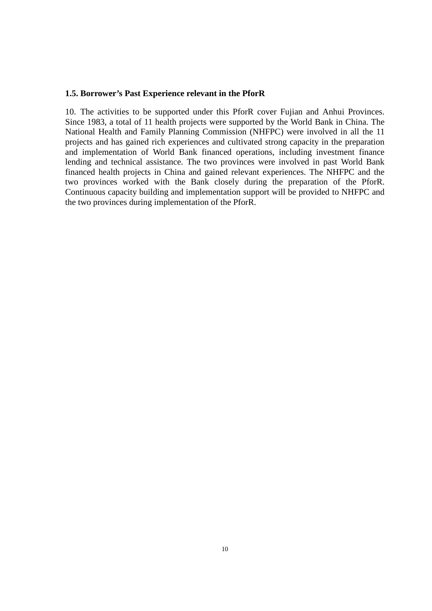#### <span id="page-13-0"></span>**1.5. Borrower's Past Experience relevant in the PforR**

10. The activities to be supported under this PforR cover Fujian and Anhui Provinces. Since 1983, a total of 11 health projects were supported by the World Bank in China. The National Health and Family Planning Commission (NHFPC) were involved in all the 11 projects and has gained rich experiences and cultivated strong capacity in the preparation and implementation of World Bank financed operations, including investment finance lending and technical assistance. The two provinces were involved in past World Bank financed health projects in China and gained relevant experiences. The NHFPC and the two provinces worked with the Bank closely during the preparation of the PforR. Continuous capacity building and implementation support will be provided to NHFPC and the two provinces during implementation of the PforR.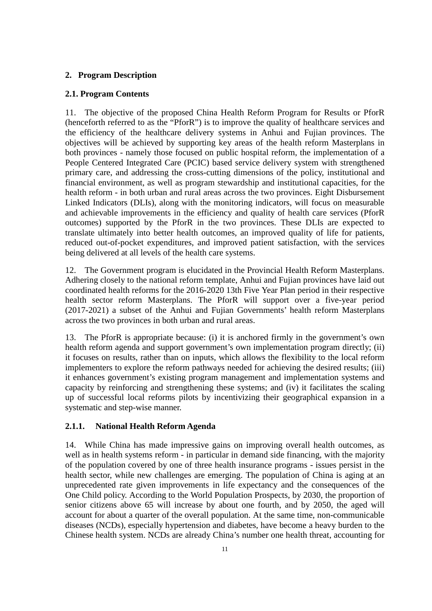#### <span id="page-14-0"></span>**2. Program Description**

#### <span id="page-14-1"></span>**2.1. Program Contents**

11. The objective of the proposed China Health Reform Program for Results or PforR (henceforth referred to as the "PforR") is to improve the quality of healthcare services and the efficiency of the healthcare delivery systems in Anhui and Fujian provinces. The objectives will be achieved by supporting key areas of the health reform Masterplans in both provinces - namely those focused on public hospital reform, the implementation of a People Centered Integrated Care (PCIC) based service delivery system with strengthened primary care, and addressing the cross-cutting dimensions of the policy, institutional and financial environment, as well as program stewardship and institutional capacities, for the health reform - in both urban and rural areas across the two provinces. Eight Disbursement Linked Indicators (DLIs), along with the monitoring indicators, will focus on measurable and achievable improvements in the efficiency and quality of health care services (PforR outcomes) supported by the PforR in the two provinces. These DLIs are expected to translate ultimately into better health outcomes, an improved quality of life for patients, reduced out-of-pocket expenditures, and improved patient satisfaction, with the services being delivered at all levels of the health care systems.

12. The Government program is elucidated in the Provincial Health Reform Masterplans. Adhering closely to the national reform template, Anhui and Fujian provinces have laid out coordinated health reforms for the 2016-2020 13th Five Year Plan period in their respective health sector reform Masterplans. The PforR will support over a five-year period (2017-2021) a subset of the Anhui and Fujian Governments' health reform Masterplans across the two provinces in both urban and rural areas.

13. The PforR is appropriate because: (i) it is anchored firmly in the government's own health reform agenda and support government's own implementation program directly; (ii) it focuses on results, rather than on inputs, which allows the flexibility to the local reform implementers to explore the reform pathways needed for achieving the desired results; (iii) it enhances government's existing program management and implementation systems and capacity by reinforcing and strengthening these systems; and (iv) it facilitates the scaling up of successful local reforms pilots by incentivizing their geographical expansion in a systematic and step-wise manner.

#### <span id="page-14-2"></span>**2.1.1. National Health Reform Agenda**

14. While China has made impressive gains on improving overall health outcomes, as well as in health systems reform - in particular in demand side financing, with the majority of the population covered by one of three health insurance programs - issues persist in the health sector, while new challenges are emerging. The population of China is aging at an unprecedented rate given improvements in life expectancy and the consequences of the One Child policy. According to the World Population Prospects, by 2030, the proportion of senior citizens above 65 will increase by about one fourth, and by 2050, the aged will account for about a quarter of the overall population. At the same time, non-communicable diseases (NCDs), especially hypertension and diabetes, have become a heavy burden to the Chinese health system. NCDs are already China's number one health threat, accounting for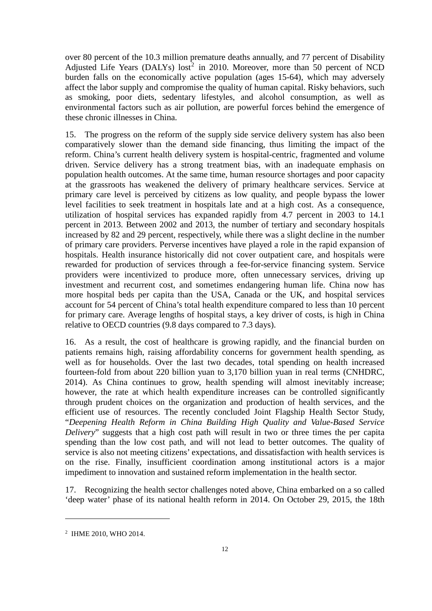over 80 percent of the 10.3 million premature deaths annually, and 77 percent of Disability Adjusted Life Years (DALYs)  $\text{lost}^2$  $\text{lost}^2$  in 2010. Moreover, more than 50 percent of NCD burden falls on the economically active population (ages 15-64), which may adversely affect the labor supply and compromise the quality of human capital. Risky behaviors, such as smoking, poor diets, sedentary lifestyles, and alcohol consumption, as well as environmental factors such as air pollution, are powerful forces behind the emergence of these chronic illnesses in China.

15. The progress on the reform of the supply side service delivery system has also been comparatively slower than the demand side financing, thus limiting the impact of the reform. China's current health delivery system is hospital-centric, fragmented and volume driven. Service delivery has a strong treatment bias, with an inadequate emphasis on population health outcomes. At the same time, human resource shortages and poor capacity at the grassroots has weakened the delivery of primary healthcare services. Service at primary care level is perceived by citizens as low quality, and people bypass the lower level facilities to seek treatment in hospitals late and at a high cost. As a consequence, utilization of hospital services has expanded rapidly from 4.7 percent in 2003 to 14.1 percent in 2013. Between 2002 and 2013, the number of tertiary and secondary hospitals increased by 82 and 29 percent, respectively, while there was a slight decline in the number of primary care providers. Perverse incentives have played a role in the rapid expansion of hospitals. Health insurance historically did not cover outpatient care, and hospitals were rewarded for production of services through a fee-for-service financing system. Service providers were incentivized to produce more, often unnecessary services, driving up investment and recurrent cost, and sometimes endangering human life. China now has more hospital beds per capita than the USA, Canada or the UK, and hospital services account for 54 percent of China's total health expenditure compared to less than 10 percent for primary care. Average lengths of hospital stays, a key driver of costs, is high in China relative to OECD countries (9.8 days compared to 7.3 days).

16. As a result, the cost of healthcare is growing rapidly, and the financial burden on patients remains high, raising affordability concerns for government health spending, as well as for households. Over the last two decades, total spending on health increased fourteen-fold from about 220 billion yuan to 3,170 billion yuan in real terms (CNHDRC, 2014). As China continues to grow, health spending will almost inevitably increase; however, the rate at which health expenditure increases can be controlled significantly through prudent choices on the organization and production of health services, and the efficient use of resources. The recently concluded Joint Flagship Health Sector Study, "*Deepening Health Reform in China Building High Quality and Value-Based Service Delivery*" suggests that a high cost path will result in two or three times the per capita spending than the low cost path, and will not lead to better outcomes. The quality of service is also not meeting citizens' expectations, and dissatisfaction with health services is on the rise. Finally, insufficient coordination among institutional actors is a major impediment to innovation and sustained reform implementation in the health sector.

17. Recognizing the health sector challenges noted above, China embarked on a so called 'deep water' phase of its national health reform in 2014. On October 29, 2015, the 18th

l

<span id="page-15-0"></span><sup>2</sup> IHME 2010, WHO 2014.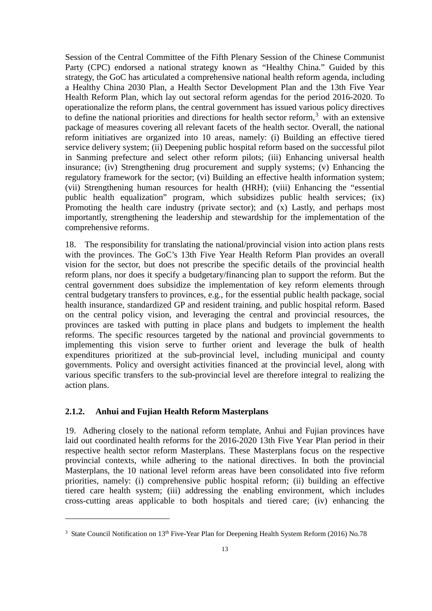Session of the Central Committee of the Fifth Plenary Session of the Chinese Communist Party (CPC) endorsed a national strategy known as "Healthy China." Guided by this strategy, the GoC has articulated a comprehensive national health reform agenda, including a Healthy China 2030 Plan, a Health Sector Development Plan and the 13th Five Year Health Reform Plan, which lay out sectoral reform agendas for the period 2016-2020. To operationalize the reform plans, the central government has issued various policy directives to define the national priorities and directions for health sector reform,<sup>[3](#page-16-1)</sup> with an extensive package of measures covering all relevant facets of the health sector. Overall, the national reform initiatives are organized into 10 areas, namely: (i) Building an effective tiered service delivery system; (ii) Deepening public hospital reform based on the successful pilot in Sanming prefecture and select other reform pilots; (iii) Enhancing universal health insurance; (iv) Strengthening drug procurement and supply systems; (v) Enhancing the regulatory framework for the sector; (vi) Building an effective health information system; (vii) Strengthening human resources for health (HRH); (viii) Enhancing the "essential public health equalization" program, which subsidizes public health services; (ix) Promoting the health care industry (private sector); and (x) Lastly, and perhaps most importantly, strengthening the leadership and stewardship for the implementation of the comprehensive reforms.

18. The responsibility for translating the national/provincial vision into action plans rests with the provinces. The GoC's 13th Five Year Health Reform Plan provides an overall vision for the sector, but does not prescribe the specific details of the provincial health reform plans, nor does it specify a budgetary/financing plan to support the reform. But the central government does subsidize the implementation of key reform elements through central budgetary transfers to provinces, e.g., for the essential public health package, social health insurance, standardized GP and resident training, and public hospital reform. Based on the central policy vision, and leveraging the central and provincial resources, the provinces are tasked with putting in place plans and budgets to implement the health reforms. The specific resources targeted by the national and provincial governments to implementing this vision serve to further orient and leverage the bulk of health expenditures prioritized at the sub-provincial level, including municipal and county governments. Policy and oversight activities financed at the provincial level, along with various specific transfers to the sub-provincial level are therefore integral to realizing the action plans.

#### <span id="page-16-0"></span>**2.1.2. Anhui and Fujian Health Reform Masterplans**

l

19. Adhering closely to the national reform template, Anhui and Fujian provinces have laid out coordinated health reforms for the 2016-2020 13th Five Year Plan period in their respective health sector reform Masterplans. These Masterplans focus on the respective provincial contexts, while adhering to the national directives. In both the provincial Masterplans, the 10 national level reform areas have been consolidated into five reform priorities, namely: (i) comprehensive public hospital reform; (ii) building an effective tiered care health system; (iii) addressing the enabling environment, which includes cross-cutting areas applicable to both hospitals and tiered care; (iv) enhancing the

<span id="page-16-1"></span><sup>&</sup>lt;sup>3</sup> State Council Notification on 13<sup>th</sup> Five-Year Plan for Deepening Health System Reform (2016) No.78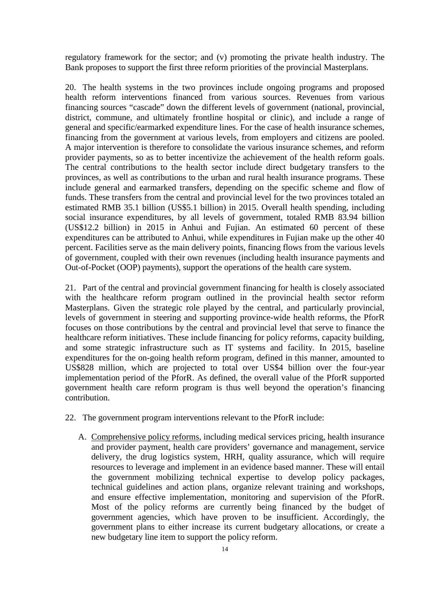regulatory framework for the sector; and (v) promoting the private health industry. The Bank proposes to support the first three reform priorities of the provincial Masterplans.

20. The health systems in the two provinces include ongoing programs and proposed health reform interventions financed from various sources. Revenues from various financing sources "cascade" down the different levels of government (national, provincial, district, commune, and ultimately frontline hospital or clinic), and include a range of general and specific/earmarked expenditure lines. For the case of health insurance schemes, financing from the government at various levels, from employers and citizens are pooled. A major intervention is therefore to consolidate the various insurance schemes, and reform provider payments, so as to better incentivize the achievement of the health reform goals. The central contributions to the health sector include direct budgetary transfers to the provinces, as well as contributions to the urban and rural health insurance programs. These include general and earmarked transfers, depending on the specific scheme and flow of funds. These transfers from the central and provincial level for the two provinces totaled an estimated RMB 35.1 billion (US\$5.1 billion) in 2015. Overall health spending, including social insurance expenditures, by all levels of government, totaled RMB 83.94 billion (US\$12.2 billion) in 2015 in Anhui and Fujian. An estimated 60 percent of these expenditures can be attributed to Anhui, while expenditures in Fujian make up the other 40 percent. Facilities serve as the main delivery points, financing flows from the various levels of government, coupled with their own revenues (including health insurance payments and Out-of-Pocket (OOP) payments), support the operations of the health care system.

21. Part of the central and provincial government financing for health is closely associated with the healthcare reform program outlined in the provincial health sector reform Masterplans. Given the strategic role played by the central, and particularly provincial, levels of government in steering and supporting province-wide health reforms, the PforR focuses on those contributions by the central and provincial level that serve to finance the healthcare reform initiatives. These include financing for policy reforms, capacity building, and some strategic infrastructure such as IT systems and facility. In 2015, baseline expenditures for the on-going health reform program, defined in this manner, amounted to US\$828 million, which are projected to total over US\$4 billion over the four-year implementation period of the PforR. As defined, the overall value of the PforR supported government health care reform program is thus well beyond the operation's financing contribution.

- 22. The government program interventions relevant to the PforR include:
	- A. Comprehensive policy reforms, including medical services pricing, health insurance and provider payment, health care providers' governance and management, service delivery, the drug logistics system, HRH, quality assurance, which will require resources to leverage and implement in an evidence based manner. These will entail the government mobilizing technical expertise to develop policy packages, technical guidelines and action plans, organize relevant training and workshops, and ensure effective implementation, monitoring and supervision of the PforR. Most of the policy reforms are currently being financed by the budget of government agencies, which have proven to be insufficient. Accordingly, the government plans to either increase its current budgetary allocations, or create a new budgetary line item to support the policy reform.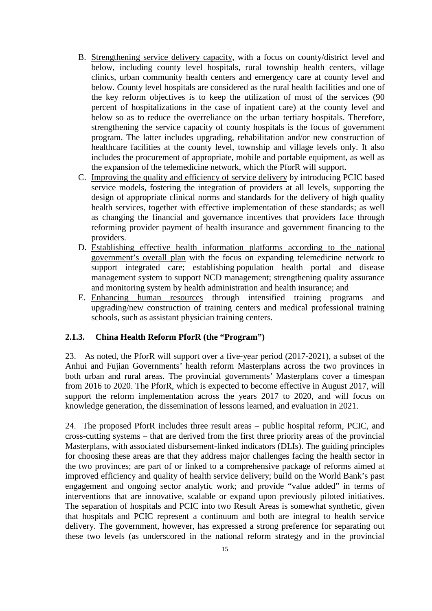- B. Strengthening service delivery capacity, with a focus on county/district level and below, including county level hospitals, rural township health centers, village clinics, urban community health centers and emergency care at county level and below. County level hospitals are considered as the rural health facilities and one of the key reform objectives is to keep the utilization of most of the services (90 percent of hospitalizations in the case of inpatient care) at the county level and below so as to reduce the overreliance on the urban tertiary hospitals. Therefore, strengthening the service capacity of county hospitals is the focus of government program. The latter includes upgrading, rehabilitation and/or new construction of healthcare facilities at the county level, township and village levels only. It also includes the procurement of appropriate, mobile and portable equipment, as well as the expansion of the telemedicine network, which the PforR will support.
- C. Improving the quality and efficiency of service delivery by introducing PCIC based service models, fostering the integration of providers at all levels, supporting the design of appropriate clinical norms and standards for the delivery of high quality health services, together with effective implementation of these standards; as well as changing the financial and governance incentives that providers face through reforming provider payment of health insurance and government financing to the providers.
- D. Establishing effective health information platforms according to the national government's overall plan with the focus on expanding telemedicine network to support integrated care; establishing population health portal and disease management system to support NCD management; strengthening quality assurance and monitoring system by health administration and health insurance; and
- E. Enhancing human resources through intensified training programs and upgrading/new construction of training centers and medical professional training schools, such as assistant physician training centers.

#### <span id="page-18-0"></span>**2.1.3. China Health Reform PforR (the "Program")**

23. As noted, the PforR will support over a five-year period (2017-2021), a subset of the Anhui and Fujian Governments' health reform Masterplans across the two provinces in both urban and rural areas. The provincial governments' Masterplans cover a timespan from 2016 to 2020. The PforR, which is expected to become effective in August 2017, will support the reform implementation across the years 2017 to 2020, and will focus on knowledge generation, the dissemination of lessons learned, and evaluation in 2021.

24. The proposed PforR includes three result areas – public hospital reform, PCIC, and cross-cutting systems – that are derived from the first three priority areas of the provincial Masterplans, with associated disbursement-linked indicators (DLIs). The guiding principles for choosing these areas are that they address major challenges facing the health sector in the two provinces; are part of or linked to a comprehensive package of reforms aimed at improved efficiency and quality of health service delivery; build on the World Bank's past engagement and ongoing sector analytic work; and provide "value added" in terms of interventions that are innovative, scalable or expand upon previously piloted initiatives. The separation of hospitals and PCIC into two Result Areas is somewhat synthetic, given that hospitals and PCIC represent a continuum and both are integral to health service delivery. The government, however, has expressed a strong preference for separating out these two levels (as underscored in the national reform strategy and in the provincial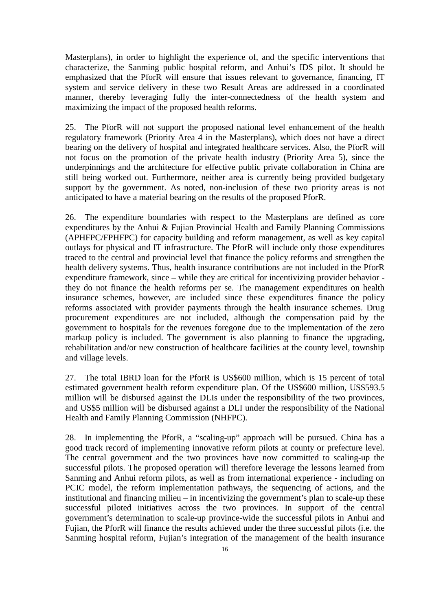Masterplans), in order to highlight the experience of, and the specific interventions that characterize, the Sanming public hospital reform, and Anhui's IDS pilot. It should be emphasized that the PforR will ensure that issues relevant to governance, financing, IT system and service delivery in these two Result Areas are addressed in a coordinated manner, thereby leveraging fully the inter-connectedness of the health system and maximizing the impact of the proposed health reforms.

25. The PforR will not support the proposed national level enhancement of the health regulatory framework (Priority Area 4 in the Masterplans), which does not have a direct bearing on the delivery of hospital and integrated healthcare services. Also, the PforR will not focus on the promotion of the private health industry (Priority Area 5), since the underpinnings and the architecture for effective public private collaboration in China are still being worked out. Furthermore, neither area is currently being provided budgetary support by the government. As noted, non-inclusion of these two priority areas is not anticipated to have a material bearing on the results of the proposed PforR.

26. The expenditure boundaries with respect to the Masterplans are defined as core expenditures by the Anhui & Fujian Provincial Health and Family Planning Commissions (APHFPC/FPHFPC) for capacity building and reform management, as well as key capital outlays for physical and IT infrastructure. The PforR will include only those expenditures traced to the central and provincial level that finance the policy reforms and strengthen the health delivery systems. Thus, health insurance contributions are not included in the PforR expenditure framework, since – while they are critical for incentivizing provider behavior they do not finance the health reforms per se. The management expenditures on health insurance schemes, however, are included since these expenditures finance the policy reforms associated with provider payments through the health insurance schemes. Drug procurement expenditures are not included, although the compensation paid by the government to hospitals for the revenues foregone due to the implementation of the zero markup policy is included. The government is also planning to finance the upgrading, rehabilitation and/or new construction of healthcare facilities at the county level, township and village levels.

27. The total IBRD loan for the PforR is US\$600 million, which is 15 percent of total estimated government health reform expenditure plan. Of the US\$600 million, US\$593.5 million will be disbursed against the DLIs under the responsibility of the two provinces, and US\$5 million will be disbursed against a DLI under the responsibility of the National Health and Family Planning Commission (NHFPC).

28. In implementing the PforR, a "scaling-up" approach will be pursued. China has a good track record of implementing innovative reform pilots at county or prefecture level. The central government and the two provinces have now committed to scaling-up the successful pilots. The proposed operation will therefore leverage the lessons learned from Sanming and Anhui reform pilots, as well as from international experience - including on PCIC model, the reform implementation pathways, the sequencing of actions, and the institutional and financing milieu – in incentivizing the government's plan to scale-up these successful piloted initiatives across the two provinces. In support of the central government's determination to scale-up province-wide the successful pilots in Anhui and Fujian, the PforR will finance the results achieved under the three successful pilots (i.e. the Sanming hospital reform, Fujian's integration of the management of the health insurance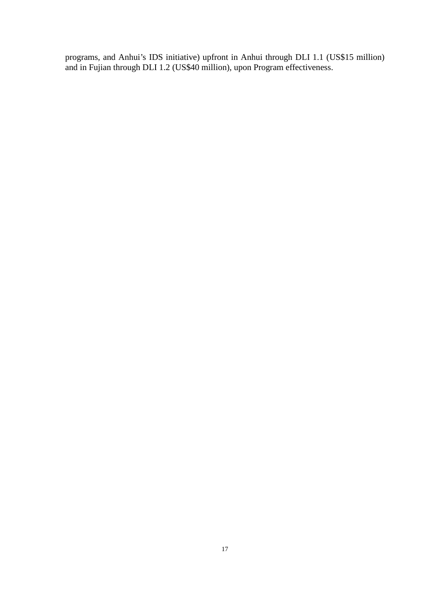programs, and Anhui's IDS initiative) upfront in Anhui through DLI 1.1 (US\$15 million) and in Fujian through DLI 1.2 (US\$40 million), upon Program effectiveness.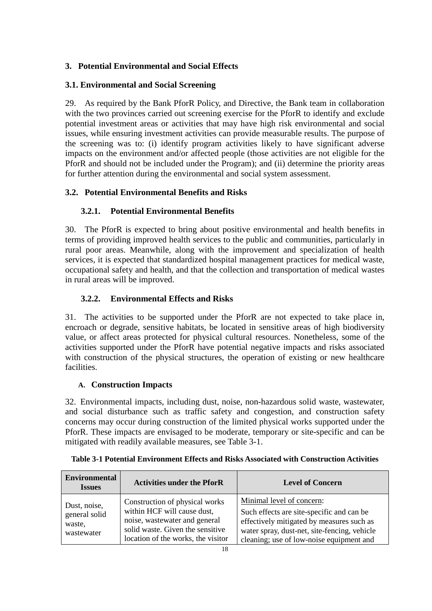#### <span id="page-21-0"></span>**3. Potential Environmental and Social Effects**

#### <span id="page-21-1"></span>**3.1. Environmental and Social Screening**

29. As required by the Bank PforR Policy, and Directive, the Bank team in collaboration with the two provinces carried out screening exercise for the PforR to identify and exclude potential investment areas or activities that may have high risk environmental and social issues, while ensuring investment activities can provide measurable results. The purpose of the screening was to: (i) identify program activities likely to have significant adverse impacts on the environment and/or affected people (those activities are not eligible for the PforR and should not be included under the Program); and (ii) determine the priority areas for further attention during the environmental and social system assessment.

#### <span id="page-21-2"></span>**3.2. Potential Environmental Benefits and Risks**

#### <span id="page-21-3"></span>**3.2.1. Potential Environmental Benefits**

30. The PforR is expected to bring about positive environmental and health benefits in terms of providing improved health services to the public and communities, particularly in rural poor areas. Meanwhile, along with the improvement and specialization of health services, it is expected that standardized hospital management practices for medical waste, occupational safety and health, and that the collection and transportation of medical wastes in rural areas will be improved.

#### <span id="page-21-4"></span>**3.2.2. Environmental Effects and Risks**

31. The activities to be supported under the PforR are not expected to take place in, encroach or degrade, sensitive habitats, be located in sensitive areas of high biodiversity value, or affect areas protected for physical cultural resources. Nonetheless, some of the activities supported under the PforR have potential negative impacts and risks associated with construction of the physical structures, the operation of existing or new healthcare facilities.

#### **A. Construction Impacts**

32. Environmental impacts, including dust, noise, non-hazardous solid waste, wastewater, and social disturbance such as traffic safety and congestion, and construction safety concerns may occur during construction of the limited physical works supported under the PforR. These impacts are envisaged to be moderate, temporary or site-specific and can be mitigated with readily available measures, see Table 3-1.

| <b>Environmental</b><br><b>Issues</b>                 | <b>Activities under the PforR</b>                                                                                                                                         | <b>Level of Concern</b>                                                                                                                                                                                         |
|-------------------------------------------------------|---------------------------------------------------------------------------------------------------------------------------------------------------------------------------|-----------------------------------------------------------------------------------------------------------------------------------------------------------------------------------------------------------------|
| Dust, noise,<br>general solid<br>waste,<br>wastewater | Construction of physical works<br>within HCF will cause dust,<br>noise, was tewater and general<br>solid waste. Given the sensitive<br>location of the works, the visitor | Minimal level of concern:<br>Such effects are site-specific and can be<br>effectively mitigated by measures such as<br>water spray, dust-net, site-fencing, vehicle<br>cleaning; use of low-noise equipment and |

**Table 3-1 Potential Environment Effects and Risks Associated with Construction Activities**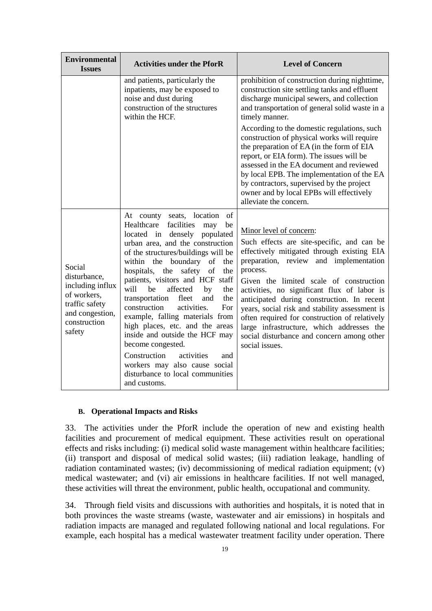| <b>Environmental</b><br><b>Issues</b>                                                                                    | <b>Activities under the PforR</b>                                                                                                                                                                                                                                                                                                                                                                                                                                                                                                                                                                                                                                              | <b>Level of Concern</b>                                                                                                                                                                                                                                                                                                                                                                                                                                                                                                                                                                                              |  |  |  |
|--------------------------------------------------------------------------------------------------------------------------|--------------------------------------------------------------------------------------------------------------------------------------------------------------------------------------------------------------------------------------------------------------------------------------------------------------------------------------------------------------------------------------------------------------------------------------------------------------------------------------------------------------------------------------------------------------------------------------------------------------------------------------------------------------------------------|----------------------------------------------------------------------------------------------------------------------------------------------------------------------------------------------------------------------------------------------------------------------------------------------------------------------------------------------------------------------------------------------------------------------------------------------------------------------------------------------------------------------------------------------------------------------------------------------------------------------|--|--|--|
|                                                                                                                          | and patients, particularly the<br>inpatients, may be exposed to<br>noise and dust during<br>construction of the structures<br>within the HCF.                                                                                                                                                                                                                                                                                                                                                                                                                                                                                                                                  | prohibition of construction during nighttime,<br>construction site settling tanks and effluent<br>discharge municipal sewers, and collection<br>and transportation of general solid waste in a<br>timely manner.<br>According to the domestic regulations, such<br>construction of physical works will require<br>the preparation of EA (in the form of EIA<br>report, or EIA form). The issues will be<br>assessed in the EA document and reviewed<br>by local EPB. The implementation of the EA<br>by contractors, supervised by the project<br>owner and by local EPBs will effectively<br>alleviate the concern. |  |  |  |
| Social<br>disturbance,<br>including influx<br>of workers,<br>traffic safety<br>and congestion,<br>construction<br>safety | At county seats, location<br>of<br>Healthcare<br>facilities<br>may<br>be<br>located in densely populated<br>urban area, and the construction<br>of the structures/buildings will be<br>within the boundary<br>of<br>the<br>hospitals, the safety<br>of<br>the<br>patients, visitors and HCF staff<br>affected<br>will<br>be<br>by<br>the<br>transportation<br>fleet<br>the<br>and<br>construction<br>activities.<br>For<br>example, falling materials from<br>high places, etc. and the areas<br>inside and outside the HCF may<br>become congested.<br>Construction<br>activities<br>and<br>workers may also cause social<br>disturbance to local communities<br>and customs. | Minor level of concern:<br>Such effects are site-specific, and can be<br>effectively mitigated through existing EIA<br>preparation, review and implementation<br>process.<br>Given the limited scale of construction<br>activities, no significant flux of labor is<br>anticipated during construction. In recent<br>years, social risk and stability assessment is<br>often required for construction of relatively<br>large infrastructure, which addresses the<br>social disturbance and concern among other<br>social issues.                                                                                    |  |  |  |

#### **B. Operational Impacts and Risks**

33. The activities under the PforR include the operation of new and existing health facilities and procurement of medical equipment. These activities result on operational effects and risks including: (i) medical solid waste management within healthcare facilities; (ii) transport and disposal of medical solid wastes; (iii) radiation leakage, handling of radiation contaminated wastes; (iv) decommissioning of medical radiation equipment; (v) medical wastewater; and (vi) air emissions in healthcare facilities. If not well managed, these activities will threat the environment, public health, occupational and community.

34. Through field visits and discussions with authorities and hospitals, it is noted that in both provinces the waste streams (waste, wastewater and air emissions) in hospitals and radiation impacts are managed and regulated following national and local regulations. For example, each hospital has a medical wastewater treatment facility under operation. There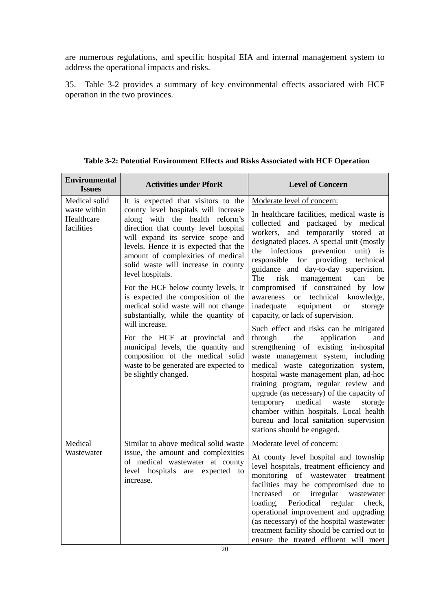are numerous regulations, and specific hospital EIA and internal management system to address the operational impacts and risks.

35. Table 3-2 provides a summary of key environmental effects associated with HCF operation in the two provinces.

| <b>Environmental</b><br><b>Issues</b>                     | <b>Activities under PforR</b>                                                                                                                                                                                                                                                                                                                                                                                                                                                                                                                                                                                                                                                                 | <b>Level of Concern</b>                                                                                                                                                                                                                                                                                                                                                                                                                                                                                                                                                                                                                                                                                                                                                                                                                                                                                                                                                                                                                                                    |  |  |  |
|-----------------------------------------------------------|-----------------------------------------------------------------------------------------------------------------------------------------------------------------------------------------------------------------------------------------------------------------------------------------------------------------------------------------------------------------------------------------------------------------------------------------------------------------------------------------------------------------------------------------------------------------------------------------------------------------------------------------------------------------------------------------------|----------------------------------------------------------------------------------------------------------------------------------------------------------------------------------------------------------------------------------------------------------------------------------------------------------------------------------------------------------------------------------------------------------------------------------------------------------------------------------------------------------------------------------------------------------------------------------------------------------------------------------------------------------------------------------------------------------------------------------------------------------------------------------------------------------------------------------------------------------------------------------------------------------------------------------------------------------------------------------------------------------------------------------------------------------------------------|--|--|--|
| Medical solid<br>waste within<br>Healthcare<br>facilities | It is expected that visitors to the<br>county level hospitals will increase<br>along with the health reform's<br>direction that county level hospital<br>will expand its service scope and<br>levels. Hence it is expected that the<br>amount of complexities of medical<br>solid waste will increase in county<br>level hospitals.<br>For the HCF below county levels, it<br>is expected the composition of the<br>medical solid waste will not change<br>substantially, while the quantity of<br>will increase.<br>For the HCF at provincial and<br>municipal levels, the quantity and<br>composition of the medical solid<br>waste to be generated are expected to<br>be slightly changed. | Moderate level of concern:<br>In healthcare facilities, medical waste is<br>collected and packaged by medical<br>and temporarily stored at<br>workers,<br>designated places. A special unit (mostly<br>the infectious prevention<br>unit)<br>is<br>responsible for providing<br>technical<br>guidance and day-to-day supervision.<br>The<br>risk<br>management<br>can<br>be<br>compromised if constrained by low<br>awareness<br>technical knowledge,<br><sub>or</sub><br>inadequate<br>equipment<br>storage<br><sub>or</sub><br>capacity, or lack of supervision.<br>Such effect and risks can be mitigated<br>through<br>the<br>application<br>and<br>strengthening of existing in-hospital<br>waste management system, including<br>medical waste categorization system,<br>hospital waste management plan, ad-hoc<br>training program, regular review and<br>upgrade (as necessary) of the capacity of<br>temporary<br>medical<br>waste<br>storage<br>chamber within hospitals. Local health<br>bureau and local sanitation supervision<br>stations should be engaged. |  |  |  |
| Medical<br>Wastewater                                     | Similar to above medical solid waste<br>issue, the amount and complexities<br>of medical wastewater at county<br>level hospitals are expected to<br>increase.                                                                                                                                                                                                                                                                                                                                                                                                                                                                                                                                 | Moderate level of concern:<br>At county level hospital and township<br>level hospitals, treatment efficiency and<br>monitoring of wastewater treatment<br>facilities may be compromised due to<br>increased<br>irregular<br><b>or</b><br>wastewater<br>Periodical<br>loading.<br>regular<br>check,<br>operational improvement and upgrading<br>(as necessary) of the hospital wastewater<br>treatment facility should be carried out to<br>ensure the treated effluent will meet                                                                                                                                                                                                                                                                                                                                                                                                                                                                                                                                                                                           |  |  |  |

**Table 3-2: Potential Environment Effects and Risks Associated with HCF Operation**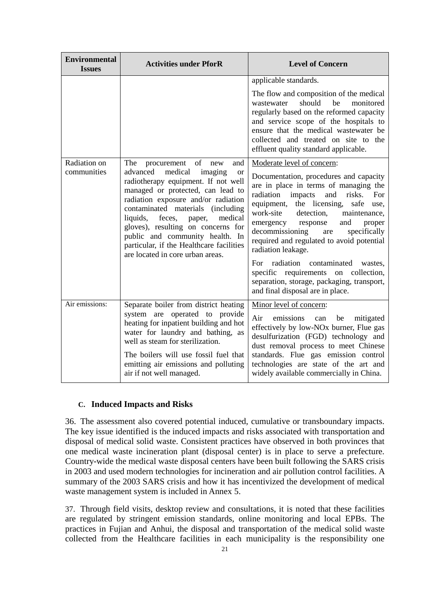| <b>Environmental</b><br><b>Issues</b> | <b>Activities under PforR</b>                                                                                                                                                                                                                                                                                                                                                                        | <b>Level of Concern</b>                                                                                                                                                                                                                                                                                                                                                                                                                                                                                                                        |  |  |
|---------------------------------------|------------------------------------------------------------------------------------------------------------------------------------------------------------------------------------------------------------------------------------------------------------------------------------------------------------------------------------------------------------------------------------------------------|------------------------------------------------------------------------------------------------------------------------------------------------------------------------------------------------------------------------------------------------------------------------------------------------------------------------------------------------------------------------------------------------------------------------------------------------------------------------------------------------------------------------------------------------|--|--|
| Radiation on                          | of<br>The<br>procurement<br>and<br>new                                                                                                                                                                                                                                                                                                                                                               | applicable standards.<br>The flow and composition of the medical<br>should<br>be<br>monitored<br>wastewater<br>regularly based on the reformed capacity<br>and service scope of the hospitals to<br>ensure that the medical wastewater be<br>collected and treated on site to the<br>effluent quality standard applicable.<br>Moderate level of concern:                                                                                                                                                                                       |  |  |
| communities                           | advanced<br>medical<br>imaging<br><b>or</b><br>radiotherapy equipment. If not well<br>managed or protected, can lead to<br>radiation exposure and/or radiation<br>contaminated materials (including<br>liquids, feces,<br>medical<br>paper,<br>gloves), resulting on concerns for<br>public and community health. In<br>particular, if the Healthcare facilities<br>are located in core urban areas. | Documentation, procedures and capacity<br>are in place in terms of managing the<br>radiation<br>impacts<br>and<br>risks.<br>For<br>equipment, the licensing,<br>safe<br>use.<br>work-site<br>detection,<br>maintenance,<br>emergency response<br>and<br>proper<br>decommissioning<br>specifically<br>are<br>required and regulated to avoid potential<br>radiation leakage.<br>For radiation contaminated<br>wastes,<br>specific requirements on collection,<br>separation, storage, packaging, transport,<br>and final disposal are in place. |  |  |
| Air emissions:                        | Separate boiler from district heating<br>system are operated to provide<br>heating for inpatient building and hot<br>water for laundry and bathing, as<br>well as steam for sterilization.<br>The boilers will use fossil fuel that<br>emitting air emissions and polluting<br>air if not well managed.                                                                                              | Minor level of concern:<br>emissions<br>Air<br>be<br>mitigated<br>can<br>effectively by low-NO <sub>x</sub> burner, Flue gas<br>desulfurization (FGD) technology and<br>dust removal process to meet Chinese<br>standards. Flue gas emission control<br>technologies are state of the art and<br>widely available commercially in China.                                                                                                                                                                                                       |  |  |

#### **C. Induced Impacts and Risks**

36. The assessment also covered potential induced, cumulative or transboundary impacts. The key issue identified is the induced impacts and risks associated with transportation and disposal of medical solid waste. Consistent practices have observed in both provinces that one medical waste incineration plant (disposal center) is in place to serve a prefecture. Country-wide the medical waste disposal centers have been built following the SARS crisis in 2003 and used modern technologies for incineration and air pollution control facilities. A summary of the 2003 SARS crisis and how it has incentivized the development of medical waste management system is included in Annex 5.

37. Through field visits, desktop review and consultations, it is noted that these facilities are regulated by stringent emission standards, online monitoring and local EPBs. The practices in Fujian and Anhui, the disposal and transportation of the medical solid waste collected from the Healthcare facilities in each municipality is the responsibility one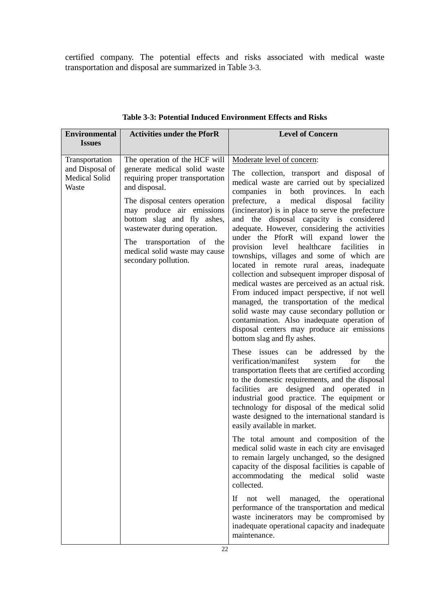certified company. The potential effects and risks associated with medical waste transportation and disposal are summarized in Table 3-3.

| <b>Activities under the PforR</b><br><b>Environmental</b>                                                                                                                                                                                                                                                                                                                                                  | <b>Level of Concern</b>                                                                                                                                                                                                                                                                                                                                                                                                                                                                                                                                                                                                                                                                                                                                                                                                                                                                                                                                                                                                                                                                                                                                                                                                                                                                                                                                                                                                                                                                                                                                                                                                                                                                                                                                                                                                                                           |
|------------------------------------------------------------------------------------------------------------------------------------------------------------------------------------------------------------------------------------------------------------------------------------------------------------------------------------------------------------------------------------------------------------|-------------------------------------------------------------------------------------------------------------------------------------------------------------------------------------------------------------------------------------------------------------------------------------------------------------------------------------------------------------------------------------------------------------------------------------------------------------------------------------------------------------------------------------------------------------------------------------------------------------------------------------------------------------------------------------------------------------------------------------------------------------------------------------------------------------------------------------------------------------------------------------------------------------------------------------------------------------------------------------------------------------------------------------------------------------------------------------------------------------------------------------------------------------------------------------------------------------------------------------------------------------------------------------------------------------------------------------------------------------------------------------------------------------------------------------------------------------------------------------------------------------------------------------------------------------------------------------------------------------------------------------------------------------------------------------------------------------------------------------------------------------------------------------------------------------------------------------------------------------------|
| <b>Issues</b>                                                                                                                                                                                                                                                                                                                                                                                              |                                                                                                                                                                                                                                                                                                                                                                                                                                                                                                                                                                                                                                                                                                                                                                                                                                                                                                                                                                                                                                                                                                                                                                                                                                                                                                                                                                                                                                                                                                                                                                                                                                                                                                                                                                                                                                                                   |
| The operation of the HCF will<br>Transportation<br>and Disposal of<br>generate medical solid waste<br><b>Medical Solid</b><br>requiring proper transportation<br>and disposal.<br>Waste<br>The disposal centers operation<br>may produce air emissions<br>bottom slag and fly ashes,<br>wastewater during operation.<br>The transportation of the<br>medical solid waste may cause<br>secondary pollution. | Moderate level of concern:<br>The collection, transport and disposal of<br>medical waste are carried out by specialized<br>companies in both provinces. In each<br>prefecture, a<br>medical disposal facility<br>(incinerator) is in place to serve the prefecture<br>and the disposal capacity is considered<br>adequate. However, considering the activities<br>under the PforR will expand lower the<br>healthcare<br>provision<br>level<br>facilities<br>in<br>townships, villages and some of which are<br>located in remote rural areas, inadequate<br>collection and subsequent improper disposal of<br>medical wastes are perceived as an actual risk.<br>From induced impact perspective, if not well<br>managed, the transportation of the medical<br>solid waste may cause secondary pollution or<br>contamination. Also inadequate operation of<br>disposal centers may produce air emissions<br>bottom slag and fly ashes.<br>These issues can be addressed by<br>the<br>verification/manifest<br>system<br>for<br>the<br>transportation fleets that are certified according<br>to the domestic requirements, and the disposal<br>facilities<br>designed and operated in<br>are<br>industrial good practice. The equipment or<br>technology for disposal of the medical solid<br>waste designed to the international standard is<br>easily available in market.<br>The total amount and composition of the<br>medical solid waste in each city are envisaged<br>to remain largely unchanged, so the designed<br>capacity of the disposal facilities is capable of<br>accommodating<br>the medical solid<br>waste<br>collected.<br>If<br>not<br>well<br>managed,<br>the<br>operational<br>performance of the transportation and medical<br>waste incinerators may be compromised by<br>inadequate operational capacity and inadequate<br>maintenance. |

**Table 3-3: Potential Induced Environment Effects and Risks**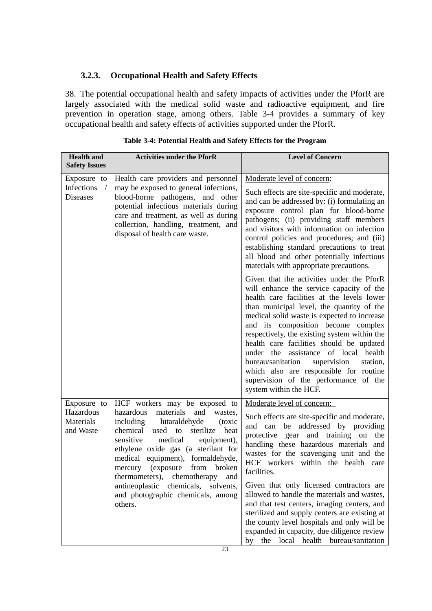#### <span id="page-26-0"></span>**3.2.3. Occupational Health and Safety Effects**

38. The potential occupational health and safety impacts of activities under the PforR are largely associated with the medical solid waste and radioactive equipment, and fire prevention in operation stage, among others. Table 3-4 provides a summary of key occupational health and safety effects of activities supported under the PforR.

| <b>Health and</b><br><b>Safety Issues</b>                  | <b>Activities under the PforR</b>                                                                                                                                                                                                                                                                                                                                                                                                                                | <b>Level of Concern</b>                                                                                                                                                                                                                                                                                                                                                                                                                                                                                                                                                                                                                                                                                                                                                                                                                                                                                                                                                                                                    |
|------------------------------------------------------------|------------------------------------------------------------------------------------------------------------------------------------------------------------------------------------------------------------------------------------------------------------------------------------------------------------------------------------------------------------------------------------------------------------------------------------------------------------------|----------------------------------------------------------------------------------------------------------------------------------------------------------------------------------------------------------------------------------------------------------------------------------------------------------------------------------------------------------------------------------------------------------------------------------------------------------------------------------------------------------------------------------------------------------------------------------------------------------------------------------------------------------------------------------------------------------------------------------------------------------------------------------------------------------------------------------------------------------------------------------------------------------------------------------------------------------------------------------------------------------------------------|
| Exposure to<br>Infections<br>$\sqrt{2}$<br><b>Diseases</b> | Health care providers and personnel<br>may be exposed to general infections,<br>blood-borne pathogens, and other<br>potential infectious materials during<br>care and treatment, as well as during<br>collection, handling, treatment, and<br>disposal of health care waste.                                                                                                                                                                                     | Moderate level of concern:<br>Such effects are site-specific and moderate,<br>and can be addressed by: (i) formulating an<br>exposure control plan for blood-borne<br>pathogens; (ii) providing staff members<br>and visitors with information on infection<br>control policies and procedures; and (iii)<br>establishing standard precautions to treat<br>all blood and other potentially infectious<br>materials with appropriate precautions.<br>Given that the activities under the PforR<br>will enhance the service capacity of the<br>health care facilities at the levels lower<br>than municipal level, the quantity of the<br>medical solid waste is expected to increase<br>and its composition become complex<br>respectively, the existing system within the<br>health care facilities should be updated<br>under the assistance of local health<br>bureau/sanitation<br>supervision<br>station,<br>which also are responsible for routine<br>supervision of the performance of the<br>system within the HCF. |
| Exposure to<br>Hazardous<br>Materials<br>and Waste         | HCF workers may be exposed to<br>hazardous<br>materials<br>and<br>wastes,<br>including<br>lutaraldehyde<br>(toxic<br>chemical<br>used to<br>sterilize<br>heat<br>sensitive<br>medical<br>equipment),<br>ethylene oxide gas (a sterilant for<br>medical<br>equipment), formaldehyde,<br>(exposure<br>from broken<br>mercury<br>chemotherapy<br>and<br>thermometers),<br>antineoplastic<br>chemicals,<br>solvents,<br>and photographic chemicals, among<br>others. | Moderate level of concern:<br>Such effects are site-specific and moderate,<br>addressed by providing<br>and can be<br>protective gear and training on the<br>handling these hazardous materials and<br>wastes for the scavenging unit and the<br>HCF workers within the health care<br>facilities.<br>Given that only licensed contractors are<br>allowed to handle the materials and wastes,<br>and that test centers, imaging centers, and<br>sterilized and supply centers are existing at<br>the county level hospitals and only will be<br>expanded in capacity, due diligence review<br>the local health bureau/sanitation<br>by                                                                                                                                                                                                                                                                                                                                                                                     |

| Table 3-4: Potential Health and Safety Effects for the Program |  |  |  |  |
|----------------------------------------------------------------|--|--|--|--|
|                                                                |  |  |  |  |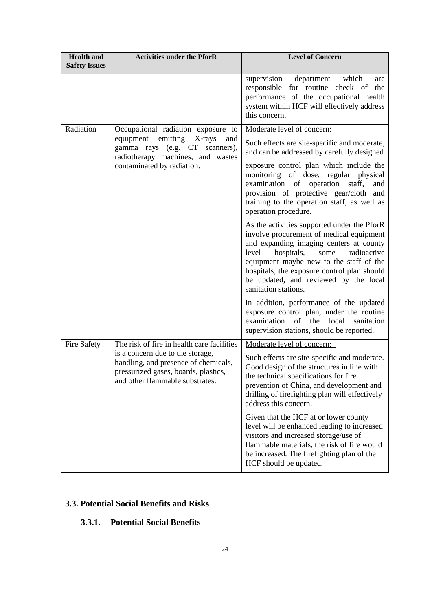| <b>Health and</b><br><b>Safety Issues</b> | <b>Activities under the PforR</b>                                                                                                                   | <b>Level of Concern</b>                                                                                                                                                                                                                                                                                                                     |  |  |  |
|-------------------------------------------|-----------------------------------------------------------------------------------------------------------------------------------------------------|---------------------------------------------------------------------------------------------------------------------------------------------------------------------------------------------------------------------------------------------------------------------------------------------------------------------------------------------|--|--|--|
|                                           |                                                                                                                                                     | supervision<br>department which<br>are<br>responsible for routine check of<br>the<br>performance of the occupational health<br>system within HCF will effectively address<br>this concern.                                                                                                                                                  |  |  |  |
| Radiation                                 | Occupational radiation exposure to                                                                                                                  | Moderate level of concern:                                                                                                                                                                                                                                                                                                                  |  |  |  |
|                                           | equipment<br>emitting<br>X-rays<br>and<br>gamma rays (e.g. CT scanners),<br>radiotherapy machines, and wastes                                       | Such effects are site-specific and moderate,<br>and can be addressed by carefully designed                                                                                                                                                                                                                                                  |  |  |  |
|                                           | contaminated by radiation.                                                                                                                          | exposure control plan which include the<br>monitoring of dose, regular physical<br>examination of operation<br>staff,<br>and<br>provision of protective gear/cloth and<br>training to the operation staff, as well as<br>operation procedure.                                                                                               |  |  |  |
|                                           |                                                                                                                                                     | As the activities supported under the PforR<br>involve procurement of medical equipment<br>and expanding imaging centers at county<br>hospitals,<br>radioactive<br>level<br>some<br>equipment maybe new to the staff of the<br>hospitals, the exposure control plan should<br>be updated, and reviewed by the local<br>sanitation stations. |  |  |  |
|                                           |                                                                                                                                                     | In addition, performance of the updated<br>exposure control plan, under the routine<br>examination<br>of<br>the<br>local<br>sanitation<br>supervision stations, should be reported.                                                                                                                                                         |  |  |  |
| <b>Fire Safety</b>                        | The risk of fire in health care facilities                                                                                                          | Moderate level of concern:                                                                                                                                                                                                                                                                                                                  |  |  |  |
|                                           | is a concern due to the storage,<br>handling, and presence of chemicals,<br>pressurized gases, boards, plastics,<br>and other flammable substrates. | Such effects are site-specific and moderate.<br>Good design of the structures in line with<br>the technical specifications for fire<br>prevention of China, and development and<br>drilling of firefighting plan will effectively<br>address this concern.                                                                                  |  |  |  |
|                                           |                                                                                                                                                     | Given that the HCF at or lower county<br>level will be enhanced leading to increased<br>visitors and increased storage/use of<br>flammable materials, the risk of fire would<br>be increased. The firefighting plan of the<br>HCF should be updated.                                                                                        |  |  |  |

#### <span id="page-27-0"></span>**3.3. Potential Social Benefits and Risks**

#### <span id="page-27-1"></span>**3.3.1. Potential Social Benefits**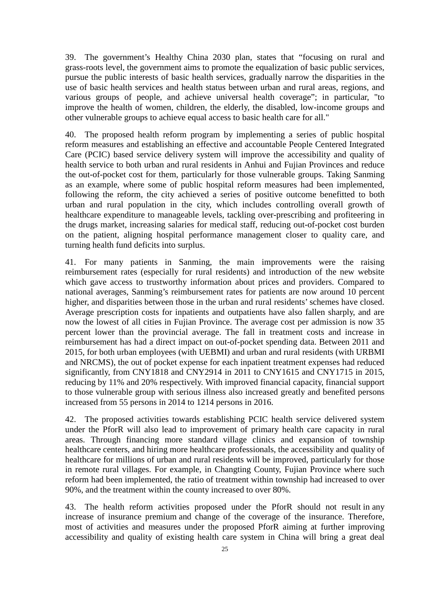39. The government's Healthy China 2030 plan, states that "focusing on rural and grass-roots level, the government aims to promote the equalization of basic public services, pursue the public interests of basic health services, gradually narrow the disparities in the use of basic health services and health status between urban and rural areas, regions, and various groups of people, and achieve universal health coverage"; in particular, "to improve the health of women, children, the elderly, the disabled, low-income groups and other vulnerable groups to achieve equal access to basic health care for all."

40. The proposed health reform program by implementing a series of public hospital reform measures and establishing an effective and accountable People Centered Integrated Care (PCIC) based service delivery system will improve the accessibility and quality of health service to both urban and rural residents in Anhui and Fujian Provinces and reduce the out-of-pocket cost for them, particularly for those vulnerable groups. Taking Sanming as an example, where some of public hospital reform measures had been implemented, following the reform, the city achieved a series of positive outcome benefitted to both urban and rural population in the city, which includes controlling overall growth of healthcare expenditure to manageable levels, tackling over-prescribing and profiteering in the drugs market, increasing salaries for medical staff, reducing out-of-pocket cost burden on the patient, aligning hospital performance management closer to quality care, and turning health fund deficits into surplus.

41. For many patients in Sanming, the main improvements were the raising reimbursement rates (especially for rural residents) and introduction of the new website which gave access to trustworthy information about prices and providers. Compared to national averages, Sanming's reimbursement rates for patients are now around 10 percent higher, and disparities between those in the urban and rural residents' schemes have closed. Average prescription costs for inpatients and outpatients have also fallen sharply, and are now the lowest of all cities in Fujian Province. The average cost per admission is now 35 percent lower than the provincial average. The fall in treatment costs and increase in reimbursement has had a direct impact on out-of-pocket spending data. Between 2011 and 2015, for both urban employees (with UEBMI) and urban and rural residents (with URBMI and NRCMS), the out of pocket expense for each inpatient treatment expenses had reduced significantly, from CNY1818 and CNY2914 in 2011 to CNY1615 and CNY1715 in 2015, reducing by 11% and 20% respectively. With improved financial capacity, financial support to those vulnerable group with serious illness also increased greatly and benefited persons increased from 55 persons in 2014 to 1214 persons in 2016.

42. The proposed activities towards establishing PCIC health service delivered system under the PforR will also lead to improvement of primary health care capacity in rural areas. Through financing more standard village clinics and expansion of township healthcare centers, and hiring more healthcare professionals, the accessibility and quality of healthcare for millions of urban and rural residents will be improved, particularly for those in remote rural villages. For example, in Changting County, Fujian Province where such reform had been implemented, the ratio of treatment within township had increased to over 90%, and the treatment within the county increased to over 80%.

43. The health reform activities proposed under the PforR should not result in any increase of insurance premium and change of the coverage of the insurance. Therefore, most of activities and measures under the proposed PforR aiming at further improving accessibility and quality of existing health care system in China will bring a great deal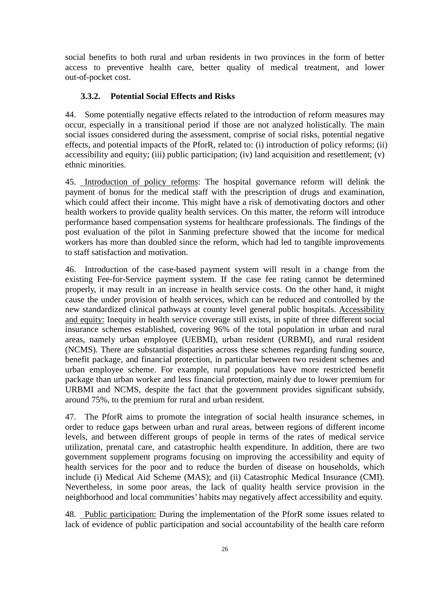social benefits to both rural and urban residents in two provinces in the form of better access to preventive health care, better quality of medical treatment, and lower out-of-pocket cost.

#### <span id="page-29-0"></span>**3.3.2. Potential Social Effects and Risks**

44. Some potentially negative effects related to the introduction of reform measures may occur, especially in a transitional period if those are not analyzed holistically. The main social issues considered during the assessment, comprise of social risks, potential negative effects, and potential impacts of the PforR, related to: (i) introduction of policy reforms; (ii) accessibility and equity; (iii) public participation; (iv) land acquisition and resettlement; (v) ethnic minorities.

45. Introduction of policy reforms: The hospital governance reform will delink the payment of bonus for the medical staff with the prescription of drugs and examination, which could affect their income. This might have a risk of demotivating doctors and other health workers to provide quality health services. On this matter, the reform will introduce performance based compensation systems for healthcare professionals. The findings of the post evaluation of the pilot in Sanming prefecture showed that the income for medical workers has more than doubled since the reform, which had led to tangible improvements to staff satisfaction and motivation.

46. Introduction of the case-based payment system will result in a change from the existing Fee-for-Service payment system. If the case fee rating cannot be determined properly, it may result in an increase in health service costs. On the other hand, it might cause the under provision of health services, which can be reduced and controlled by the new standardized clinical pathways at county level general public hospitals. Accessibility and equity: Inequity in health service coverage still exists, in spite of three different social insurance schemes established, covering 96% of the total population in urban and rural areas, namely urban employee (UEBMI), urban resident (URBMI), and rural resident (NCMS). There are substantial disparities across these schemes regarding funding source, benefit package, and financial protection, in particular between two resident schemes and urban employee scheme. For example, rural populations have more restricted benefit package than urban worker and less financial protection, mainly due to lower premium for URBMI and NCMS, despite the fact that the government provides significant subsidy, around 75%, to the premium for rural and urban resident.

47. The PforR aims to promote the integration of social health insurance schemes, in order to reduce gaps between urban and rural areas, between regions of different income levels, and between different groups of people in terms of the rates of medical service utilization, prenatal care, and catastrophic health expenditure. In addition, there are two government supplement programs focusing on improving the accessibility and equity of health services for the poor and to reduce the burden of disease on households, which include (i) Medical Aid Scheme (MAS); and (ii) Catastrophic Medical Insurance (CMI). Nevertheless, in some poor areas, the lack of quality health service provision in the neighborhood and local communities' habits may negatively affect accessibility and equity.

48. Public participation: During the implementation of the PforR some issues related to lack of evidence of public participation and social accountability of the health care reform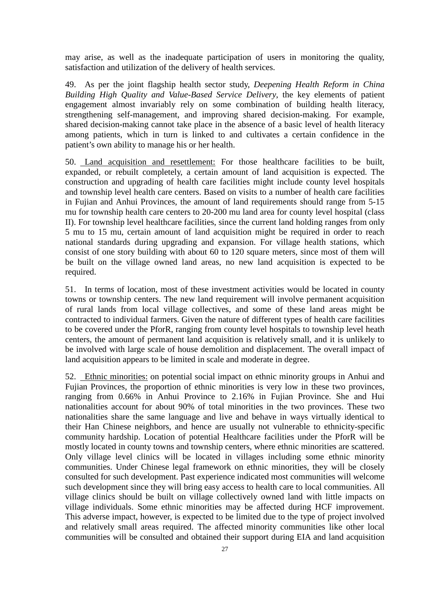may arise, as well as the inadequate participation of users in monitoring the quality, satisfaction and utilization of the delivery of health services.

49. As per the joint flagship health sector study, *Deepening Health Reform in China Building High Quality and Value-Based Service Delivery*, the key elements of patient engagement almost invariably rely on some combination of building health literacy, strengthening self-management, and improving shared decision-making. For example, shared decision-making cannot take place in the absence of a basic level of health literacy among patients, which in turn is linked to and cultivates a certain confidence in the patient's own ability to manage his or her health.

50. Land acquisition and resettlement: For those healthcare facilities to be built, expanded, or rebuilt completely, a certain amount of land acquisition is expected. The construction and upgrading of health care facilities might include county level hospitals and township level health care centers. Based on visits to a number of health care facilities in Fujian and Anhui Provinces, the amount of land requirements should range from 5-15 mu for township health care centers to 20-200 mu land area for county level hospital (class II). For township level healthcare facilities, since the current land holding ranges from only 5 mu to 15 mu, certain amount of land acquisition might be required in order to reach national standards during upgrading and expansion. For village health stations, which consist of one story building with about 60 to 120 square meters, since most of them will be built on the village owned land areas, no new land acquisition is expected to be required.

51. In terms of location, most of these investment activities would be located in county towns or township centers. The new land requirement will involve permanent acquisition of rural lands from local village collectives, and some of these land areas might be contracted to individual farmers. Given the nature of different types of health care facilities to be covered under the PforR, ranging from county level hospitals to township level heath centers, the amount of permanent land acquisition is relatively small, and it is unlikely to be involved with large scale of house demolition and displacement. The overall impact of land acquisition appears to be limited in scale and moderate in degree.

52. Ethnic minorities: on potential social impact on ethnic minority groups in Anhui and Fujian Provinces, the proportion of ethnic minorities is very low in these two provinces, ranging from 0.66% in Anhui Province to 2.16% in Fujian Province. She and Hui nationalities account for about 90% of total minorities in the two provinces. These two nationalities share the same language and live and behave in ways virtually identical to their Han Chinese neighbors, and hence are usually not vulnerable to ethnicity-specific community hardship. Location of potential Healthcare facilities under the PforR will be mostly located in county towns and township centers, where ethnic minorities are scattered. Only village level clinics will be located in villages including some ethnic minority communities. Under Chinese legal framework on ethnic minorities, they will be closely consulted for such development. Past experience indicated most communities will welcome such development since they will bring easy access to health care to local communities. All village clinics should be built on village collectively owned land with little impacts on village individuals. Some ethnic minorities may be affected during HCF improvement. This adverse impact, however, is expected to be limited due to the type of project involved and relatively small areas required. The affected minority communities like other local communities will be consulted and obtained their support during EIA and land acquisition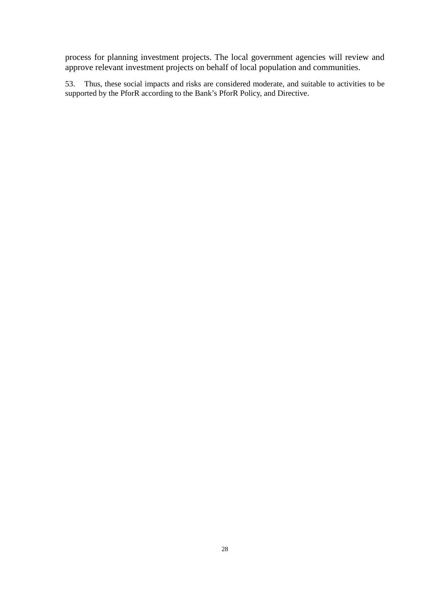process for planning investment projects. The local government agencies will review and approve relevant investment projects on behalf of local population and communities.

53. Thus, these social impacts and risks are considered moderate, and suitable to activities to be supported by the PforR according to the Bank's PforR Policy, and Directive.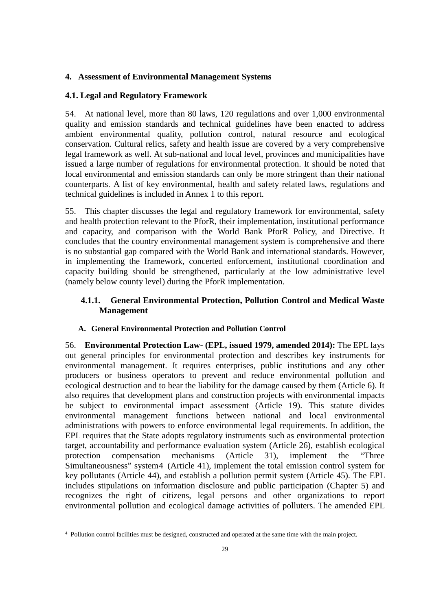#### <span id="page-32-0"></span>**4. Assessment of Environmental Management Systems**

#### <span id="page-32-1"></span>**4.1. Legal and Regulatory Framework**

54. At national level, more than 80 laws, 120 regulations and over 1,000 environmental quality and emission standards and technical guidelines have been enacted to address ambient environmental quality, pollution control, natural resource and ecological conservation. Cultural relics, safety and health issue are covered by a very comprehensive legal framework as well. At sub-national and local level, provinces and municipalities have issued a large number of regulations for environmental protection. It should be noted that local environmental and emission standards can only be more stringent than their national counterparts. A list of key environmental, health and safety related laws, regulations and technical guidelines is included in Annex 1 to this report.

55. This chapter discusses the legal and regulatory framework for environmental, safety and health protection relevant to the PforR, their implementation, institutional performance and capacity, and comparison with the World Bank PforR Policy, and Directive. It concludes that the country environmental management system is comprehensive and there is no substantial gap compared with the World Bank and international standards. However, in implementing the framework, concerted enforcement, institutional coordination and capacity building should be strengthened, particularly at the low administrative level (namely below county level) during the PforR implementation.

#### <span id="page-32-2"></span>**4.1.1. General Environmental Protection, Pollution Control and Medical Waste Management**

#### **A. General Environmental Protection and Pollution Control**

56. **Environmental Protection Law- (EPL, issued 1979, amended 2014):** The EPL lays out general principles for environmental protection and describes key instruments for environmental management. It requires enterprises, public institutions and any other producers or business operators to prevent and reduce environmental pollution and ecological destruction and to bear the liability for the damage caused by them (Article 6). It also requires that development plans and construction projects with environmental impacts be subject to environmental impact assessment (Article 19). This statute divides environmental management functions between national and local environmental administrations with powers to enforce environmental legal requirements. In addition, the EPL requires that the State adopts regulatory instruments such as environmental protection target, accountability and performance evaluation system (Article 26), establish ecological protection compensation mechanisms (Article 31), implement the "Three Simultaneousness" system[4](#page-32-3) (Article 41), implement the total emission control system for key pollutants (Article 44), and establish a pollution permit system (Article 45). The EPL includes stipulations on information disclosure and public participation (Chapter 5) and recognizes the right of citizens, legal persons and other organizations to report environmental pollution and ecological damage activities of polluters. The amended EPL

 $\overline{a}$ 

<span id="page-32-3"></span><sup>4</sup> Pollution control facilities must be designed, constructed and operated at the same time with the main project.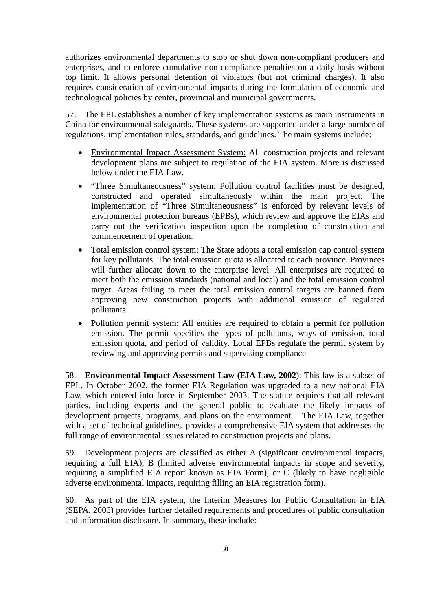authorizes environmental departments to stop or shut down non-compliant producers and enterprises, and to enforce cumulative non-compliance penalties on a daily basis without top limit. It allows personal detention of violators (but not criminal charges). It also requires consideration of environmental impacts during the formulation of economic and technological policies by center, provincial and municipal governments.

57. The EPL establishes a number of key implementation systems as main instruments in China for environmental safeguards. These systems are supported under a large number of regulations, implementation rules, standards, and guidelines. The main systems include:

- Environmental Impact Assessment System: All construction projects and relevant development plans are subject to regulation of the EIA system. More is discussed below under the EIA Law.
- "Three Simultaneousness" system: Pollution control facilities must be designed, constructed and operated simultaneously within the main project. The implementation of "Three Simultaneousness" is enforced by relevant levels of environmental protection bureaus (EPBs), which review and approve the EIAs and carry out the verification inspection upon the completion of construction and commencement of operation.
- Total emission control system: The State adopts a total emission cap control system for key pollutants. The total emission quota is allocated to each province. Provinces will further allocate down to the enterprise level. All enterprises are required to meet both the emission standards (national and local) and the total emission control target. Areas failing to meet the total emission control targets are banned from approving new construction projects with additional emission of regulated pollutants.
- Pollution permit system: All entities are required to obtain a permit for pollution emission. The permit specifies the types of pollutants, ways of emission, total emission quota, and period of validity. Local EPBs regulate the permit system by reviewing and approving permits and supervising compliance.

58. **Environmental Impact Assessment Law (EIA Law, 2002**): This law is a subset of EPL. In October 2002, the former EIA Regulation was upgraded to a new [national EIA](http://news.xinhuanet.com/zhengfu/2002-10/29/content_611415.htm)  [Law,](http://news.xinhuanet.com/zhengfu/2002-10/29/content_611415.htm) which entered into force in September 2003. The statute requires that all relevant parties, including experts and the general public to evaluate the likely impacts of development projects, programs, and plans on the environment. The EIA Law, together with a set of technical guidelines, provides a comprehensive EIA system that addresses the full range of environmental issues related to construction projects and plans.

59. Development projects are classified as either A (significant environmental impacts, requiring a full EIA), B (limited adverse environmental impacts in scope and severity, requiring a simplified EIA report known as EIA Form), or C (likely to have negligible adverse environmental impacts, requiring filling an EIA registration form).

60. As part of the EIA system, the Interim Measures for Public Consultation in EIA (SEPA, 2006) provides further detailed requirements and procedures of public consultation and information disclosure. In summary, these include: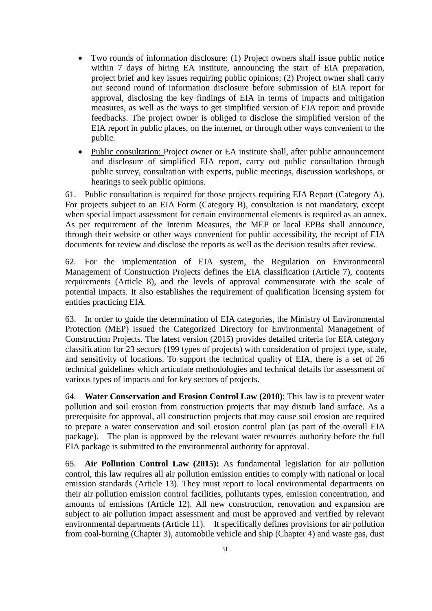- Two rounds of information disclosure: (1) Project owners shall issue public notice within 7 days of hiring EA institute, announcing the start of EIA preparation, project brief and key issues requiring public opinions; (2) Project owner shall carry out second round of information disclosure before submission of EIA report for approval, disclosing the key findings of EIA in terms of impacts and mitigation measures, as well as the ways to get simplified version of EIA report and provide feedbacks. The project owner is obliged to disclose the simplified version of the EIA report in public places, on the internet, or through other ways convenient to the public.
- Public consultation: Project owner or EA institute shall, after public announcement and disclosure of simplified EIA report, carry out public consultation through public survey, consultation with experts, public meetings, discussion workshops, or hearings to seek public opinions.

61. Public consultation is required for those projects requiring EIA Report (Category A). For projects subject to an EIA Form (Category B), consultation is not mandatory, except when special impact assessment for certain environmental elements is required as an annex. As per requirement of the Interim Measures, the MEP or local EPBs shall announce, through their website or other ways convenient for public accessibility, the receipt of EIA documents for review and disclose the reports as well as the decision results after review.

62. For the implementation of EIA system, the Regulation on Environmental Management of Construction Projects defines the EIA classification (Article 7), contents requirements (Article 8), and the levels of approval commensurate with the scale of potential impacts. It also establishes the requirement of qualification licensing system for entities practicing EIA.

63. In order to guide the determination of EIA categories, the Ministry of Environmental Protection (MEP) issued the Categorized Directory for Environmental Management of Construction Projects. The latest version (2015) provides detailed criteria for EIA category classification for 23 sectors (199 types of projects) with consideration of project type, scale, and sensitivity of locations. To support the technical quality of EIA, there is a set of 26 technical guidelines which articulate methodologies and technical details for assessment of various types of impacts and for key sectors of projects.

64. **Water Conservation and Erosion Control Law (2010)**: This law is to prevent water pollution and soil erosion from construction projects that may disturb land surface. As a prerequisite for approval, all construction projects that may cause soil erosion are required to prepare a water conservation and soil erosion control plan (as part of the overall EIA package). The plan is approved by the relevant water resources authority before the full EIA package is submitted to the environmental authority for approval.

65. **Air Pollution Control Law (2015):** As fundamental legislation for air pollution control, this law requires all air pollution emission entities to comply with national or local emission standards (Article 13). They must report to local environmental departments on their air pollution emission control facilities, pollutants types, emission concentration, and amounts of emissions (Article 12). All new construction, renovation and expansion are subject to air pollution impact assessment and must be approved and verified by relevant environmental departments (Article 11). It specifically defines provisions for air pollution from coal-burning (Chapter 3), automobile vehicle and ship (Chapter 4) and waste gas, dust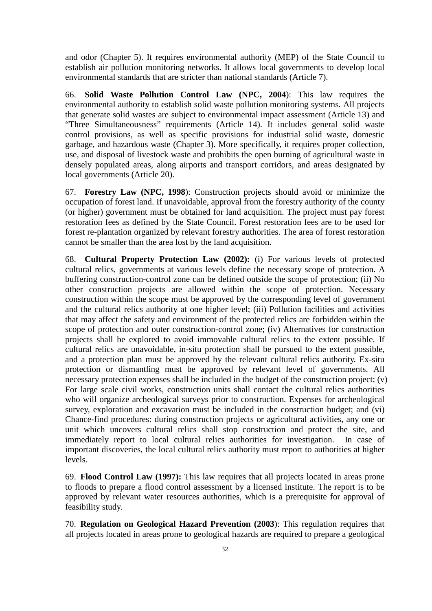and odor (Chapter 5). It requires environmental authority (MEP) of the State Council to establish air pollution monitoring networks. It allows local governments to develop local environmental standards that are stricter than national standards (Article 7).

66. **Solid Waste Pollution Control Law (NPC, 2004**): This law requires the environmental authority to establish solid waste pollution monitoring systems. All projects that generate solid wastes are subject to environmental impact assessment (Article 13) and "Three Simultaneousness" requirements (Article 14). It includes general solid waste control provisions, as well as specific provisions for industrial solid waste, domestic garbage, and hazardous waste (Chapter 3). More specifically, it requires proper collection, use, and disposal of livestock waste and prohibits the open burning of agricultural waste in densely populated areas, along airports and transport corridors, and areas designated by local governments (Article 20).

67. **Forestry Law (NPC, 1998**): Construction projects should avoid or minimize the occupation of forest land. If unavoidable, approval from the forestry authority of the county (or higher) government must be obtained for land acquisition. The project must pay forest restoration fees as defined by the State Council. Forest restoration fees are to be used for forest re-plantation organized by relevant forestry authorities. The area of forest restoration cannot be smaller than the area lost by the land acquisition.

68. **Cultural Property Protection Law (2002):** (i) For various levels of protected cultural relics, governments at various levels define the necessary scope of protection. A buffering construction-control zone can be defined outside the scope of protection; (ii) No other construction projects are allowed within the scope of protection. Necessary construction within the scope must be approved by the corresponding level of government and the cultural relics authority at one higher level; (iii) Pollution facilities and activities that may affect the safety and environment of the protected relics are forbidden within the scope of protection and outer construction-control zone; (iv) Alternatives for construction projects shall be explored to avoid immovable cultural relics to the extent possible. If cultural relics are unavoidable, in-situ protection shall be pursued to the extent possible, and a protection plan must be approved by the relevant cultural relics authority. Ex-situ protection or dismantling must be approved by relevant level of governments. All necessary protection expenses shall be included in the budget of the construction project; (v) For large scale civil works, construction units shall contact the cultural relics authorities who will organize archeological surveys prior to construction. Expenses for archeological survey, exploration and excavation must be included in the construction budget; and (vi) Chance-find procedures: during construction projects or agricultural activities, any one or unit which uncovers cultural relics shall stop construction and protect the site, and immediately report to local cultural relics authorities for investigation. In case of important discoveries, the local cultural relics authority must report to authorities at higher levels.

69. **Flood Control Law (1997):** This law requires that all projects located in areas prone to floods to prepare a flood control assessment by a licensed institute. The report is to be approved by relevant water resources authorities, which is a prerequisite for approval of feasibility study.

70. **Regulation on Geological Hazard Prevention (2003**): This regulation requires that all projects located in areas prone to geological hazards are required to prepare a geological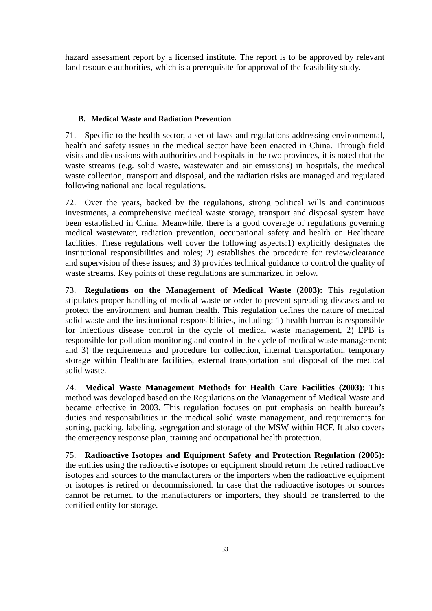hazard assessment report by a licensed institute. The report is to be approved by relevant land resource authorities, which is a prerequisite for approval of the feasibility study.

#### **B. Medical Waste and Radiation Prevention**

71. Specific to the health sector, a set of laws and regulations addressing environmental, health and safety issues in the medical sector have been enacted in China. Through field visits and discussions with authorities and hospitals in the two provinces, it is noted that the waste streams (e.g. solid waste, wastewater and air emissions) in hospitals, the medical waste collection, transport and disposal, and the radiation risks are managed and regulated following national and local regulations.

72. Over the years, backed by the regulations, strong political wills and continuous investments, a comprehensive medical waste storage, transport and disposal system have been established in China. Meanwhile, there is a good coverage of regulations governing medical wastewater, radiation prevention, occupational safety and health on Healthcare facilities. These regulations well cover the following aspects:1) explicitly designates the institutional responsibilities and roles; 2) establishes the procedure for review/clearance and supervision of these issues; and 3) provides technical guidance to control the quality of waste streams. Key points of these regulations are summarized in below.

73. **Regulations on the Management of Medical Waste (2003):** This regulation stipulates proper handling of medical waste or order to prevent spreading diseases and to protect the environment and human health. This regulation defines the nature of medical solid waste and the institutional responsibilities, including: 1) health bureau is responsible for infectious disease control in the cycle of medical waste management, 2) EPB is responsible for pollution monitoring and control in the cycle of medical waste management; and 3) the requirements and procedure for collection, internal transportation, temporary storage within Healthcare facilities, external transportation and disposal of the medical solid waste.

74. **Medical Waste Management Methods for Health Care Facilities (2003):** This method was developed based on the Regulations on the Management of Medical Waste and became effective in 2003. This regulation focuses on put emphasis on health bureau's duties and responsibilities in the medical solid waste management, and requirements for sorting, packing, labeling, segregation and storage of the MSW within HCF. It also covers the emergency response plan, training and occupational health protection.

75. **Radioactive Isotopes and Equipment Safety and Protection Regulation (2005):**  the entities using the radioactive isotopes or equipment should return the retired radioactive isotopes and sources to the manufacturers or the importers when the radioactive equipment or isotopes is retired or decommissioned. In case that the radioactive isotopes or sources cannot be returned to the manufacturers or importers, they should be transferred to the certified entity for storage.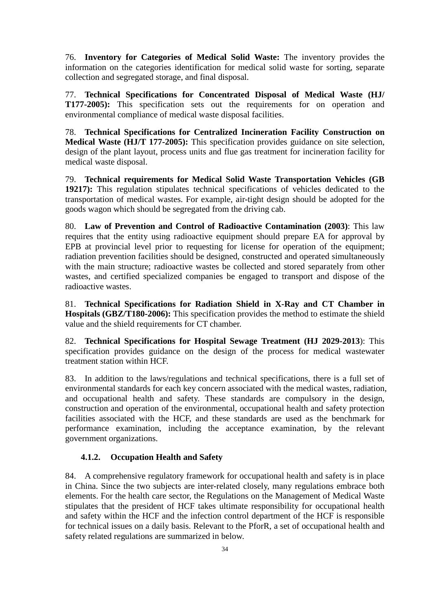76. **Inventory for Categories of Medical Solid Waste:** The inventory provides the information on the categories identification for medical solid waste for sorting, separate collection and segregated storage, and final disposal.

77. **Technical Specifications for Concentrated Disposal of Medical Waste (HJ/ T177-2005):** This specification sets out the requirements for on operation and environmental compliance of medical waste disposal facilities.

78. **Technical Specifications for Centralized Incineration Facility Construction on Medical Waste (HJ/T 177-2005):** This specification provides guidance on site selection, design of the plant layout, process units and flue gas treatment for incineration facility for medical waste disposal.

79. **Technical requirements for Medical Solid Waste Transportation Vehicles (GB 19217):** This regulation stipulates technical specifications of vehicles dedicated to the transportation of medical wastes. For example, air-tight design should be adopted for the goods wagon which should be segregated from the driving cab.

80. **Law of Prevention and Control of Radioactive Contamination (2003)**: This law requires that the entity using radioactive equipment should prepare EA for approval by EPB at provincial level prior to requesting for license for operation of the equipment; radiation prevention facilities should be designed, constructed and operated simultaneously with the main structure; radioactive wastes be collected and stored separately from other wastes, and certified specialized companies be engaged to transport and dispose of the radioactive wastes.

81. **Technical Specifications for Radiation Shield in X-Ray and CT Chamber in Hospitals (GBZ/T180-2006):** This specification provides the method to estimate the shield value and the shield requirements for CT chamber.

82. **Technical Specifications for Hospital Sewage Treatment (HJ 2029-2013**): This specification provides guidance on the design of the process for medical wastewater treatment station within HCF.

83. In addition to the laws/regulations and technical specifications, there is a full set of environmental standards for each key concern associated with the medical wastes, radiation, and occupational health and safety. These standards are compulsory in the design, construction and operation of the environmental, occupational health and safety protection facilities associated with the HCF, and these standards are used as the benchmark for performance examination, including the acceptance examination, by the relevant government organizations.

## **4.1.2. Occupation Health and Safety**

84. A comprehensive regulatory framework for occupational health and safety is in place in China. Since the two subjects are inter-related closely, many regulations embrace both elements. For the health care sector, the Regulations on the Management of Medical Waste stipulates that the president of HCF takes ultimate responsibility for occupational health and safety within the HCF and the infection control department of the HCF is responsible for technical issues on a daily basis. Relevant to the PforR, a set of occupational health and safety related regulations are summarized in below.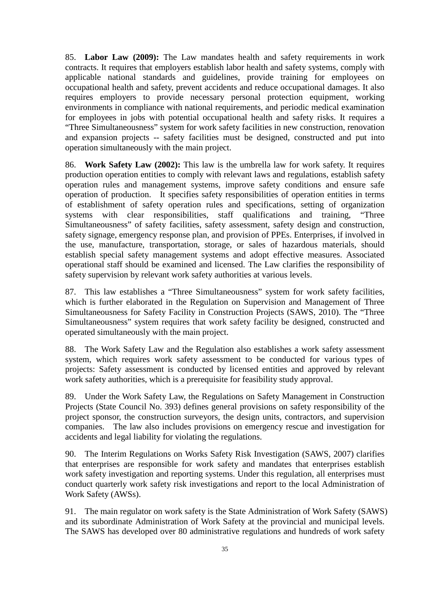85. **Labor Law (2009):** The Law mandates health and safety requirements in work contracts. It requires that employers establish labor health and safety systems, comply with applicable national standards and guidelines, provide training for employees on occupational health and safety, prevent accidents and reduce occupational damages. It also requires employers to provide necessary personal protection equipment, working environments in compliance with national requirements, and periodic medical examination for employees in jobs with potential occupational health and safety risks. It requires a "Three Simultaneousness" system for work safety facilities in new construction, renovation and expansion projects -- safety facilities must be designed, constructed and put into operation simultaneously with the main project.

86. **Work Safety Law (2002):** This law is the umbrella law for work safety. It requires production operation entities to comply with relevant laws and regulations, establish safety operation rules and management systems, improve safety conditions and ensure safe operation of production. It specifies safety responsibilities of operation entities in terms of establishment of safety operation rules and specifications, setting of organization systems with clear responsibilities, staff qualifications and training, "Three Simultaneousness" of safety facilities, safety assessment, safety design and construction, safety signage, emergency response plan, and provision of PPEs. Enterprises, if involved in the use, manufacture, transportation, storage, or sales of hazardous materials, should establish special safety management systems and adopt effective measures. Associated operational staff should be examined and licensed. The Law clarifies the responsibility of safety supervision by relevant work safety authorities at various levels.

87. This law establishes a "Three Simultaneousness" system for work safety facilities, which is further elaborated in the Regulation on Supervision and Management of Three Simultaneousness for Safety Facility in Construction Projects (SAWS, 2010). The "Three Simultaneousness" system requires that work safety facility be designed, constructed and operated simultaneously with the main project.

88. The Work Safety Law and the Regulation also establishes a work safety assessment system, which requires work safety assessment to be conducted for various types of projects: Safety assessment is conducted by licensed entities and approved by relevant work safety authorities, which is a prerequisite for feasibility study approval.

89. Under the Work Safety Law, the Regulations on Safety Management in Construction Projects (State Council No. 393) defines general provisions on safety responsibility of the project sponsor, the construction surveyors, the design units, contractors, and supervision companies. The law also includes provisions on emergency rescue and investigation for accidents and legal liability for violating the regulations.

90. The Interim Regulations on Works Safety Risk Investigation (SAWS, 2007) clarifies that enterprises are responsible for work safety and mandates that enterprises establish work safety investigation and reporting systems. Under this regulation, all enterprises must conduct quarterly work safety risk investigations and report to the local Administration of Work Safety (AWSs).

91. The main regulator on work safety is the State Administration of Work Safety (SAWS) and its subordinate Administration of Work Safety at the provincial and municipal levels. The SAWS has developed over 80 administrative regulations and hundreds of work safety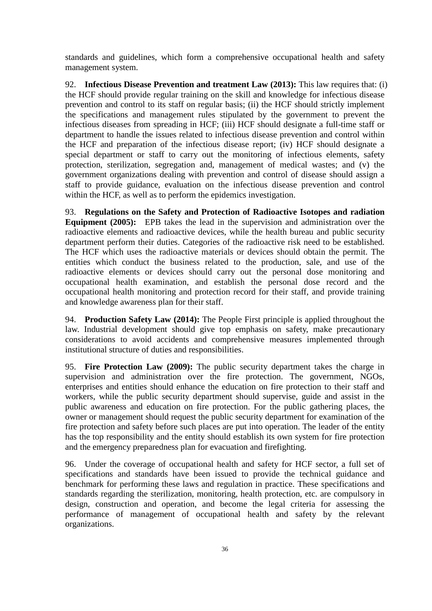standards and guidelines, which form a comprehensive occupational health and safety management system.

92. **Infectious Disease Prevention and treatment Law (2013):** This law requires that: (i) the HCF should provide regular training on the skill and knowledge for infectious disease prevention and control to its staff on regular basis; (ii) the HCF should strictly implement the specifications and management rules stipulated by the government to prevent the infectious diseases from spreading in HCF; (iii) HCF should designate a full-time staff or department to handle the issues related to infectious disease prevention and control within the HCF and preparation of the infectious disease report; (iv) HCF should designate a special department or staff to carry out the monitoring of infectious elements, safety protection, sterilization, segregation and, management of medical wastes; and (v) the government organizations dealing with prevention and control of disease should assign a staff to provide guidance, evaluation on the infectious disease prevention and control within the HCF, as well as to perform the epidemics investigation.

93. **Regulations on the Safety and Protection of Radioactive Isotopes and radiation Equipment (2005):** EPB takes the lead in the supervision and administration over the radioactive elements and radioactive devices, while the health bureau and public security department perform their duties. Categories of the radioactive risk need to be established. The HCF which uses the radioactive materials or devices should obtain the permit. The entities which conduct the business related to the production, sale, and use of the radioactive elements or devices should carry out the personal dose monitoring and occupational health examination, and establish the personal dose record and the occupational health monitoring and protection record for their staff, and provide training and knowledge awareness plan for their staff.

94. **Production Safety Law (2014):** The People First principle is applied throughout the law. Industrial development should give top emphasis on safety, make precautionary considerations to avoid accidents and comprehensive measures implemented through institutional structure of duties and responsibilities.

95. **Fire Protection Law (2009):** The public security department takes the charge in supervision and administration over the fire protection. The government, NGOs, enterprises and entities should enhance the education on fire protection to their staff and workers, while the public security department should supervise, guide and assist in the public awareness and education on fire protection. For the public gathering places, the owner or management should request the public security department for examination of the fire protection and safety before such places are put into operation. The leader of the entity has the top responsibility and the entity should establish its own system for fire protection and the emergency preparedness plan for evacuation and firefighting.

96. Under the coverage of occupational health and safety for HCF sector, a full set of specifications and standards have been issued to provide the technical guidance and benchmark for performing these laws and regulation in practice. These specifications and standards regarding the sterilization, monitoring, health protection, etc. are compulsory in design, construction and operation, and become the legal criteria for assessing the performance of management of occupational health and safety by the relevant organizations.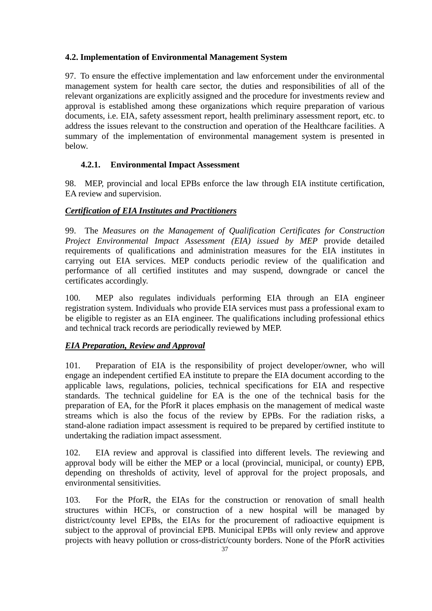# **4.2. Implementation of Environmental Management System**

97. To ensure the effective implementation and law enforcement under the environmental management system for health care sector, the duties and responsibilities of all of the relevant organizations are explicitly assigned and the procedure for investments review and approval is established among these organizations which require preparation of various documents, i.e. EIA, safety assessment report, health preliminary assessment report, etc. to address the issues relevant to the construction and operation of the Healthcare facilities. A summary of the implementation of environmental management system is presented in below.

# **4.2.1. Environmental Impact Assessment**

98. MEP, provincial and local EPBs enforce the law through EIA institute certification, EA review and supervision.

# *Certification of EIA Institutes and Practitioners*

99. The *Measures on the Management of Qualification Certificates for Construction Project Environmental Impact Assessment (EIA) issued by MEP* provide detailed requirements of qualifications and administration measures for the EIA institutes in carrying out EIA services. MEP conducts periodic review of the qualification and performance of all certified institutes and may suspend, downgrade or cancel the certificates accordingly.

100. MEP also regulates individuals performing EIA through an EIA engineer registration system. Individuals who provide EIA services must pass a professional exam to be eligible to register as an EIA engineer. The qualifications including professional ethics and technical track records are periodically reviewed by MEP.

## *EIA Preparation, Review and Approval*

101. Preparation of EIA is the responsibility of project developer/owner, who will engage an independent certified EA institute to prepare the EIA document according to the applicable laws, regulations, policies, technical specifications for EIA and respective standards. The technical guideline for EA is the one of the technical basis for the preparation of EA, for the PforR it places emphasis on the management of medical waste streams which is also the focus of the review by EPBs. For the radiation risks, a stand-alone radiation impact assessment is required to be prepared by certified institute to undertaking the radiation impact assessment.

102. EIA review and approval is classified into different levels. The reviewing and approval body will be either the MEP or a local (provincial, municipal, or county) EPB, depending on thresholds of activity, level of approval for the project proposals, and environmental sensitivities.

103. For the PforR, the EIAs for the construction or renovation of small health structures within HCFs, or construction of a new hospital will be managed by district/county level EPBs, the EIAs for the procurement of radioactive equipment is subject to the approval of provincial EPB. Municipal EPBs will only review and approve projects with heavy pollution or cross-district/county borders. None of the PforR activities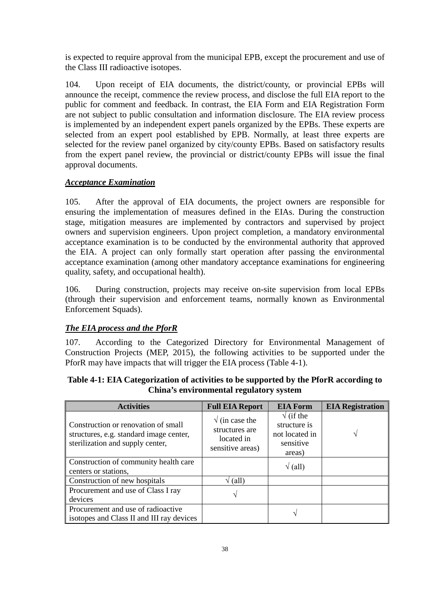is expected to require approval from the municipal EPB, except the procurement and use of the Class III radioactive isotopes.

104. Upon receipt of EIA documents, the district/county, or provincial EPBs will announce the receipt, commence the review process, and disclose the full EIA report to the public for comment and feedback. In contrast, the EIA Form and EIA Registration Form are not subject to public consultation and information disclosure. The EIA review process is implemented by an independent expert panels organized by the EPBs. These experts are selected from an expert pool established by EPB. Normally, at least three experts are selected for the review panel organized by city/county EPBs. Based on satisfactory results from the expert panel review, the provincial or district/county EPBs will issue the final approval documents.

## *Acceptance Examination*

105. After the approval of EIA documents, the project owners are responsible for ensuring the implementation of measures defined in the EIAs. During the construction stage, mitigation measures are implemented by contractors and supervised by project owners and supervision engineers. Upon project completion, a mandatory environmental acceptance examination is to be conducted by the environmental authority that approved the EIA. A project can only formally start operation after passing the environmental acceptance examination (among other mandatory acceptance examinations for engineering quality, safety, and occupational health).

106. During construction, projects may receive on-site supervision from local EPBs (through their supervision and enforcement teams, normally known as Environmental Enforcement Squads).

## *The EIA process and the PforR*

107. According to the Categorized Directory for Environmental Management of Construction Projects (MEP, 2015), the following activities to be supported under the PforR may have impacts that will trigger the EIA process (Table 4-1).

| <b>Activities</b>                                                                                                  | <b>Full EIA Report</b>                                                     | <b>EIA Form</b>                                                            | <b>EIA Registration</b> |
|--------------------------------------------------------------------------------------------------------------------|----------------------------------------------------------------------------|----------------------------------------------------------------------------|-------------------------|
| Construction or renovation of small<br>structures, e.g. standard image center,<br>sterilization and supply center, | $\sqrt{}$ (in case the<br>structures are<br>located in<br>sensitive areas) | $\sqrt{}$ (if the<br>structure is<br>not located in<br>sensitive<br>areas) |                         |
| Construction of community health care<br>centers or stations,                                                      |                                                                            | $\sqrt{(all)}$                                                             |                         |
| Construction of new hospitals                                                                                      | (all)                                                                      |                                                                            |                         |
| Procurement and use of Class I ray<br>devices                                                                      |                                                                            |                                                                            |                         |
| Procurement and use of radioactive<br>isotopes and Class II and III ray devices                                    |                                                                            |                                                                            |                         |

**Table 4-1: EIA Categorization of activities to be supported by the PforR according to China's environmental regulatory system**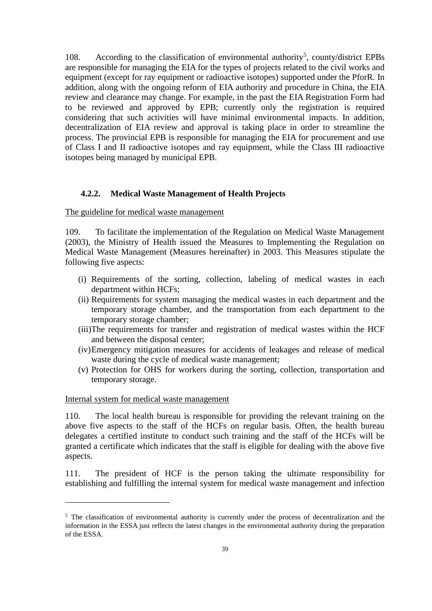108. According to the classification of environmental authority<sup>[5](#page-42-0)</sup>, county/district EPBs are responsible for managing the EIA for the types of projects related to the civil works and equipment (except for ray equipment or radioactive isotopes) supported under the PforR. In addition, along with the ongoing reform of EIA authority and procedure in China, the EIA review and clearance may change. For example, in the past the EIA Registration Form had to be reviewed and approved by EPB; currently only the registration is required considering that such activities will have minimal environmental impacts. In addition, decentralization of EIA review and approval is taking place in order to streamline the process. The provincial EPB is responsible for managing the EIA for procurement and use of Class I and II radioactive isotopes and ray equipment, while the Class III radioactive isotopes being managed by municipal EPB.

#### **4.2.2. Medical Waste Management of Health Projects**

#### The guideline for medical waste management

109. To facilitate the implementation of the Regulation on Medical Waste Management (2003), the Ministry of Health issued the Measures to Implementing the Regulation on Medical Waste Management (Measures hereinafter) in 2003. This Measures stipulate the following five aspects:

- (i) Requirements of the sorting, collection, labeling of medical wastes in each department within HCFs;
- (ii) Requirements for system managing the medical wastes in each department and the temporary storage chamber, and the transportation from each department to the temporary storage chamber;
- (iii)The requirements for transfer and registration of medical wastes within the HCF and between the disposal center;
- (iv)Emergency mitigation measures for accidents of leakages and release of medical waste during the cycle of medical waste management;
- (v) Protection for OHS for workers during the sorting, collection, transportation and temporary storage.

### Internal system for medical waste management

 $\ddot{ }$ 

110. The local health bureau is responsible for providing the relevant training on the above five aspects to the staff of the HCFs on regular basis. Often, the health bureau delegates a certified institute to conduct such training and the staff of the HCFs will be granted a certificate which indicates that the staff is eligible for dealing with the above five aspects.

111. The president of HCF is the person taking the ultimate responsibility for establishing and fulfilling the internal system for medical waste management and infection

<span id="page-42-0"></span> $5$  The classification of environmental authority is currently under the process of decentralization and the information in the ESSA just reflects the latest changes in the environmental authority during the preparation of the ESSA.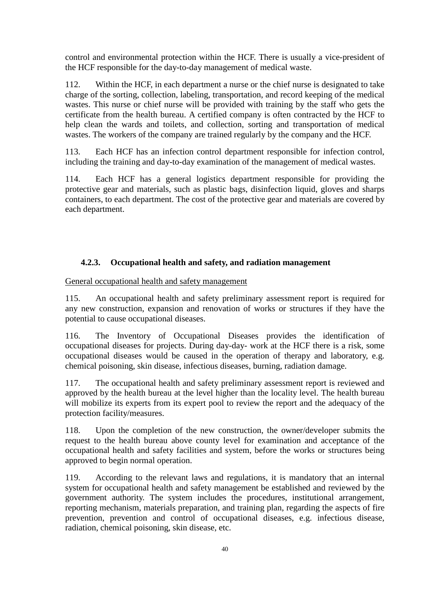control and environmental protection within the HCF. There is usually a vice-president of the HCF responsible for the day-to-day management of medical waste.

112. Within the HCF, in each department a nurse or the chief nurse is designated to take charge of the sorting, collection, labeling, transportation, and record keeping of the medical wastes. This nurse or chief nurse will be provided with training by the staff who gets the certificate from the health bureau. A certified company is often contracted by the HCF to help clean the wards and toilets, and collection, sorting and transportation of medical wastes. The workers of the company are trained regularly by the company and the HCF.

113. Each HCF has an infection control department responsible for infection control, including the training and day-to-day examination of the management of medical wastes.

114. Each HCF has a general logistics department responsible for providing the protective gear and materials, such as plastic bags, disinfection liquid, gloves and sharps containers, to each department. The cost of the protective gear and materials are covered by each department.

#### **4.2.3. Occupational health and safety, and radiation management**

General occupational health and safety management

115. An occupational health and safety preliminary assessment report is required for any new construction, expansion and renovation of works or structures if they have the potential to cause occupational diseases.

116. The Inventory of Occupational Diseases provides the identification of occupational diseases for projects. During day-day- work at the HCF there is a risk, some occupational diseases would be caused in the operation of therapy and laboratory, e.g. chemical poisoning, skin disease, infectious diseases, burning, radiation damage.

117. The occupational health and safety preliminary assessment report is reviewed and approved by the health bureau at the level higher than the locality level. The health bureau will mobilize its experts from its expert pool to review the report and the adequacy of the protection facility/measures.

118. Upon the completion of the new construction, the owner/developer submits the request to the health bureau above county level for examination and acceptance of the occupational health and safety facilities and system, before the works or structures being approved to begin normal operation.

119. According to the relevant laws and regulations, it is mandatory that an internal system for occupational health and safety management be established and reviewed by the government authority. The system includes the procedures, institutional arrangement, reporting mechanism, materials preparation, and training plan, regarding the aspects of fire prevention, prevention and control of occupational diseases, e.g. infectious disease, radiation, chemical poisoning, skin disease, etc.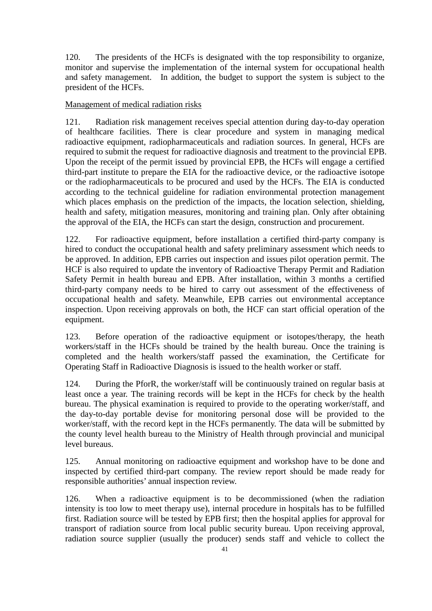120. The presidents of the HCFs is designated with the top responsibility to organize, monitor and supervise the implementation of the internal system for occupational health and safety management. In addition, the budget to support the system is subject to the president of the HCFs.

### Management of medical radiation risks

121. Radiation risk management receives special attention during day-to-day operation of healthcare facilities. There is clear procedure and system in managing medical radioactive equipment, radiopharmaceuticals and radiation sources. In general, HCFs are required to submit the request for radioactive diagnosis and treatment to the provincial EPB. Upon the receipt of the permit issued by provincial EPB, the HCFs will engage a certified third-part institute to prepare the EIA for the radioactive device, or the radioactive isotope or the radiopharmaceuticals to be procured and used by the HCFs. The EIA is conducted according to the technical guideline for radiation environmental protection management which places emphasis on the prediction of the impacts, the location selection, shielding, health and safety, mitigation measures, monitoring and training plan. Only after obtaining the approval of the EIA, the HCFs can start the design, construction and procurement.

122. For radioactive equipment, before installation a certified third-party company is hired to conduct the occupational health and safety preliminary assessment which needs to be approved. In addition, EPB carries out inspection and issues pilot operation permit. The HCF is also required to update the inventory of Radioactive Therapy Permit and Radiation Safety Permit in health bureau and EPB. After installation, within 3 months a certified third-party company needs to be hired to carry out assessment of the effectiveness of occupational health and safety. Meanwhile, EPB carries out environmental acceptance inspection. Upon receiving approvals on both, the HCF can start official operation of the equipment.

123. Before operation of the radioactive equipment or isotopes/therapy, the heath workers/staff in the HCFs should be trained by the health bureau. Once the training is completed and the health workers/staff passed the examination, the Certificate for Operating Staff in Radioactive Diagnosis is issued to the health worker or staff.

124. During the PforR, the worker/staff will be continuously trained on regular basis at least once a year. The training records will be kept in the HCFs for check by the health bureau. The physical examination is required to provide to the operating worker/staff, and the day-to-day portable devise for monitoring personal dose will be provided to the worker/staff, with the record kept in the HCFs permanently. The data will be submitted by the county level health bureau to the Ministry of Health through provincial and municipal level bureaus.

125. Annual monitoring on radioactive equipment and workshop have to be done and inspected by certified third-part company. The review report should be made ready for responsible authorities' annual inspection review.

126. When a radioactive equipment is to be decommissioned (when the radiation intensity is too low to meet therapy use), internal procedure in hospitals has to be fulfilled first. Radiation source will be tested by EPB first; then the hospital applies for approval for transport of radiation source from local public security bureau. Upon receiving approval, radiation source supplier (usually the producer) sends staff and vehicle to collect the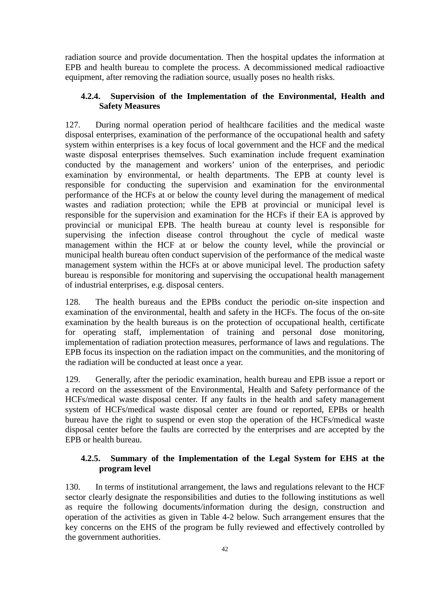radiation source and provide documentation. Then the hospital updates the information at EPB and health bureau to complete the process. A decommissioned medical radioactive equipment, after removing the radiation source, usually poses no health risks.

## **4.2.4. Supervision of the Implementation of the Environmental, Health and Safety Measures**

127. During normal operation period of healthcare facilities and the medical waste disposal enterprises, examination of the performance of the occupational health and safety system within enterprises is a key focus of local government and the HCF and the medical waste disposal enterprises themselves. Such examination include frequent examination conducted by the management and workers' union of the enterprises, and periodic examination by environmental, or health departments. The EPB at county level is responsible for conducting the supervision and examination for the environmental performance of the HCFs at or below the county level during the management of medical wastes and radiation protection; while the EPB at provincial or municipal level is responsible for the supervision and examination for the HCFs if their EA is approved by provincial or municipal EPB. The health bureau at county level is responsible for supervising the infection disease control throughout the cycle of medical waste management within the HCF at or below the county level, while the provincial or municipal health bureau often conduct supervision of the performance of the medical waste management system within the HCFs at or above municipal level. The production safety bureau is responsible for monitoring and supervising the occupational health management of industrial enterprises, e.g. disposal centers.

128. The health bureaus and the EPBs conduct the periodic on-site inspection and examination of the environmental, health and safety in the HCFs. The focus of the on-site examination by the health bureaus is on the protection of occupational health, certificate for operating staff, implementation of training and personal dose monitoring, implementation of radiation protection measures, performance of laws and regulations. The EPB focus its inspection on the radiation impact on the communities, and the monitoring of the radiation will be conducted at least once a year.

129. Generally, after the periodic examination, health bureau and EPB issue a report or a record on the assessment of the Environmental, Health and Safety performance of the HCFs/medical waste disposal center. If any faults in the health and safety management system of HCFs/medical waste disposal center are found or reported, EPBs or health bureau have the right to suspend or even stop the operation of the HCFs/medical waste disposal center before the faults are corrected by the enterprises and are accepted by the EPB or health bureau.

# **4.2.5. Summary of the Implementation of the Legal System for EHS at the program level**

130. In terms of institutional arrangement, the laws and regulations relevant to the HCF sector clearly designate the responsibilities and duties to the following institutions as well as require the following documents/information during the design, construction and operation of the activities as given in Table 4-2 below. Such arrangement ensures that the key concerns on the EHS of the program be fully reviewed and effectively controlled by the government authorities.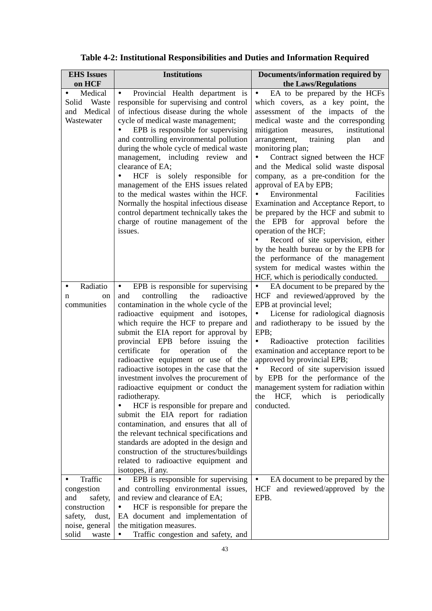| <b>EHS</b> Issues                                      | <b>Institutions</b>                                                                                                                                                                                                                                                                                                                                                                                                                                                                                                                                                                                                                                                                                                                                                                                                                                                      | Documents/information required by                                                                                                                                                                                                                                                                                                                                                                                                                                                                                                                                                                                                                                                                                                                                         |
|--------------------------------------------------------|--------------------------------------------------------------------------------------------------------------------------------------------------------------------------------------------------------------------------------------------------------------------------------------------------------------------------------------------------------------------------------------------------------------------------------------------------------------------------------------------------------------------------------------------------------------------------------------------------------------------------------------------------------------------------------------------------------------------------------------------------------------------------------------------------------------------------------------------------------------------------|---------------------------------------------------------------------------------------------------------------------------------------------------------------------------------------------------------------------------------------------------------------------------------------------------------------------------------------------------------------------------------------------------------------------------------------------------------------------------------------------------------------------------------------------------------------------------------------------------------------------------------------------------------------------------------------------------------------------------------------------------------------------------|
| on HCF                                                 |                                                                                                                                                                                                                                                                                                                                                                                                                                                                                                                                                                                                                                                                                                                                                                                                                                                                          | the Laws/Regulations                                                                                                                                                                                                                                                                                                                                                                                                                                                                                                                                                                                                                                                                                                                                                      |
| Medical<br>Waste<br>Solid<br>and Medical<br>Wastewater | Provincial Health department is<br>$\bullet$<br>responsible for supervising and control<br>of infectious disease during the whole<br>cycle of medical waste management;<br>EPB is responsible for supervising<br>and controlling environmental pollution<br>during the whole cycle of medical waste<br>management, including review<br>and<br>clearance of EA;<br>HCF is solely responsible for<br>management of the EHS issues related<br>to the medical wastes within the HCF.<br>Normally the hospital infectious disease<br>control department technically takes the<br>charge of routine management of the<br>issues.                                                                                                                                                                                                                                               | EA to be prepared by the HCFs<br>$\bullet$ .<br>which covers, as a key point, the<br>assessment of the impacts of the<br>medical waste and the corresponding<br>mitigation<br>institutional<br>measures,<br>arrangement,<br>training<br>plan<br>and<br>monitoring plan;<br>Contract signed between the HCF<br>$\bullet$<br>and the Medical solid waste disposal<br>company, as a pre-condition for the<br>approval of EA by EPB;<br>Environmental<br>Facilities<br>Examination and Acceptance Report, to<br>be prepared by the HCF and submit to<br>the EPB for approval before the<br>operation of the HCF;<br>Record of site supervision, either<br>by the health bureau or by the EPB for<br>the performance of the management<br>system for medical wastes within the |
| Radiatio<br>$\bullet$<br>on<br>n<br>communities        | EPB is responsible for supervising<br>$\bullet$<br>the<br>radioactive<br>controlling<br>and<br>contamination in the whole cycle of the<br>radioactive equipment and isotopes,<br>which require the HCF to prepare and<br>submit the EIA report for approval by<br>before issuing<br>provincial EPB<br>the<br>operation<br>certificate<br>for<br>of<br>the<br>radioactive equipment or use of the<br>radioactive isotopes in the case that the<br>investment involves the procurement of<br>radioactive equipment or conduct the<br>radiotherapy.<br>HCF is responsible for prepare and<br>submit the EIA report for radiation<br>contamination, and ensures that all of<br>the relevant technical specifications and<br>standards are adopted in the design and<br>construction of the structures/buildings<br>related to radioactive equipment and<br>isotopes, if any. | HCF, which is periodically conducted.<br>• EA document to be prepared by the<br>HCF and reviewed/approved by the<br>EPB at provincial level;<br>License for radiological diagnosis<br>$\bullet$<br>and radiotherapy to be issued by the<br>EPB;<br>Radioactive protection facilities<br>٠<br>examination and acceptance report to be<br>approved by provincial EPB;<br>Record of site supervision issued<br>$\bullet$<br>by EPB for the performance of the<br>management system for radiation within<br>the<br>HCF,<br>which<br>periodically<br><i>is</i><br>conducted.                                                                                                                                                                                                   |
| Traffic                                                | EPB is responsible for supervising<br>$\bullet$                                                                                                                                                                                                                                                                                                                                                                                                                                                                                                                                                                                                                                                                                                                                                                                                                          | EA document to be prepared by the                                                                                                                                                                                                                                                                                                                                                                                                                                                                                                                                                                                                                                                                                                                                         |
| congestion                                             | and controlling environmental issues,                                                                                                                                                                                                                                                                                                                                                                                                                                                                                                                                                                                                                                                                                                                                                                                                                                    | HCF and reviewed/approved by the                                                                                                                                                                                                                                                                                                                                                                                                                                                                                                                                                                                                                                                                                                                                          |
| and<br>safety,                                         | and review and clearance of EA;                                                                                                                                                                                                                                                                                                                                                                                                                                                                                                                                                                                                                                                                                                                                                                                                                                          | EPB.                                                                                                                                                                                                                                                                                                                                                                                                                                                                                                                                                                                                                                                                                                                                                                      |
| construction<br>safety,<br>dust,                       | HCF is responsible for prepare the<br>EA document and implementation of                                                                                                                                                                                                                                                                                                                                                                                                                                                                                                                                                                                                                                                                                                                                                                                                  |                                                                                                                                                                                                                                                                                                                                                                                                                                                                                                                                                                                                                                                                                                                                                                           |
| noise, general                                         | the mitigation measures.                                                                                                                                                                                                                                                                                                                                                                                                                                                                                                                                                                                                                                                                                                                                                                                                                                                 |                                                                                                                                                                                                                                                                                                                                                                                                                                                                                                                                                                                                                                                                                                                                                                           |
| solid<br>waste                                         | Traffic congestion and safety, and                                                                                                                                                                                                                                                                                                                                                                                                                                                                                                                                                                                                                                                                                                                                                                                                                                       |                                                                                                                                                                                                                                                                                                                                                                                                                                                                                                                                                                                                                                                                                                                                                                           |

|  |  | Table 4-2: Institutional Responsibilities and Duties and Information Required |  |
|--|--|-------------------------------------------------------------------------------|--|
|  |  |                                                                               |  |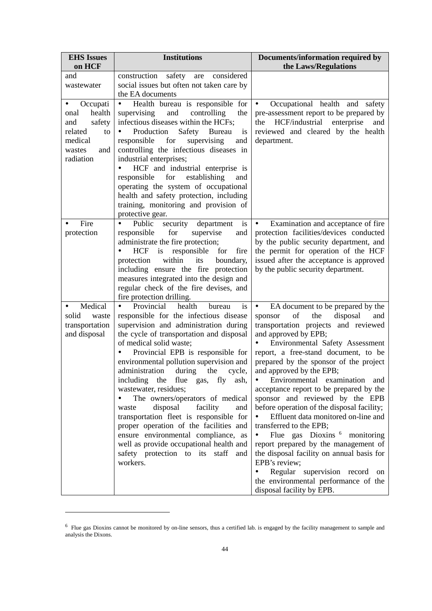| <b>EHS Issues</b><br>on HCF | <b>Institutions</b>                                                            | Documents/information required by<br>the Laws/Regulations                             |
|-----------------------------|--------------------------------------------------------------------------------|---------------------------------------------------------------------------------------|
| and                         | construction<br>safety<br>considered<br>are                                    |                                                                                       |
| wastewater                  | social issues but often not taken care by                                      |                                                                                       |
|                             | the EA documents                                                               |                                                                                       |
| Occupati<br>٠<br>health     | Health bureau is responsible for<br>$\bullet$<br>and                           | Occupational health<br>$\bullet$<br>and<br>safety                                     |
| onal<br>safety<br>and       | supervising<br>controlling<br>the<br>infectious diseases within the HCFs;      | pre-assessment report to be prepared by<br>HCF/industrial<br>enterprise<br>the<br>and |
| related<br>to               | Production<br>Safety<br><b>Bureau</b><br>$\bullet$<br>is                       | reviewed and cleared by the health                                                    |
| medical                     | supervising<br>responsible<br>for<br>and                                       | department.                                                                           |
| and<br>wastes               | controlling the infectious diseases in                                         |                                                                                       |
| radiation                   | industrial enterprises;                                                        |                                                                                       |
|                             | HCF and industrial enterprise is                                               |                                                                                       |
|                             | for<br>establishing<br>responsible<br>and                                      |                                                                                       |
|                             | operating the system of occupational                                           |                                                                                       |
|                             | health and safety protection, including                                        |                                                                                       |
|                             | training, monitoring and provision of<br>protective gear.                      |                                                                                       |
| Fire                        | Public<br>is<br>$\bullet$<br>security<br>department                            | $\bullet$<br>Examination and acceptance of fire                                       |
| protection                  | for<br>responsible<br>supervise<br>and                                         | protection facilities/devices conducted                                               |
|                             | administrate the fire protection;                                              | by the public security department, and                                                |
|                             | is<br>responsible<br><b>HCF</b><br>for<br>fire                                 | the permit for operation of the HCF                                                   |
|                             | within<br>protection<br>its<br>boundary,                                       | issued after the acceptance is approved                                               |
|                             | including ensure the fire protection                                           | by the public security department.                                                    |
|                             | measures integrated into the design and                                        |                                                                                       |
|                             | regular check of the fire devises, and                                         |                                                                                       |
| Medical<br>٠                | fire protection drilling.<br>Provincial<br>health<br>is<br>bureau<br>$\bullet$ | $\bullet$                                                                             |
| solid<br>waste              | responsible for the infectious disease                                         | EA document to be prepared by the<br>of<br>the<br>disposal<br>sponsor<br>and          |
| transportation              | supervision and administration during                                          | transportation projects and reviewed                                                  |
| and disposal                | the cycle of transportation and disposal                                       | and approved by EPB;                                                                  |
|                             | of medical solid waste;                                                        | Environmental Safety Assessment                                                       |
|                             | Provincial EPB is responsible for                                              | report, a free-stand document, to be                                                  |
|                             | environmental pollution supervision and                                        | prepared by the sponsor of the project                                                |
|                             | administration<br>during<br>the<br>cycle,                                      | and approved by the EPB;                                                              |
|                             | including the flue gas, fly ash,                                               | Environmental examination and<br>$\bullet$                                            |
|                             | wastewater, residues;<br>The owners/operators of medical                       | acceptance report to be prepared by the                                               |
|                             | disposal<br>facility<br>and<br>waste                                           | sponsor and reviewed by the EPB<br>before operation of the disposal facility;         |
|                             | transportation fleet is responsible for                                        | Effluent data monitored on-line and                                                   |
|                             | proper operation of the facilities and                                         | transferred to the EPB;                                                               |
|                             | ensure environmental compliance, as                                            | Flue gas Dioxins <sup>6</sup> monitoring                                              |
|                             | well as provide occupational health and                                        | report prepared by the management of                                                  |
|                             | safety protection to its staff and                                             | the disposal facility on annual basis for                                             |
|                             | workers.                                                                       | EPB's review;                                                                         |
|                             |                                                                                | Regular supervision record on<br>$\bullet$                                            |
|                             |                                                                                | the environmental performance of the                                                  |
|                             |                                                                                | disposal facility by EPB.                                                             |

<span id="page-47-0"></span> $6$  Flue gas Dioxins cannot be monitored by on-line sensors, thus a certified lab. is engaged by the facility management to sample and analysis the Dixons.

 $\overline{a}$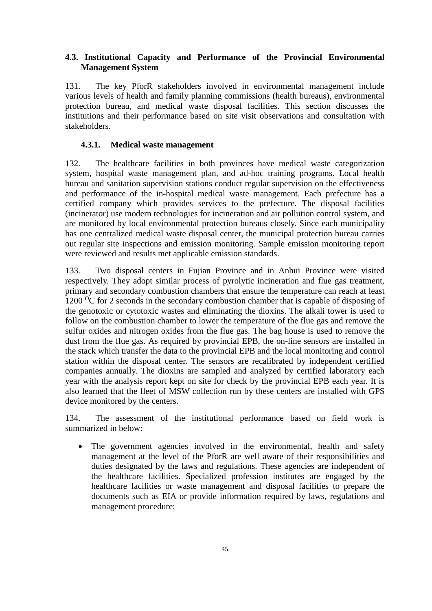## **4.3. Institutional Capacity and Performance of the Provincial Environmental Management System**

131. The key PforR stakeholders involved in environmental management include various levels of health and family planning commissions (health bureaus), environmental protection bureau, and medical waste disposal facilities. This section discusses the institutions and their performance based on site visit observations and consultation with stakeholders.

#### **4.3.1. Medical waste management**

132. The healthcare facilities in both provinces have medical waste categorization system, hospital waste management plan, and ad-hoc training programs. Local health bureau and sanitation supervision stations conduct regular supervision on the effectiveness and performance of the in-hospital medical waste management. Each prefecture has a certified company which provides services to the prefecture. The disposal facilities (incinerator) use modern technologies for incineration and air pollution control system, and are monitored by local environmental protection bureaus closely. Since each municipality has one centralized medical waste disposal center, the municipal protection bureau carries out regular site inspections and emission monitoring. Sample emission monitoring report were reviewed and results met applicable emission standards.

133. Two disposal centers in Fujian Province and in Anhui Province were visited respectively. They adopt similar process of pyrolytic incineration and flue gas treatment, primary and secondary combustion chambers that ensure the temperature can reach at least 1200  $\rm{^{\circ}C}$  for 2 seconds in the secondary combustion chamber that is capable of disposing of the genotoxic or cytotoxic wastes and eliminating the dioxins. The alkali tower is used to follow on the combustion chamber to lower the temperature of the flue gas and remove the sulfur oxides and nitrogen oxides from the flue gas. The bag house is used to remove the dust from the flue gas. As required by provincial EPB, the on-line sensors are installed in the stack which transfer the data to the provincial EPB and the local monitoring and control station within the disposal center. The sensors are recalibrated by independent certified companies annually. The dioxins are sampled and analyzed by certified laboratory each year with the analysis report kept on site for check by the provincial EPB each year. It is also learned that the fleet of MSW collection run by these centers are installed with GPS device monitored by the centers.

134. The assessment of the institutional performance based on field work is summarized in below:

• The government agencies involved in the environmental, health and safety management at the level of the PforR are well aware of their responsibilities and duties designated by the laws and regulations. These agencies are independent of the healthcare facilities. Specialized profession institutes are engaged by the healthcare facilities or waste management and disposal facilities to prepare the documents such as EIA or provide information required by laws, regulations and management procedure;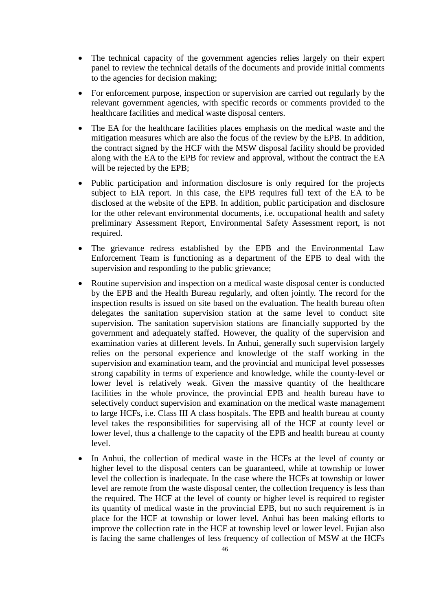- The technical capacity of the government agencies relies largely on their expert panel to review the technical details of the documents and provide initial comments to the agencies for decision making;
- For enforcement purpose, inspection or supervision are carried out regularly by the relevant government agencies, with specific records or comments provided to the healthcare facilities and medical waste disposal centers.
- The EA for the healthcare facilities places emphasis on the medical waste and the mitigation measures which are also the focus of the review by the EPB. In addition, the contract signed by the HCF with the MSW disposal facility should be provided along with the EA to the EPB for review and approval, without the contract the EA will be rejected by the EPB;
- Public participation and information disclosure is only required for the projects subject to EIA report. In this case, the EPB requires full text of the EA to be disclosed at the website of the EPB. In addition, public participation and disclosure for the other relevant environmental documents, i.e. occupational health and safety preliminary Assessment Report, Environmental Safety Assessment report, is not required.
- The grievance redress established by the EPB and the Environmental Law Enforcement Team is functioning as a department of the EPB to deal with the supervision and responding to the public grievance;
- Routine supervision and inspection on a medical waste disposal center is conducted by the EPB and the Health Bureau regularly, and often jointly. The record for the inspection results is issued on site based on the evaluation. The health bureau often delegates the sanitation supervision station at the same level to conduct site supervision. The sanitation supervision stations are financially supported by the government and adequately staffed. However, the quality of the supervision and examination varies at different levels. In Anhui, generally such supervision largely relies on the personal experience and knowledge of the staff working in the supervision and examination team, and the provincial and municipal level possesses strong capability in terms of experience and knowledge, while the county-level or lower level is relatively weak. Given the massive quantity of the healthcare facilities in the whole province, the provincial EPB and health bureau have to selectively conduct supervision and examination on the medical waste management to large HCFs, i.e. Class III A class hospitals. The EPB and health bureau at county level takes the responsibilities for supervising all of the HCF at county level or lower level, thus a challenge to the capacity of the EPB and health bureau at county level.
- In Anhui, the collection of medical waste in the HCFs at the level of county or higher level to the disposal centers can be guaranteed, while at township or lower level the collection is inadequate. In the case where the HCFs at township or lower level are remote from the waste disposal center, the collection frequency is less than the required. The HCF at the level of county or higher level is required to register its quantity of medical waste in the provincial EPB, but no such requirement is in place for the HCF at township or lower level. Anhui has been making efforts to improve the collection rate in the HCF at township level or lower level. Fujian also is facing the same challenges of less frequency of collection of MSW at the HCFs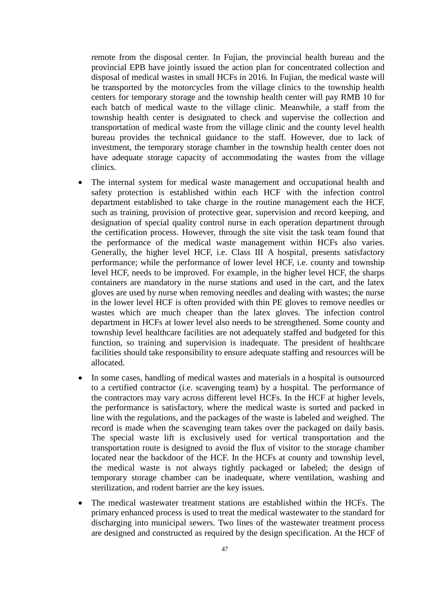remote from the disposal center. In Fujian, the provincial health bureau and the provincial EPB have jointly issued the action plan for concentrated collection and disposal of medical wastes in small HCFs in 2016. In Fujian, the medical waste will be transported by the motorcycles from the village clinics to the township health centers for temporary storage and the township health center will pay RMB 10 for each batch of medical waste to the village clinic. Meanwhile, a staff from the township health center is designated to check and supervise the collection and transportation of medical waste from the village clinic and the county level health bureau provides the technical guidance to the staff. However, due to lack of investment, the temporary storage chamber in the township health center does not have adequate storage capacity of accommodating the wastes from the village clinics.

- The internal system for medical waste management and occupational health and safety protection is established within each HCF with the infection control department established to take charge in the routine management each the HCF, such as training, provision of protective gear, supervision and record keeping, and designation of special quality control nurse in each operation department through the certification process. However, through the site visit the task team found that the performance of the medical waste management within HCFs also varies. Generally, the higher level HCF, i.e. Class III A hospital, presents satisfactory performance; while the performance of lower level HCF, i.e. county and township level HCF, needs to be improved. For example, in the higher level HCF, the sharps containers are mandatory in the nurse stations and used in the cart, and the latex gloves are used by nurse when removing needles and dealing with wastes; the nurse in the lower level HCF is often provided with thin PE gloves to remove needles or wastes which are much cheaper than the latex gloves. The infection control department in HCFs at lower level also needs to be strengthened. Some county and township level healthcare facilities are not adequately staffed and budgeted for this function, so training and supervision is inadequate. The president of healthcare facilities should take responsibility to ensure adequate staffing and resources will be allocated.
- In some cases, handling of medical wastes and materials in a hospital is outsourced to a certified contractor (i.e. scavenging team) by a hospital. The performance of the contractors may vary across different level HCFs. In the HCF at higher levels, the performance is satisfactory, where the medical waste is sorted and packed in line with the regulations, and the packages of the waste is labeled and weighed. The record is made when the scavenging team takes over the packaged on daily basis. The special waste lift is exclusively used for vertical transportation and the transportation route is designed to avoid the flux of visitor to the storage chamber located near the backdoor of the HCF. In the HCFs at county and township level, the medical waste is not always tightly packaged or labeled; the design of temporary storage chamber can be inadequate, where ventilation, washing and sterilization, and rodent barrier are the key issues.
- The medical wastewater treatment stations are established within the HCFs. The primary enhanced process is used to treat the medical wastewater to the standard for discharging into municipal sewers. Two lines of the wastewater treatment process are designed and constructed as required by the design specification. At the HCF of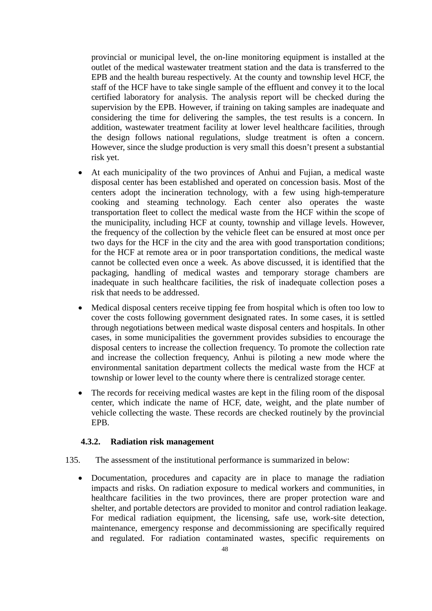provincial or municipal level, the on-line monitoring equipment is installed at the outlet of the medical wastewater treatment station and the data is transferred to the EPB and the health bureau respectively. At the county and township level HCF, the staff of the HCF have to take single sample of the effluent and convey it to the local certified laboratory for analysis. The analysis report will be checked during the supervision by the EPB. However, if training on taking samples are inadequate and considering the time for delivering the samples, the test results is a concern. In addition, wastewater treatment facility at lower level healthcare facilities, through the design follows national regulations, sludge treatment is often a concern. However, since the sludge production is very small this doesn't present a substantial risk yet.

- At each municipality of the two provinces of Anhui and Fujian, a medical waste disposal center has been established and operated on concession basis. Most of the centers adopt the incineration technology, with a few using high-temperature cooking and steaming technology. Each center also operates the waste transportation fleet to collect the medical waste from the HCF within the scope of the municipality, including HCF at county, township and village levels. However, the frequency of the collection by the vehicle fleet can be ensured at most once per two days for the HCF in the city and the area with good transportation conditions; for the HCF at remote area or in poor transportation conditions, the medical waste cannot be collected even once a week. As above discussed, it is identified that the packaging, handling of medical wastes and temporary storage chambers are inadequate in such healthcare facilities, the risk of inadequate collection poses a risk that needs to be addressed.
- Medical disposal centers receive tipping fee from hospital which is often too low to cover the costs following government designated rates. In some cases, it is settled through negotiations between medical waste disposal centers and hospitals. In other cases, in some municipalities the government provides subsidies to encourage the disposal centers to increase the collection frequency. To promote the collection rate and increase the collection frequency, Anhui is piloting a new mode where the environmental sanitation department collects the medical waste from the HCF at township or lower level to the county where there is centralized storage center.
- The records for receiving medical wastes are kept in the filing room of the disposal center, which indicate the name of HCF, date, weight, and the plate number of vehicle collecting the waste. These records are checked routinely by the provincial EPB.

#### **4.3.2. Radiation risk management**

- 135. The assessment of the institutional performance is summarized in below:
	- Documentation, procedures and capacity are in place to manage the radiation impacts and risks. On radiation exposure to medical workers and communities, in healthcare facilities in the two provinces, there are proper protection ware and shelter, and portable detectors are provided to monitor and control radiation leakage. For medical radiation equipment, the licensing, safe use, work-site detection, maintenance, emergency response and decommissioning are specifically required and regulated. For radiation contaminated wastes, specific requirements on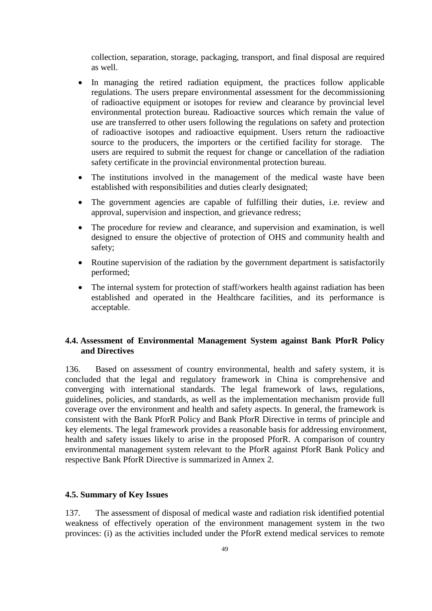collection, separation, storage, packaging, transport, and final disposal are required as well.

- In managing the retired radiation equipment, the practices follow applicable regulations. The users prepare environmental assessment for the decommissioning of radioactive equipment or isotopes for review and clearance by provincial level environmental protection bureau. Radioactive sources which remain the value of use are transferred to other users following the regulations on safety and protection of radioactive isotopes and radioactive equipment. Users return the radioactive source to the producers, the importers or the certified facility for storage. The users are required to submit the request for change or cancellation of the radiation safety certificate in the provincial environmental protection bureau.
- The institutions involved in the management of the medical waste have been established with responsibilities and duties clearly designated;
- The government agencies are capable of fulfilling their duties, i.e. review and approval, supervision and inspection, and grievance redress;
- The procedure for review and clearance, and supervision and examination, is well designed to ensure the objective of protection of OHS and community health and safety;
- Routine supervision of the radiation by the government department is satisfactorily performed;
- The internal system for protection of staff/workers health against radiation has been established and operated in the Healthcare facilities, and its performance is acceptable.

## **4.4. Assessment of Environmental Management System against Bank PforR Policy and Directives**

136. Based on assessment of country environmental, health and safety system, it is concluded that the legal and regulatory framework in China is comprehensive and converging with international standards. The legal framework of laws, regulations, guidelines, policies, and standards, as well as the implementation mechanism provide full coverage over the environment and health and safety aspects. In general, the framework is consistent with the Bank PforR Policy and Bank PforR Directive in terms of principle and key elements. The legal framework provides a reasonable basis for addressing environment, health and safety issues likely to arise in the proposed PforR. A comparison of country environmental management system relevant to the PforR against PforR Bank Policy and respective Bank PforR Directive is summarized in Annex 2.

#### **4.5. Summary of Key Issues**

137. The assessment of disposal of medical waste and radiation risk identified potential weakness of effectively operation of the environment management system in the two provinces: (i) as the activities included under the PforR extend medical services to remote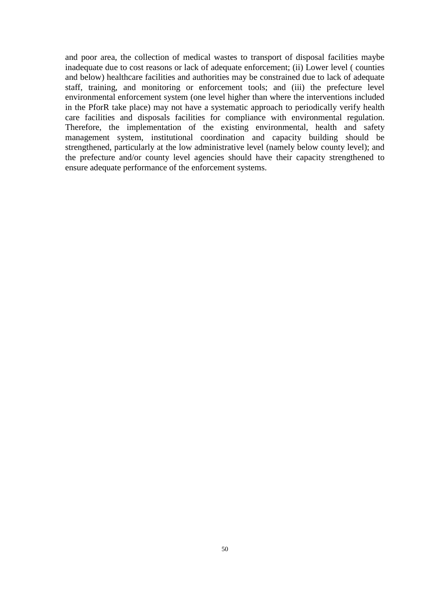and poor area, the collection of medical wastes to transport of disposal facilities maybe inadequate due to cost reasons or lack of adequate enforcement; (ii) Lower level ( counties and below) healthcare facilities and authorities may be constrained due to lack of adequate staff, training, and monitoring or enforcement tools; and (iii) the prefecture level environmental enforcement system (one level higher than where the interventions included in the PforR take place) may not have a systematic approach to periodically verify health care facilities and disposals facilities for compliance with environmental regulation. Therefore, the implementation of the existing environmental, health and safety management system, institutional coordination and capacity building should be strengthened, particularly at the low administrative level (namely below county level); and the prefecture and/or county level agencies should have their capacity strengthened to ensure adequate performance of the enforcement systems.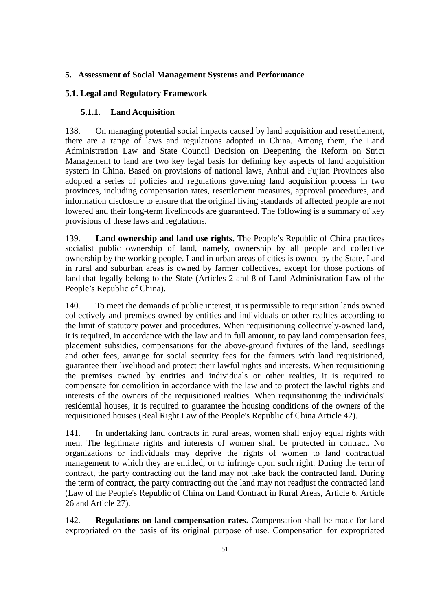# **5. Assessment of Social Management Systems and Performance**

## **5.1. Legal and Regulatory Framework**

# **5.1.1. Land Acquisition**

138. On managing potential social impacts caused by land acquisition and resettlement, there are a range of laws and regulations adopted in China. Among them, the Land Administration Law and State Council Decision on Deepening the Reform on Strict Management to land are two key legal basis for defining key aspects of land acquisition system in China. Based on provisions of national laws, Anhui and Fujian Provinces also adopted a series of policies and regulations governing land acquisition process in two provinces, including compensation rates, resettlement measures, approval procedures, and information disclosure to ensure that the original living standards of affected people are not lowered and their long-term livelihoods are guaranteed. The following is a summary of key provisions of these laws and regulations.

139. **Land ownership and land use rights.** The People's Republic of China practices socialist public ownership of land, namely, ownership by all people and collective ownership by the working people. Land in urban areas of cities is owned by the State. Land in rural and suburban areas is owned by farmer collectives, except for those portions of land that legally belong to the State (Articles 2 and 8 of Land Administration Law of the People's Republic of China).

140. To meet the demands of public interest, it is permissible to requisition lands owned collectively and premises owned by entities and individuals or other realties according to the limit of statutory power and procedures. When requisitioning collectively-owned land, it is required, in accordance with the law and in full amount, to pay land compensation fees, placement subsidies, compensations for the above-ground fixtures of the land, seedlings and other fees, arrange for social security fees for the farmers with land requisitioned, guarantee their livelihood and protect their lawful rights and interests. When requisitioning the premises owned by entities and individuals or other realties, it is required to compensate for demolition in accordance with the law and to protect the lawful rights and interests of the owners of the requisitioned realties. When requisitioning the individuals' residential houses, it is required to guarantee the housing conditions of the owners of the requisitioned houses (Real Right Law of the People's Republic of China Article 42).

141. In undertaking land contracts in rural areas, women shall enjoy equal rights with men. The legitimate rights and interests of women shall be protected in contract. No organizations or individuals may deprive the rights of women to land contractual management to which they are entitled, or to infringe upon such right. During the term of contract, the party contracting out the land may not take back the contracted land. During the term of contract, the party contracting out the land may not readjust the contracted land (Law of the People's Republic of China on Land Contract in Rural Areas, Article 6, Article 26 and Article 27).

142. **Regulations on land compensation rates.** Compensation shall be made for land expropriated on the basis of its original purpose of use. Compensation for expropriated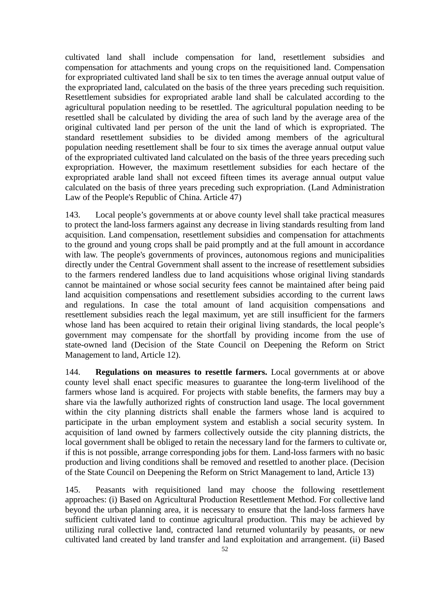cultivated land shall include compensation for land, resettlement subsidies and compensation for attachments and young crops on the requisitioned land. Compensation for expropriated cultivated land shall be six to ten times the average annual output value of the expropriated land, calculated on the basis of the three years preceding such requisition. Resettlement subsidies for expropriated arable land shall be calculated according to the agricultural population needing to be resettled. The agricultural population needing to be resettled shall be calculated by dividing the area of such land by the average area of the original cultivated land per person of the unit the land of which is expropriated. The standard resettlement subsidies to be divided among members of the agricultural population needing resettlement shall be four to six times the average annual output value of the expropriated cultivated land calculated on the basis of the three years preceding such expropriation. However, the maximum resettlement subsidies for each hectare of the expropriated arable land shall not exceed fifteen times its average annual output value calculated on the basis of three years preceding such expropriation. (Land Administration Law of the People's Republic of China. Article 47)

143. Local people's governments at or above county level shall take practical measures to protect the land-loss farmers against any decrease in living standards resulting from land acquisition. Land compensation, resettlement subsidies and compensation for attachments to the ground and young crops shall be paid promptly and at the full amount in accordance with law. The people's governments of provinces, autonomous regions and municipalities directly under the Central Government shall assent to the increase of resettlement subsidies to the farmers rendered landless due to land acquisitions whose original living standards cannot be maintained or whose social security fees cannot be maintained after being paid land acquisition compensations and resettlement subsidies according to the current laws and regulations. In case the total amount of land acquisition compensations and resettlement subsidies reach the legal maximum, yet are still insufficient for the farmers whose land has been acquired to retain their original living standards, the local people's government may compensate for the shortfall by providing income from the use of state-owned land (Decision of the State Council on Deepening the Reform on Strict Management to land, Article 12).

144. **Regulations on measures to resettle farmers.** Local governments at or above county level shall enact specific measures to guarantee the long-term livelihood of the farmers whose land is acquired. For projects with stable benefits, the farmers may buy a share via the lawfully authorized rights of construction land usage. The local government within the city planning districts shall enable the farmers whose land is acquired to participate in the urban employment system and establish a social security system. In acquisition of land owned by farmers collectively outside the city planning districts, the local government shall be obliged to retain the necessary land for the farmers to cultivate or, if this is not possible, arrange corresponding jobs for them. Land-loss farmers with no basic production and living conditions shall be removed and resettled to another place. (Decision of the State Council on Deepening the Reform on Strict Management to land, Article 13)

145. Peasants with requisitioned land may choose the following resettlement approaches: (i) Based on Agricultural Production Resettlement Method. For collective land beyond the urban planning area, it is necessary to ensure that the land-loss farmers have sufficient cultivated land to continue agricultural production. This may be achieved by utilizing rural collective land, contracted land returned voluntarily by peasants, or new cultivated land created by land transfer and land exploitation and arrangement. (ii) Based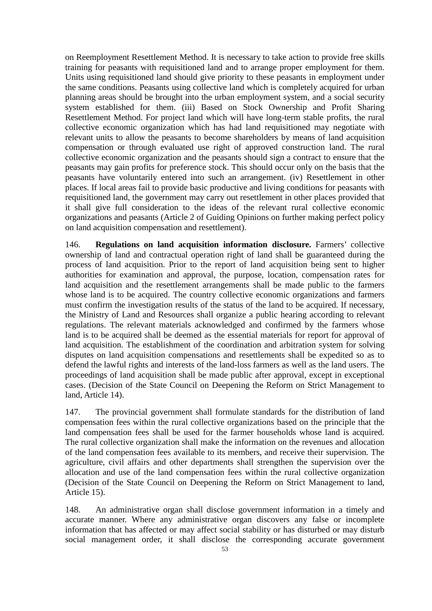on Reemployment Resettlement Method. It is necessary to take action to provide free skills training for peasants with requisitioned land and to arrange proper employment for them. Units using requisitioned land should give priority to these peasants in employment under the same conditions. Peasants using collective land which is completely acquired for urban planning areas should be brought into the urban employment system, and a social security system established for them. (iii) Based on Stock Ownership and Profit Sharing Resettlement Method. For project land which will have long-term stable profits, the rural collective economic organization which has had land requisitioned may negotiate with relevant units to allow the peasants to become shareholders by means of land acquisition compensation or through evaluated use right of approved construction land. The rural collective economic organization and the peasants should sign a contract to ensure that the peasants may gain profits for preference stock. This should occur only on the basis that the peasants have voluntarily entered into such an arrangement. (iv) Resettlement in other places. If local areas fail to provide basic productive and living conditions for peasants with requisitioned land, the government may carry out resettlement in other places provided that it shall give full consideration to the ideas of the relevant rural collective economic organizations and peasants (Article 2 of Guiding Opinions on further making perfect policy on land acquisition compensation and resettlement).

146. **Regulations on land acquisition information disclosure.** Farmers' collective ownership of land and contractual operation right of land shall be guaranteed during the process of land acquisition. Prior to the report of land acquisition being sent to higher authorities for examination and approval, the purpose, location, compensation rates for land acquisition and the resettlement arrangements shall be made public to the farmers whose land is to be acquired. The country collective economic organizations and farmers must confirm the investigation results of the status of the land to be acquired. If necessary, the Ministry of Land and Resources shall organize a public hearing according to relevant regulations. The relevant materials acknowledged and confirmed by the farmers whose land is to be acquired shall be deemed as the essential materials for report for approval of land acquisition. The establishment of the coordination and arbitration system for solving disputes on land acquisition compensations and resettlements shall be expedited so as to defend the lawful rights and interests of the land-loss farmers as well as the land users. The proceedings of land acquisition shall be made public after approval, except in exceptional cases. (Decision of the State Council on Deepening the Reform on Strict Management to land, Article 14).

147. The provincial government shall formulate standards for the distribution of land compensation fees within the rural collective organizations based on the principle that the land compensation fees shall be used for the farmer households whose land is acquired. The rural collective organization shall make the information on the revenues and allocation of the land compensation fees available to its members, and receive their supervision. The agriculture, civil affairs and other departments shall strengthen the supervision over the allocation and use of the land compensation fees within the rural collective organization (Decision of the State Council on Deepening the Reform on Strict Management to land, Article 15).

148. An administrative organ shall disclose government information in a timely and accurate manner. Where any administrative organ discovers any false or incomplete information that has affected or may affect social stability or has disturbed or may disturb social management order, it shall disclose the corresponding accurate government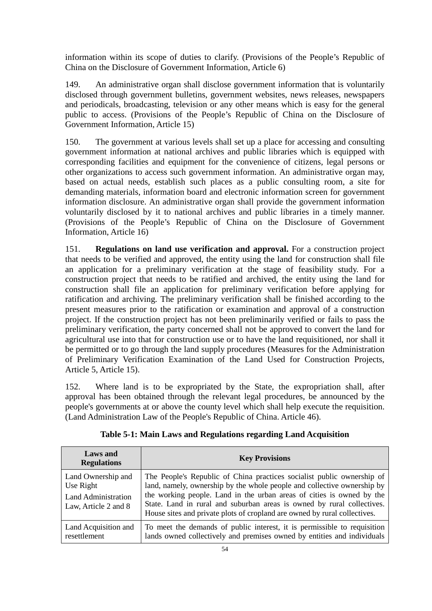information within its scope of duties to clarify. (Provisions of the People's Republic of China on the Disclosure of Government Information, Article 6)

149. An administrative organ shall disclose government information that is voluntarily disclosed through government bulletins, government websites, news releases, newspapers and periodicals, broadcasting, television or any other means which is easy for the general public to access. (Provisions of the People's Republic of China on the Disclosure of Government Information, Article 15)

150. The government at various levels shall set up a place for accessing and consulting government information at national archives and public libraries which is equipped with corresponding facilities and equipment for the convenience of citizens, legal persons or other organizations to access such government information. An administrative organ may, based on actual needs, establish such places as a public consulting room, a site for demanding materials, information board and electronic information screen for government information disclosure. An administrative organ shall provide the government information voluntarily disclosed by it to national archives and public libraries in a timely manner. (Provisions of the People's Republic of China on the Disclosure of Government Information, Article 16)

151. **Regulations on land use verification and approval.** For a construction project that needs to be verified and approved, the entity using the land for construction shall file an application for a preliminary verification at the stage of feasibility study. For a construction project that needs to be ratified and archived, the entity using the land for construction shall file an application for preliminary verification before applying for ratification and archiving. The preliminary verification shall be finished according to the present measures prior to the ratification or examination and approval of a construction project. If the construction project has not been preliminarily verified or fails to pass the preliminary verification, the party concerned shall not be approved to convert the land for agricultural use into that for construction use or to have the land requisitioned, nor shall it be permitted or to go through the land supply procedures (Measures for the Administration of Preliminary Verification Examination of the Land Used for Construction Projects, Article 5, Article 15).

152. Where land is to be expropriated by the State, the expropriation shall, after approval has been obtained through the relevant legal procedures, be announced by the people's governments at or above the county level which shall help execute the requisition. (Land Administration Law of the People's Republic of China. Article 46).

| <b>Laws</b> and<br><b>Regulations</b>                                                 | <b>Key Provisions</b>                                                                                                                                                                                                                                                                                                                                                             |
|---------------------------------------------------------------------------------------|-----------------------------------------------------------------------------------------------------------------------------------------------------------------------------------------------------------------------------------------------------------------------------------------------------------------------------------------------------------------------------------|
| Land Ownership and<br>Use Right<br><b>Land Administration</b><br>Law, Article 2 and 8 | The People's Republic of China practices socialist public ownership of<br>land, namely, ownership by the whole people and collective ownership by<br>the working people. Land in the urban areas of cities is owned by the<br>State. Land in rural and suburban areas is owned by rural collectives.<br>House sites and private plots of cropland are owned by rural collectives. |
| Land Acquisition and<br>resettlement                                                  | To meet the demands of public interest, it is permissible to requisition<br>lands owned collectively and premises owned by entities and individuals                                                                                                                                                                                                                               |

**Table 5-1: Main Laws and Regulations regarding Land Acquisition**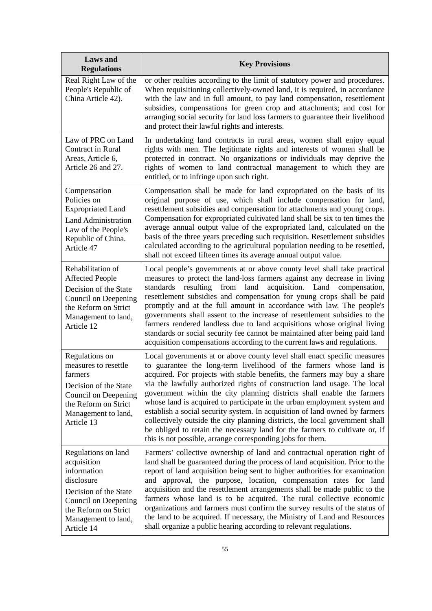| <b>Laws</b> and<br><b>Regulations</b>                                                                                                                                         | <b>Key Provisions</b>                                                                                                                                                                                                                                                                                                                                                                                                                                                                                                                                                                                                                                                                                                                                                    |
|-------------------------------------------------------------------------------------------------------------------------------------------------------------------------------|--------------------------------------------------------------------------------------------------------------------------------------------------------------------------------------------------------------------------------------------------------------------------------------------------------------------------------------------------------------------------------------------------------------------------------------------------------------------------------------------------------------------------------------------------------------------------------------------------------------------------------------------------------------------------------------------------------------------------------------------------------------------------|
| Real Right Law of the<br>People's Republic of<br>China Article 42).                                                                                                           | or other realties according to the limit of statutory power and procedures.<br>When requisitioning collectively-owned land, it is required, in accordance<br>with the law and in full amount, to pay land compensation, resettlement<br>subsidies, compensations for green crop and attachments; and cost for<br>arranging social security for land loss farmers to guarantee their livelihood<br>and protect their lawful rights and interests.                                                                                                                                                                                                                                                                                                                         |
| Law of PRC on Land<br><b>Contract in Rural</b><br>Areas, Article 6,<br>Article 26 and 27.                                                                                     | In undertaking land contracts in rural areas, women shall enjoy equal<br>rights with men. The legitimate rights and interests of women shall be<br>protected in contract. No organizations or individuals may deprive the<br>rights of women to land contractual management to which they are<br>entitled, or to infringe upon such right.                                                                                                                                                                                                                                                                                                                                                                                                                               |
| Compensation<br>Policies on<br><b>Expropriated Land</b><br><b>Land Administration</b><br>Law of the People's<br>Republic of China.<br>Article 47                              | Compensation shall be made for land expropriated on the basis of its<br>original purpose of use, which shall include compensation for land,<br>resettlement subsidies and compensation for attachments and young crops.<br>Compensation for expropriated cultivated land shall be six to ten times the<br>average annual output value of the expropriated land, calculated on the<br>basis of the three years preceding such requisition. Resettlement subsidies<br>calculated according to the agricultural population needing to be resettled,<br>shall not exceed fifteen times its average annual output value.                                                                                                                                                      |
| Rehabilitation of<br><b>Affected People</b><br>Decision of the State<br>Council on Deepening<br>the Reform on Strict<br>Management to land,<br>Article 12                     | Local people's governments at or above county level shall take practical<br>measures to protect the land-loss farmers against any decrease in living<br>from<br>land<br>acquisition.<br>Land<br>standards<br>resulting<br>compensation,<br>resettlement subsidies and compensation for young crops shall be paid<br>promptly and at the full amount in accordance with law. The people's<br>governments shall assent to the increase of resettlement subsidies to the<br>farmers rendered landless due to land acquisitions whose original living<br>standards or social security fee cannot be maintained after being paid land<br>acquisition compensations according to the current laws and regulations.                                                             |
| Regulations on<br>measures to resettle<br>farmers<br>Decision of the State<br>Council on Deepening<br>the Reform on Strict<br>Management to land,<br>Article 13               | Local governments at or above county level shall enact specific measures<br>to guarantee the long-term livelihood of the farmers whose land is<br>acquired. For projects with stable benefits, the farmers may buy a share<br>via the lawfully authorized rights of construction land usage. The local<br>government within the city planning districts shall enable the farmers<br>whose land is acquired to participate in the urban employment system and<br>establish a social security system. In acquisition of land owned by farmers<br>collectively outside the city planning districts, the local government shall<br>be obliged to retain the necessary land for the farmers to cultivate or, if<br>this is not possible, arrange corresponding jobs for them. |
| Regulations on land<br>acquisition<br>information<br>disclosure<br>Decision of the State<br>Council on Deepening<br>the Reform on Strict<br>Management to land,<br>Article 14 | Farmers' collective ownership of land and contractual operation right of<br>land shall be guaranteed during the process of land acquisition. Prior to the<br>report of land acquisition being sent to higher authorities for examination<br>and approval, the purpose, location, compensation rates for land<br>acquisition and the resettlement arrangements shall be made public to the<br>farmers whose land is to be acquired. The rural collective economic<br>organizations and farmers must confirm the survey results of the status of<br>the land to be acquired. If necessary, the Ministry of Land and Resources<br>shall organize a public hearing according to relevant regulations.                                                                        |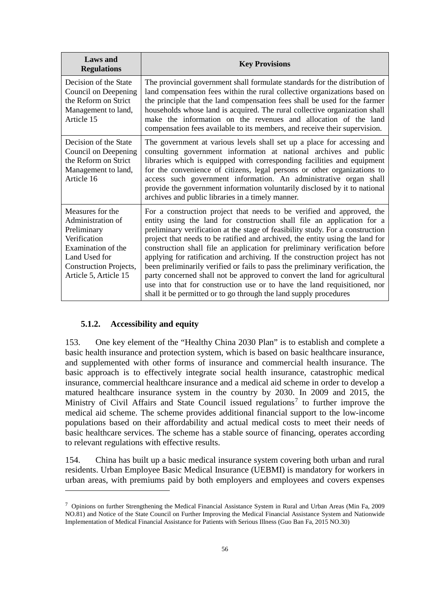| <b>Laws</b> and<br><b>Regulations</b>                                                                                                                                 | <b>Key Provisions</b>                                                                                                                                                                                                                                                                                                                                                                                                                                                                                                                                                                                                                                                                                                                                                                               |
|-----------------------------------------------------------------------------------------------------------------------------------------------------------------------|-----------------------------------------------------------------------------------------------------------------------------------------------------------------------------------------------------------------------------------------------------------------------------------------------------------------------------------------------------------------------------------------------------------------------------------------------------------------------------------------------------------------------------------------------------------------------------------------------------------------------------------------------------------------------------------------------------------------------------------------------------------------------------------------------------|
| Decision of the State<br>Council on Deepening<br>the Reform on Strict<br>Management to land,<br>Article 15                                                            | The provincial government shall formulate standards for the distribution of<br>land compensation fees within the rural collective organizations based on<br>the principle that the land compensation fees shall be used for the farmer<br>households whose land is acquired. The rural collective organization shall<br>make the information on the revenues and allocation of the land<br>compensation fees available to its members, and receive their supervision.                                                                                                                                                                                                                                                                                                                               |
| Decision of the State<br>Council on Deepening<br>the Reform on Strict<br>Management to land,<br>Article 16                                                            | The government at various levels shall set up a place for accessing and<br>consulting government information at national archives and public<br>libraries which is equipped with corresponding facilities and equipment<br>for the convenience of citizens, legal persons or other organizations to<br>access such government information. An administrative organ shall<br>provide the government information voluntarily disclosed by it to national<br>archives and public libraries in a timely manner.                                                                                                                                                                                                                                                                                         |
| Measures for the<br>Administration of<br>Preliminary<br>Verification<br>Examination of the<br>Land Used for<br><b>Construction Projects,</b><br>Article 5, Article 15 | For a construction project that needs to be verified and approved, the<br>entity using the land for construction shall file an application for a<br>preliminary verification at the stage of feasibility study. For a construction<br>project that needs to be ratified and archived, the entity using the land for<br>construction shall file an application for preliminary verification before<br>applying for ratification and archiving. If the construction project has not<br>been preliminarily verified or fails to pass the preliminary verification, the<br>party concerned shall not be approved to convert the land for agricultural<br>use into that for construction use or to have the land requisitioned, nor<br>shall it be permitted or to go through the land supply procedures |

## **5.1.2. Accessibility and equity**

 $\overline{a}$ 

153. One key element of the "Healthy China 2030 Plan" is to establish and complete a basic health insurance and protection system, which is based on basic healthcare insurance, and supplemented with other forms of insurance and commercial health insurance. The basic approach is to effectively integrate social health insurance, catastrophic medical insurance, commercial healthcare insurance and a medical aid scheme in order to develop a matured healthcare insurance system in the country by 2030. In 2009 and 2015, the Ministry of Civil Affairs and State Council issued regulations<sup>[7](#page-59-0)</sup> to further improve the medical aid scheme. The scheme provides additional financial support to the low-income populations based on their affordability and actual medical costs to meet their needs of basic healthcare services. The scheme has a stable source of financing, operates according to relevant regulations with effective results.

154. China has built up a basic medical insurance system covering both urban and rural residents. Urban Employee Basic Medical Insurance (UEBMI) is mandatory for workers in urban areas, with premiums paid by both employers and employees and covers expenses

<span id="page-59-0"></span><sup>7</sup> Opinions on further Strengthening the Medical Financial Assistance System in Rural and Urban Areas (Min Fa, 2009 NO.81) and Notice of the State Council on Further Improving the Medical Financial Assistance System and Nationwide Implementation of Medical Financial Assistance for Patients with Serious Illness (Guo Ban Fa, 2015 NO.30)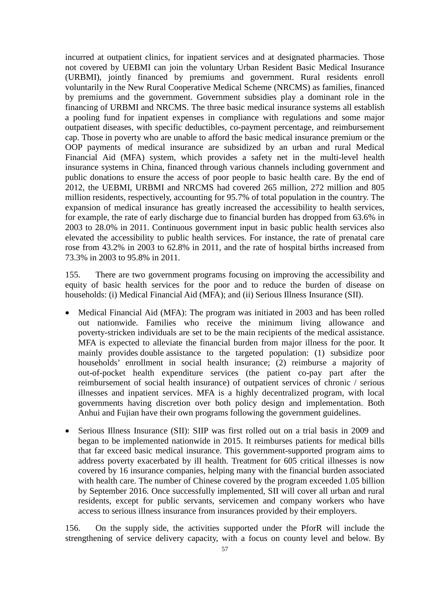incurred at outpatient clinics, for inpatient services and at designated pharmacies. Those not covered by UEBMI can join the voluntary Urban Resident Basic Medical Insurance (URBMI), jointly financed by premiums and government. Rural residents enroll voluntarily in the New Rural Cooperative Medical Scheme (NRCMS) as families, financed by premiums and the government. Government subsidies play a dominant role in the financing of URBMI and NRCMS. The three basic medical insurance systems all establish a pooling fund for inpatient expenses in compliance with regulations and some major outpatient diseases, with specific deductibles, co-payment percentage, and reimbursement cap. Those in poverty who are unable to afford the basic medical insurance premium or the OOP payments of medical insurance are subsidized by an urban and rural Medical Financial Aid (MFA) system, which provides a safety net in the multi-level health insurance systems in China, financed through various channels including government and public donations to ensure the access of poor people to basic health care. By the end of 2012, the UEBMI, URBMI and NRCMS had covered 265 million, 272 million and 805 million residents, respectively, accounting for 95.7% of total population in the country. The expansion of medical insurance has greatly increased the accessibility to health services, for example, the rate of early discharge due to financial burden has dropped from 63.6% in 2003 to 28.0% in 2011. Continuous government input in basic public health services also elevated the accessibility to public health services. For instance, the rate of prenatal care rose from 43.2% in 2003 to 62.8% in 2011, and the rate of hospital births increased from 73.3% in 2003 to 95.8% in 2011.

155. There are two government programs focusing on improving the accessibility and equity of basic health services for the poor and to reduce the burden of disease on households: (i) Medical Financial Aid (MFA); and (ii) Serious Illness Insurance (SII).

- Medical Financial Aid (MFA): The program was initiated in 2003 and has been rolled out nationwide. Families who receive the minimum living allowance and poverty-stricken individuals are set to be the main recipients of the medical assistance. MFA is expected to alleviate the financial burden from major illness for the poor. It mainly provides double assistance to the targeted population: (1) subsidize poor households' enrollment in social health insurance; (2) reimburse a majority of out-of-pocket health expenditure services (the patient co-pay part after the reimbursement of social health insurance) of outpatient services of chronic / serious illnesses and inpatient services. MFA is a highly decentralized program, with local governments having discretion over both policy design and implementation. Both Anhui and Fujian have their own programs following the government guidelines.
- Serious Illness Insurance (SII): SIIP was first rolled out on a trial basis in 2009 and began to be implemented nationwide in 2015. It reimburses patients for medical bills that far exceed basic medical insurance. This government-supported program aims to address poverty exacerbated by ill health. Treatment for 605 critical illnesses is now covered by 16 insurance companies, helping many with the financial burden associated with health care. The number of Chinese covered by the program exceeded 1.05 billion by September 2016. Once successfully implemented, SII will cover all urban and rural residents, except for public servants, servicemen and company workers who have access to serious illness insurance from insurances provided by their employers.

156. On the supply side, the activities supported under the PforR will include the strengthening of service delivery capacity, with a focus on county level and below. By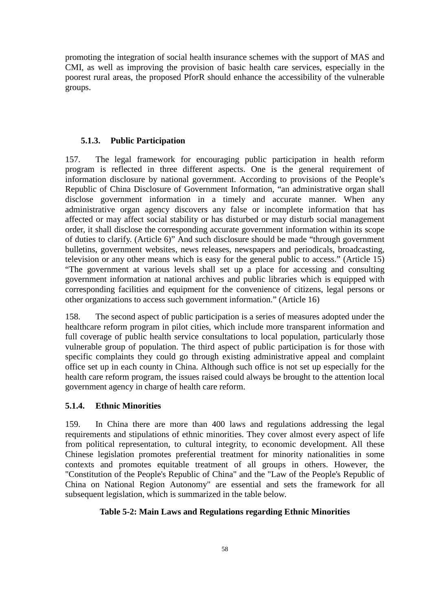promoting the integration of social health insurance schemes with the support of MAS and CMI, as well as improving the provision of basic health care services, especially in the poorest rural areas, the proposed PforR should enhance the accessibility of the vulnerable groups.

#### **5.1.3. Public Participation**

157. The legal framework for encouraging public participation in health reform program is reflected in three different aspects. One is the general requirement of information disclosure by national government. According to provisions of the People's Republic of China Disclosure of Government Information, "an administrative organ shall disclose government information in a timely and accurate manner. When any administrative organ agency discovers any false or incomplete information that has affected or may affect social stability or has disturbed or may disturb social management order, it shall disclose the corresponding accurate government information within its scope of duties to clarify. (Article 6)" And such disclosure should be made "through government bulletins, government websites, news releases, newspapers and periodicals, broadcasting, television or any other means which is easy for the general public to access." (Article 15) "The government at various levels shall set up a place for accessing and consulting government information at national archives and public libraries which is equipped with corresponding facilities and equipment for the convenience of citizens, legal persons or other organizations to access such government information." (Article 16)

158. The second aspect of public participation is a series of measures adopted under the healthcare reform program in pilot cities, which include more transparent information and full coverage of public health service consultations to local population, particularly those vulnerable group of population. The third aspect of public participation is for those with specific complaints they could go through existing administrative appeal and complaint office set up in each county in China. Although such office is not set up especially for the health care reform program, the issues raised could always be brought to the attention local government agency in charge of health care reform.

#### **5.1.4. Ethnic Minorities**

159. In China there are more than 400 laws and regulations addressing the legal requirements and stipulations of ethnic minorities. They cover almost every aspect of life from political representation, to cultural integrity, to economic development. All these Chinese legislation promotes preferential treatment for minority nationalities in some contexts and promotes equitable treatment of all groups in others. However, the "Constitution of the People's Republic of China" and the "Law of the People's Republic of China on National Region Autonomy" are essential and sets the framework for all subsequent legislation, which is summarized in the table below.

### **Table 5-2: Main Laws and Regulations regarding Ethnic Minorities**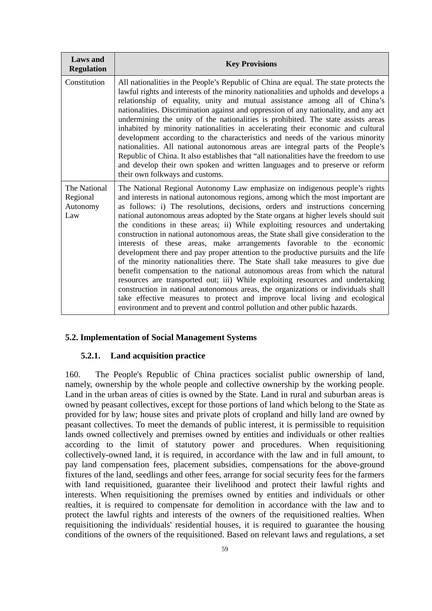| <b>Laws</b> and<br><b>Regulation</b>        | <b>Key Provisions</b>                                                                                                                                                                                                                                                                                                                                                                                                                                                                                                                                                                                                                                                                                                                                                                                                                                                                                                                                                                                                                                                                                                                                                              |
|---------------------------------------------|------------------------------------------------------------------------------------------------------------------------------------------------------------------------------------------------------------------------------------------------------------------------------------------------------------------------------------------------------------------------------------------------------------------------------------------------------------------------------------------------------------------------------------------------------------------------------------------------------------------------------------------------------------------------------------------------------------------------------------------------------------------------------------------------------------------------------------------------------------------------------------------------------------------------------------------------------------------------------------------------------------------------------------------------------------------------------------------------------------------------------------------------------------------------------------|
| Constitution                                | All nationalities in the People's Republic of China are equal. The state protects the<br>lawful rights and interests of the minority nationalities and upholds and develops a<br>relationship of equality, unity and mutual assistance among all of China's<br>nationalities. Discrimination against and oppression of any nationality, and any act<br>undermining the unity of the nationalities is prohibited. The state assists areas<br>inhabited by minority nationalities in accelerating their economic and cultural<br>development according to the characteristics and needs of the various minority<br>nationalities. All national autonomous areas are integral parts of the People's<br>Republic of China. It also establishes that "all nationalities have the freedom to use<br>and develop their own spoken and written languages and to preserve or reform<br>their own folkways and customs.                                                                                                                                                                                                                                                                      |
| The National<br>Regional<br>Autonomy<br>Law | The National Regional Autonomy Law emphasize on indigenous people's rights<br>and interests in national autonomous regions, among which the most important are<br>as follows: i) The resolutions, decisions, orders and instructions concerning<br>national autonomous areas adopted by the State organs at higher levels should suit<br>the conditions in these areas; ii) While exploiting resources and undertaking<br>construction in national autonomous areas, the State shall give consideration to the<br>interests of these areas, make arrangements favorable to the economic<br>development there and pay proper attention to the productive pursuits and the life<br>of the minority nationalities there. The State shall take measures to give due<br>benefit compensation to the national autonomous areas from which the natural<br>resources are transported out; iii) While exploiting resources and undertaking<br>construction in national autonomous areas, the organizations or individuals shall<br>take effective measures to protect and improve local living and ecological<br>environment and to prevent and control pollution and other public hazards. |

#### **5.2. Implementation of Social Management Systems**

#### **5.2.1. Land acquisition practice**

160. The People's Republic of China practices socialist public ownership of land, namely, ownership by the whole people and collective ownership by the working people. Land in the urban areas of cities is owned by the State. Land in rural and suburban areas is owned by peasant collectives, except for those portions of land which belong to the State as provided for by law; house sites and private plots of cropland and hilly land are owned by peasant collectives. To meet the demands of public interest, it is permissible to requisition lands owned collectively and premises owned by entities and individuals or other realties according to the limit of statutory power and procedures. When requisitioning collectively-owned land, it is required, in accordance with the law and in full amount, to pay land compensation fees, placement subsidies, compensations for the above-ground fixtures of the land, seedlings and other fees, arrange for social security fees for the farmers with land requisitioned, guarantee their livelihood and protect their lawful rights and interests. When requisitioning the premises owned by entities and individuals or other realties, it is required to compensate for demolition in accordance with the law and to protect the lawful rights and interests of the owners of the requisitioned realties. When requisitioning the individuals' residential houses, it is required to guarantee the housing conditions of the owners of the requisitioned. Based on relevant laws and regulations, a set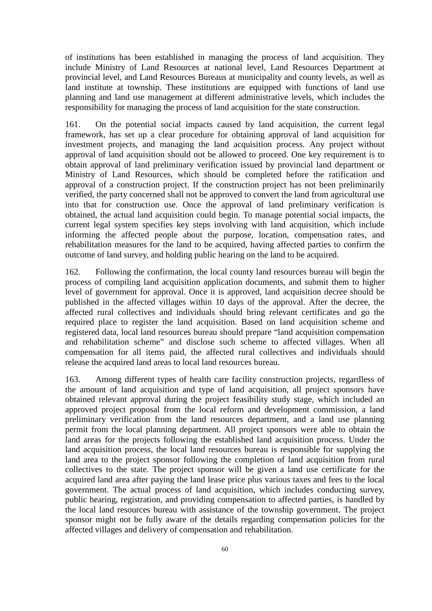of institutions has been established in managing the process of land acquisition. They include Ministry of Land Resources at national level, Land Resources Department at provincial level, and Land Resources Bureaus at municipality and county levels, as well as land institute at township. These institutions are equipped with functions of land use planning and land use management at different administrative levels, which includes the responsibility for managing the process of land acquisition for the state construction.

161. On the potential social impacts caused by land acquisition, the current legal framework, has set up a clear procedure for obtaining approval of land acquisition for investment projects, and managing the land acquisition process. Any project without approval of land acquisition should not be allowed to proceed. One key requirement is to obtain approval of land preliminary verification issued by provincial land department or Ministry of Land Resources, which should be completed before the ratification and approval of a construction project. If the construction project has not been preliminarily verified, the party concerned shall not be approved to convert the land from agricultural use into that for construction use. Once the approval of land preliminary verification is obtained, the actual land acquisition could begin. To manage potential social impacts, the current legal system specifies key steps involving with land acquisition, which include informing the affected people about the purpose, location, compensation rates, and rehabilitation measures for the land to be acquired, having affected parties to confirm the outcome of land survey, and holding public hearing on the land to be acquired.

162. Following the confirmation, the local county land resources bureau will begin the process of compiling land acquisition application documents, and submit them to higher level of government for approval. Once it is approved, land acquisition decree should be published in the affected villages within 10 days of the approval. After the decree, the affected rural collectives and individuals should bring relevant certificates and go the required place to register the land acquisition. Based on land acquisition scheme and registered data, local land resources bureau should prepare "land acquisition compensation and rehabilitation scheme" and disclose such scheme to affected villages. When all compensation for all items paid, the affected rural collectives and individuals should release the acquired land areas to local land resources bureau.

163. Among different types of health care facility construction projects, regardless of the amount of land acquisition and type of land acquisition, all project sponsors have obtained relevant approval during the project feasibility study stage, which included an approved project proposal from the local reform and development commission, a land preliminary verification from the land resources department, and a land use planning permit from the local planning department. All project sponsors were able to obtain the land areas for the projects following the established land acquisition process. Under the land acquisition process, the local land resources bureau is responsible for supplying the land area to the project sponsor following the completion of land acquisition from rural collectives to the state. The project sponsor will be given a land use certificate for the acquired land area after paying the land lease price plus various taxes and fees to the local government. The actual process of land acquisition, which includes conducting survey, public hearing, registration, and providing compensation to affected parties, is handled by the local land resources bureau with assistance of the township government. The project sponsor might not be fully aware of the details regarding compensation policies for the affected villages and delivery of compensation and rehabilitation.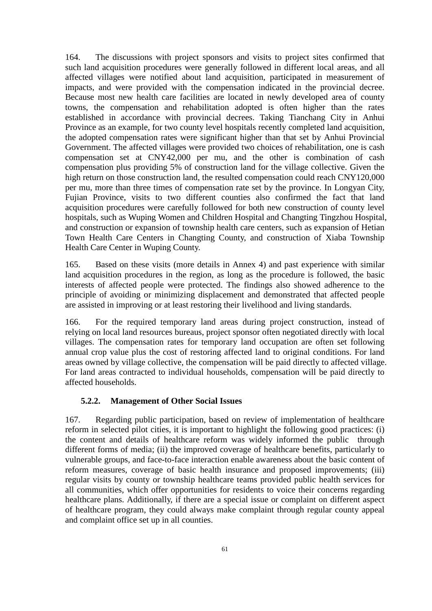164. The discussions with project sponsors and visits to project sites confirmed that such land acquisition procedures were generally followed in different local areas, and all affected villages were notified about land acquisition, participated in measurement of impacts, and were provided with the compensation indicated in the provincial decree. Because most new health care facilities are located in newly developed area of county towns, the compensation and rehabilitation adopted is often higher than the rates established in accordance with provincial decrees. Taking Tianchang City in Anhui Province as an example, for two county level hospitals recently completed land acquisition, the adopted compensation rates were significant higher than that set by Anhui Provincial Government. The affected villages were provided two choices of rehabilitation, one is cash compensation set at CNY42,000 per mu, and the other is combination of cash compensation plus providing 5% of construction land for the village collective. Given the high return on those construction land, the resulted compensation could reach CNY120,000 per mu, more than three times of compensation rate set by the province. In Longyan City, Fujian Province, visits to two different counties also confirmed the fact that land acquisition procedures were carefully followed for both new construction of county level hospitals, such as Wuping Women and Children Hospital and Changting Tingzhou Hospital, and construction or expansion of township health care centers, such as expansion of Hetian Town Health Care Centers in Changting County, and construction of Xiaba Township Health Care Center in Wuping County.

165. Based on these visits (more details in Annex 4) and past experience with similar land acquisition procedures in the region, as long as the procedure is followed, the basic interests of affected people were protected. The findings also showed adherence to the principle of avoiding or minimizing displacement and demonstrated that affected people are assisted in improving or at least restoring their livelihood and living standards.

166. For the required temporary land areas during project construction, instead of relying on local land resources bureaus, project sponsor often negotiated directly with local villages. The compensation rates for temporary land occupation are often set following annual crop value plus the cost of restoring affected land to original conditions. For land areas owned by village collective, the compensation will be paid directly to affected village. For land areas contracted to individual households, compensation will be paid directly to affected households.

## **5.2.2. Management of Other Social Issues**

167. Regarding public participation, based on review of implementation of healthcare reform in selected pilot cities, it is important to highlight the following good practices: (i) the content and details of healthcare reform was widely informed the public through different forms of media; (ii) the improved coverage of healthcare benefits, particularly to vulnerable groups, and face-to-face interaction enable awareness about the basic content of reform measures, coverage of basic health insurance and proposed improvements; (iii) regular visits by county or township healthcare teams provided public health services for all communities, which offer opportunities for residents to voice their concerns regarding healthcare plans. Additionally, if there are a special issue or complaint on different aspect of healthcare program, they could always make complaint through regular county appeal and complaint office set up in all counties.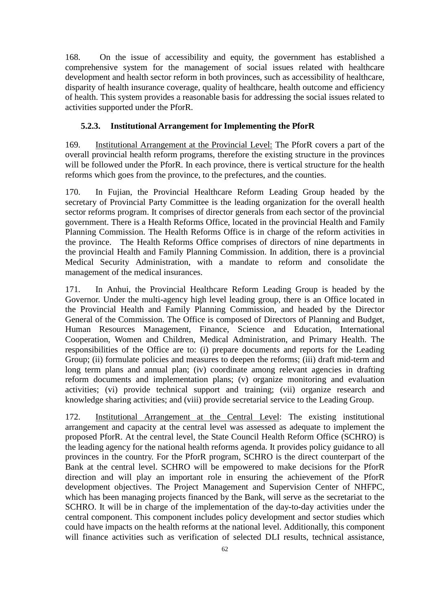168. On the issue of accessibility and equity, the government has established a comprehensive system for the management of social issues related with healthcare development and health sector reform in both provinces, such as accessibility of healthcare, disparity of health insurance coverage, quality of healthcare, health outcome and efficiency of health. This system provides a reasonable basis for addressing the social issues related to activities supported under the PforR.

#### **5.2.3. Institutional Arrangement for Implementing the PforR**

169. Institutional Arrangement at the Provincial Level: The PforR covers a part of the overall provincial health reform programs, therefore the existing structure in the provinces will be followed under the PforR. In each province, there is vertical structure for the health reforms which goes from the province, to the prefectures, and the counties.

170. In Fujian, the Provincial Healthcare Reform Leading Group headed by the secretary of Provincial Party Committee is the leading organization for the overall health sector reforms program. It comprises of director generals from each sector of the provincial government. There is a Health Reforms Office, located in the provincial Health and Family Planning Commission. The Health Reforms Office is in charge of the reform activities in the province. The Health Reforms Office comprises of directors of nine departments in the provincial Health and Family Planning Commission. In addition, there is a provincial Medical Security Administration, with a mandate to reform and consolidate the management of the medical insurances.

171. In Anhui, the Provincial Healthcare Reform Leading Group is headed by the Governor. Under the multi-agency high level leading group, there is an Office located in the Provincial Health and Family Planning Commission, and headed by the Director General of the Commission. The Office is composed of Directors of Planning and Budget, Human Resources Management, Finance, Science and Education, International Cooperation, Women and Children, Medical Administration, and Primary Health. The responsibilities of the Office are to: (i) prepare documents and reports for the Leading Group; (ii) formulate policies and measures to deepen the reforms; (iii) draft mid-term and long term plans and annual plan; (iv) coordinate among relevant agencies in drafting reform documents and implementation plans; (v) organize monitoring and evaluation activities; (vi) provide technical support and training; (vii) organize research and knowledge sharing activities; and (viii) provide secretarial service to the Leading Group.

172. Institutional Arrangement at the Central Level: The existing institutional arrangement and capacity at the central level was assessed as adequate to implement the proposed PforR. At the central level, the State Council Health Reform Office (SCHRO) is the leading agency for the national health reforms agenda. It provides policy guidance to all provinces in the country. For the PforR program, SCHRO is the direct counterpart of the Bank at the central level. SCHRO will be empowered to make decisions for the PforR direction and will play an important role in ensuring the achievement of the PforR development objectives. The Project Management and Supervision Center of NHFPC, which has been managing projects financed by the Bank, will serve as the secretariat to the SCHRO. It will be in charge of the implementation of the day-to-day activities under the central component. This component includes policy development and sector studies which could have impacts on the health reforms at the national level. Additionally, this component will finance activities such as verification of selected DLI results, technical assistance,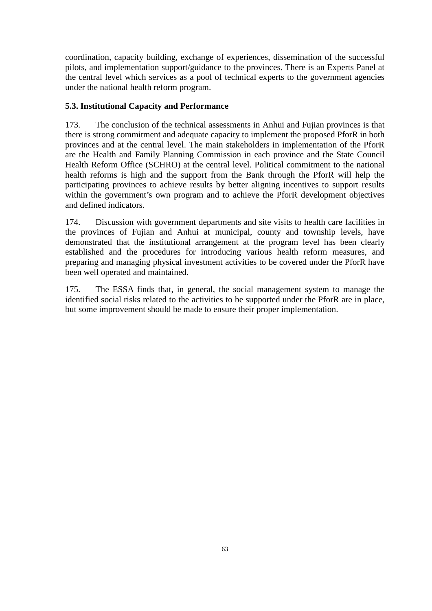coordination, capacity building, exchange of experiences, dissemination of the successful pilots, and implementation support/guidance to the provinces. There is an Experts Panel at the central level which services as a pool of technical experts to the government agencies under the national health reform program.

# **5.3. Institutional Capacity and Performance**

173. The conclusion of the technical assessments in Anhui and Fujian provinces is that there is strong commitment and adequate capacity to implement the proposed PforR in both provinces and at the central level. The main stakeholders in implementation of the PforR are the Health and Family Planning Commission in each province and the State Council Health Reform Office (SCHRO) at the central level. Political commitment to the national health reforms is high and the support from the Bank through the PforR will help the participating provinces to achieve results by better aligning incentives to support results within the government's own program and to achieve the PforR development objectives and defined indicators.

174. Discussion with government departments and site visits to health care facilities in the provinces of Fujian and Anhui at municipal, county and township levels, have demonstrated that the institutional arrangement at the program level has been clearly established and the procedures for introducing various health reform measures, and preparing and managing physical investment activities to be covered under the PforR have been well operated and maintained.

175. The ESSA finds that, in general, the social management system to manage the identified social risks related to the activities to be supported under the PforR are in place, but some improvement should be made to ensure their proper implementation.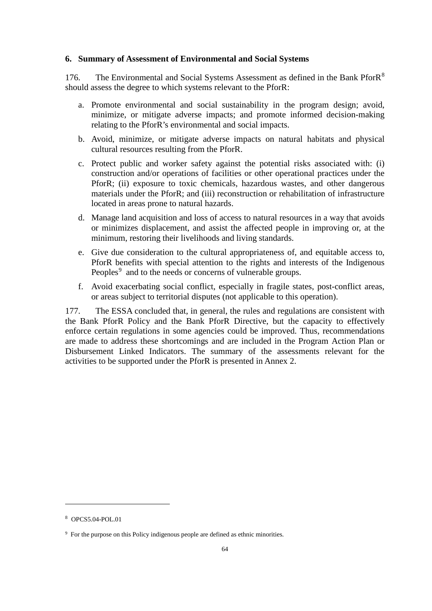#### **6. Summary of Assessment of Environmental and Social Systems**

176. The Environmental and Social Systems Assessment as defined in the Bank PforR<sup>[8](#page-67-0)</sup> should assess the degree to which systems relevant to the PforR:

- a. Promote environmental and social sustainability in the program design; avoid, minimize, or mitigate adverse impacts; and promote informed decision-making relating to the PforR's environmental and social impacts.
- b. Avoid, minimize, or mitigate adverse impacts on natural habitats and physical cultural resources resulting from the PforR.
- c. Protect public and worker safety against the potential risks associated with: (i) construction and/or operations of facilities or other operational practices under the PforR; (ii) exposure to toxic chemicals, hazardous wastes, and other dangerous materials under the PforR; and (iii) reconstruction or rehabilitation of infrastructure located in areas prone to natural hazards.
- d. Manage land acquisition and loss of access to natural resources in a way that avoids or minimizes displacement, and assist the affected people in improving or, at the minimum, restoring their livelihoods and living standards.
- e. Give due consideration to the cultural appropriateness of, and equitable access to, PforR benefits with special attention to the rights and interests of the Indigenous Peoples<sup>[9](#page-67-1)</sup> and to the needs or concerns of vulnerable groups.
- f. Avoid exacerbating social conflict, especially in fragile states, post-conflict areas, or areas subject to territorial disputes (not applicable to this operation).

177. The ESSA concluded that, in general, the rules and regulations are consistent with the Bank PforR Policy and the Bank PforR Directive, but the capacity to effectively enforce certain regulations in some agencies could be improved. Thus, recommendations are made to address these shortcomings and are included in the Program Action Plan or Disbursement Linked Indicators. The summary of the assessments relevant for the activities to be supported under the PforR is presented in Annex 2.

 $\ddot{ }$ 

<span id="page-67-0"></span><sup>8</sup> OPCS5.04-POL.01

<span id="page-67-1"></span><sup>9</sup> For the purpose on this Policy indigenous people are defined as ethnic minorities.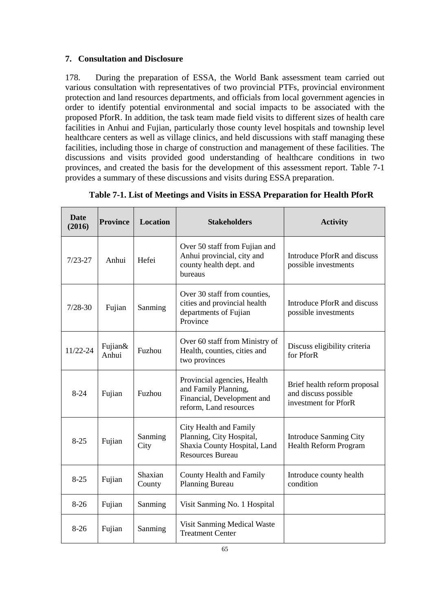## **7. Consultation and Disclosure**

178. During the preparation of ESSA, the World Bank assessment team carried out various consultation with representatives of two provincial PTFs, provincial environment protection and land resources departments, and officials from local government agencies in order to identify potential environmental and social impacts to be associated with the proposed PforR. In addition, the task team made field visits to different sizes of health care facilities in Anhui and Fujian, particularly those county level hospitals and township level healthcare centers as well as village clinics, and held discussions with staff managing these facilities, including those in charge of construction and management of these facilities. The discussions and visits provided good understanding of healthcare conditions in two provinces, and created the basis for the development of this assessment report. Table 7-1 provides a summary of these discussions and visits during ESSA preparation.

| <b>Date</b><br>(2016) | <b>Province</b>      | <b>Location</b>   | <b>Stakeholders</b>                                                                                           | <b>Activity</b>                                                              |
|-----------------------|----------------------|-------------------|---------------------------------------------------------------------------------------------------------------|------------------------------------------------------------------------------|
| $7/23 - 27$           | Anhui                | Hefei             | Over 50 staff from Fujian and<br>Anhui provincial, city and<br>county health dept. and<br>bureaus             | Introduce PforR and discuss<br>possible investments                          |
| $7/28 - 30$           | Fujian               | Sanming           | Over 30 staff from counties,<br>cities and provincial health<br>departments of Fujian<br>Province             | Introduce PforR and discuss<br>possible investments                          |
| 11/22-24              | Fujian $\&$<br>Anhui | Fuzhou            | Over 60 staff from Ministry of<br>Health, counties, cities and<br>two provinces                               | Discuss eligibility criteria<br>for PforR                                    |
| $8-24$                | Fujian               | Fuzhou            | Provincial agencies, Health<br>and Family Planning,<br>Financial, Development and<br>reform, Land resources   | Brief health reform proposal<br>and discuss possible<br>investment for PforR |
| $8-25$                | Fujian               | Sanming<br>City   | City Health and Family<br>Planning, City Hospital,<br>Shaxia County Hospital, Land<br><b>Resources Bureau</b> | <b>Introduce Sanming City</b><br><b>Health Reform Program</b>                |
| $8-25$                | Fujian               | Shaxian<br>County | County Health and Family<br><b>Planning Bureau</b>                                                            | Introduce county health<br>condition                                         |
| $8-26$                | Fujian               | Sanming           | Visit Sanming No. 1 Hospital                                                                                  |                                                                              |
| $8-26$                | Fujian               | Sanming           | Visit Sanming Medical Waste<br><b>Treatment Center</b>                                                        |                                                                              |

**Table 7-1. List of Meetings and Visits in ESSA Preparation for Health PforR**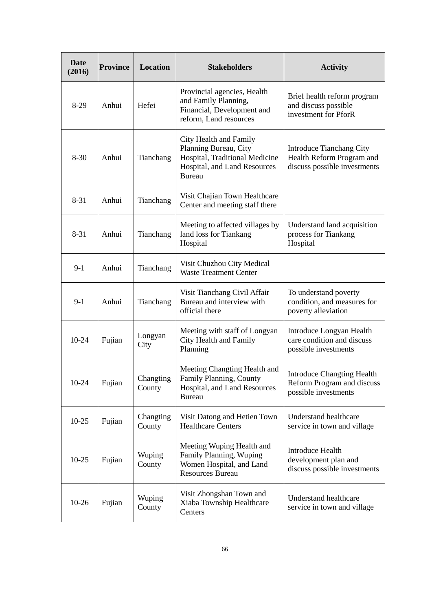| Date<br>(2016) | <b>Province</b> | Location            | <b>Stakeholders</b>                                                                                                                | <b>Activity</b>                                                                              |
|----------------|-----------------|---------------------|------------------------------------------------------------------------------------------------------------------------------------|----------------------------------------------------------------------------------------------|
| $8-29$         | Anhui           | Hefei               | Provincial agencies, Health<br>and Family Planning,<br>Financial, Development and<br>reform, Land resources                        | Brief health reform program<br>and discuss possible<br>investment for PforR                  |
| $8 - 30$       | Anhui           | Tianchang           | City Health and Family<br>Planning Bureau, City<br>Hospital, Traditional Medicine<br>Hospital, and Land Resources<br><b>Bureau</b> | <b>Introduce Tianchang City</b><br>Health Reform Program and<br>discuss possible investments |
| $8 - 31$       | Anhui           | Tianchang           | Visit Chajian Town Healthcare<br>Center and meeting staff there                                                                    |                                                                                              |
| $8 - 31$       | Anhui           | Tianchang           | Meeting to affected villages by<br>land loss for Tiankang<br>Hospital                                                              | Understand land acquisition<br>process for Tiankang<br>Hospital                              |
| $9-1$          | Anhui           | Tianchang           | Visit Chuzhou City Medical<br><b>Waste Treatment Center</b>                                                                        |                                                                                              |
| $9-1$          | Anhui           | Tianchang           | Visit Tianchang Civil Affair<br>Bureau and interview with<br>official there                                                        | To understand poverty<br>condition, and measures for<br>poverty alleviation                  |
| 10-24          | Fujian          | Longyan<br>City     | Meeting with staff of Longyan<br>City Health and Family<br>Planning                                                                | Introduce Longyan Health<br>care condition and discuss<br>possible investments               |
| $10-24$        | Fujian          | Changting<br>County | Meeting Changting Health and<br>Family Planning, County<br>Hospital, and Land Resources<br><b>Bureau</b>                           | <b>Introduce Changting Health</b><br>Reform Program and discuss<br>possible investments      |
| $10-25$        | Fujian          | Changting<br>County | Visit Datong and Hetien Town<br><b>Healthcare Centers</b>                                                                          | <b>Understand healthcare</b><br>service in town and village                                  |
| $10-25$        | Fujian          | Wuping<br>County    | Meeting Wuping Health and<br>Family Planning, Wuping<br>Women Hospital, and Land<br><b>Resources Bureau</b>                        | <b>Introduce Health</b><br>development plan and<br>discuss possible investments              |
| $10-26$        | Fujian          | Wuping<br>County    | Visit Zhongshan Town and<br>Xiaba Township Healthcare<br>Centers                                                                   | <b>Understand healthcare</b><br>service in town and village                                  |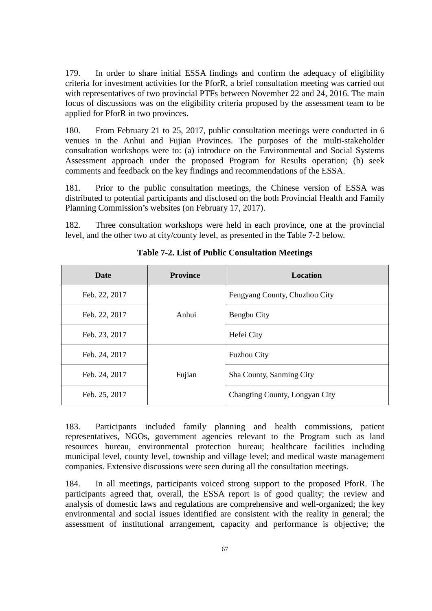179. In order to share initial ESSA findings and confirm the adequacy of eligibility criteria for investment activities for the PforR, a brief consultation meeting was carried out with representatives of two provincial PTFs between November 22 and 24, 2016. The main focus of discussions was on the eligibility criteria proposed by the assessment team to be applied for PforR in two provinces.

180. From February 21 to 25, 2017, public consultation meetings were conducted in 6 venues in the Anhui and Fujian Provinces. The purposes of the multi-stakeholder consultation workshops were to: (a) introduce on the Environmental and Social Systems Assessment approach under the proposed Program for Results operation; (b) seek comments and feedback on the key findings and recommendations of the ESSA.

181. Prior to the public consultation meetings, the Chinese version of ESSA was distributed to potential participants and disclosed on the both Provincial Health and Family Planning Commission's websites (on February 17, 2017).

182. Three consultation workshops were held in each province, one at the provincial level, and the other two at city/county level, as presented in the Table 7-2 below.

| Date          | <b>Province</b> | Location                       |
|---------------|-----------------|--------------------------------|
| Feb. 22, 2017 |                 | Fengyang County, Chuzhou City  |
| Feb. 22, 2017 | Anhui           | Bengbu City                    |
| Feb. 23, 2017 |                 | Hefei City                     |
| Feb. 24, 2017 |                 | <b>Fuzhou City</b>             |
| Feb. 24, 2017 | Fujian          | Sha County, Sanming City       |
| Feb. 25, 2017 |                 | Changting County, Longyan City |

**Table 7-2. List of Public Consultation Meetings**

183. Participants included family planning and health commissions, patient representatives, NGOs, government agencies relevant to the Program such as land resources bureau, environmental protection bureau; healthcare facilities including municipal level, county level, township and village level; and medical waste management companies. Extensive discussions were seen during all the consultation meetings.

184. In all meetings, participants voiced strong support to the proposed PforR. The participants agreed that, overall, the ESSA report is of good quality; the review and analysis of domestic laws and regulations are comprehensive and well-organized; the key environmental and social issues identified are consistent with the reality in general; the assessment of institutional arrangement, capacity and performance is objective; the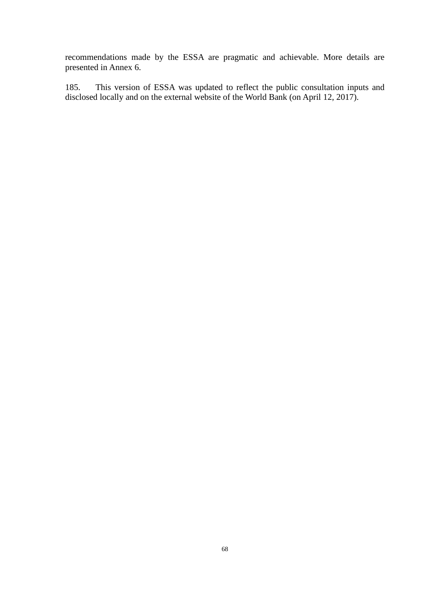recommendations made by the ESSA are pragmatic and achievable. More details are presented in Annex 6.

185. This version of ESSA was updated to reflect the public consultation inputs and disclosed locally and on the external website of the World Bank (on April 12, 2017).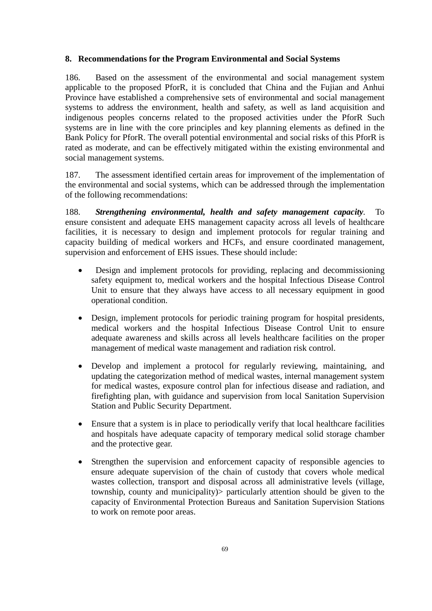### **8. Recommendations for the Program Environmental and Social Systems**

186. Based on the assessment of the environmental and social management system applicable to the proposed PforR, it is concluded that China and the Fujian and Anhui Province have established a comprehensive sets of environmental and social management systems to address the environment, health and safety, as well as land acquisition and indigenous peoples concerns related to the proposed activities under the PforR Such systems are in line with the core principles and key planning elements as defined in the Bank Policy for PforR. The overall potential environmental and social risks of this PforR is rated as moderate, and can be effectively mitigated within the existing environmental and social management systems.

187. The assessment identified certain areas for improvement of the implementation of the environmental and social systems, which can be addressed through the implementation of the following recommendations:

188. *Strengthening environmental, health and safety management capacity.* To ensure consistent and adequate EHS management capacity across all levels of healthcare facilities, it is necessary to design and implement protocols for regular training and capacity building of medical workers and HCFs, and ensure coordinated management, supervision and enforcement of EHS issues. These should include:

- Design and implement protocols for providing, replacing and decommissioning safety equipment to, medical workers and the hospital Infectious Disease Control Unit to ensure that they always have access to all necessary equipment in good operational condition.
- Design, implement protocols for periodic training program for hospital presidents, medical workers and the hospital Infectious Disease Control Unit to ensure adequate awareness and skills across all levels healthcare facilities on the proper management of medical waste management and radiation risk control.
- Develop and implement a protocol for regularly reviewing, maintaining, and updating the categorization method of medical wastes, internal management system for medical wastes, exposure control plan for infectious disease and radiation, and firefighting plan, with guidance and supervision from local Sanitation Supervision Station and Public Security Department.
- Ensure that a system is in place to periodically verify that local healthcare facilities and hospitals have adequate capacity of temporary medical solid storage chamber and the protective gear.
- Strengthen the supervision and enforcement capacity of responsible agencies to ensure adequate supervision of the chain of custody that covers whole medical wastes collection, transport and disposal across all administrative levels (village, township, county and municipality)> particularly attention should be given to the capacity of Environmental Protection Bureaus and Sanitation Supervision Stations to work on remote poor areas.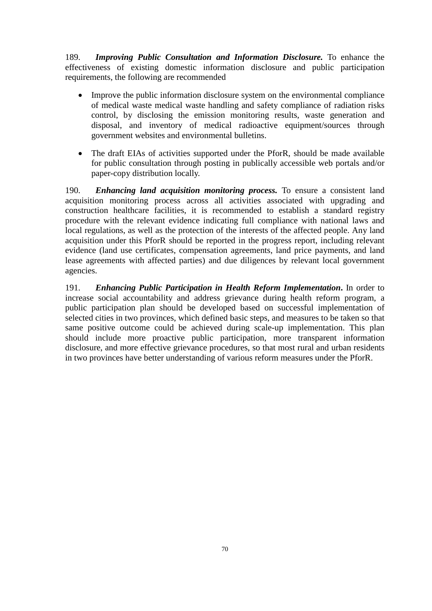189. *Improving Public Consultation and Information Disclosure.* To enhance the effectiveness of existing domestic information disclosure and public participation requirements, the following are recommended

- Improve the public information disclosure system on the environmental compliance of medical waste medical waste handling and safety compliance of radiation risks control, by disclosing the emission monitoring results, waste generation and disposal, and inventory of medical radioactive equipment/sources through government websites and environmental bulletins.
- The draft EIAs of activities supported under the PforR, should be made available for public consultation through posting in publically accessible web portals and/or paper-copy distribution locally.

190. *Enhancing land acquisition monitoring process.* To ensure a consistent land acquisition monitoring process across all activities associated with upgrading and construction healthcare facilities, it is recommended to establish a standard registry procedure with the relevant evidence indicating full compliance with national laws and local regulations, as well as the protection of the interests of the affected people. Any land acquisition under this PforR should be reported in the progress report, including relevant evidence (land use certificates, compensation agreements, land price payments, and land lease agreements with affected parties) and due diligences by relevant local government agencies.

191. *Enhancing Public Participation in Health Reform Implementation***.** In order to increase social accountability and address grievance during health reform program, a public participation plan should be developed based on successful implementation of selected cities in two provinces, which defined basic steps, and measures to be taken so that same positive outcome could be achieved during scale-up implementation. This plan should include more proactive public participation, more transparent information disclosure, and more effective grievance procedures, so that most rural and urban residents in two provinces have better understanding of various reform measures under the PforR.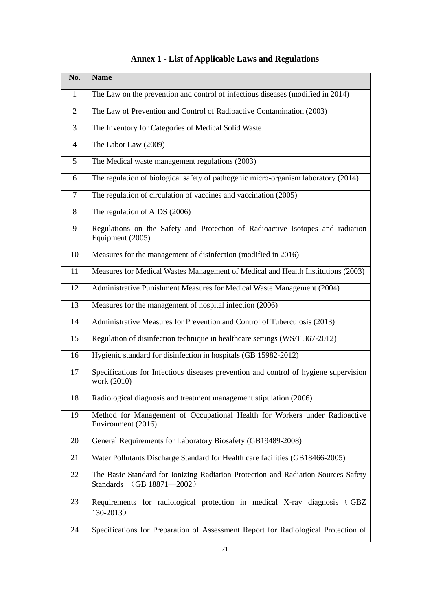| No.            | <b>Name</b>                                                                                                    |
|----------------|----------------------------------------------------------------------------------------------------------------|
| $\mathbf{1}$   | The Law on the prevention and control of infectious diseases (modified in 2014)                                |
| $\overline{2}$ | The Law of Prevention and Control of Radioactive Contamination (2003)                                          |
| 3              | The Inventory for Categories of Medical Solid Waste                                                            |
| $\overline{4}$ | The Labor Law (2009)                                                                                           |
| 5              | The Medical waste management regulations (2003)                                                                |
| 6              | The regulation of biological safety of pathogenic micro-organism laboratory (2014)                             |
| $\tau$         | The regulation of circulation of vaccines and vaccination (2005)                                               |
| 8              | The regulation of AIDS (2006)                                                                                  |
| 9              | Regulations on the Safety and Protection of Radioactive Isotopes and radiation<br>Equipment (2005)             |
| 10             | Measures for the management of disinfection (modified in 2016)                                                 |
| 11             | Measures for Medical Wastes Management of Medical and Health Institutions (2003)                               |
| 12             | Administrative Punishment Measures for Medical Waste Management (2004)                                         |
| 13             | Measures for the management of hospital infection (2006)                                                       |
| 14             | Administrative Measures for Prevention and Control of Tuberculosis (2013)                                      |
| 15             | Regulation of disinfection technique in healthcare settings (WS/T 367-2012)                                    |
| 16             | Hygienic standard for disinfection in hospitals (GB 15982-2012)                                                |
| 17             | Specifications for Infectious diseases prevention and control of hygiene supervision<br>work (2010)            |
| 18             | Radiological diagnosis and treatment management stipulation (2006)                                             |
| 19             | Method for Management of Occupational Health for Workers under Radioactive<br>Environment (2016)               |
| 20             | General Requirements for Laboratory Biosafety (GB19489-2008)                                                   |
| 21             | Water Pollutants Discharge Standard for Health care facilities (GB18466-2005)                                  |
| 22             | The Basic Standard for Ionizing Radiation Protection and Radiation Sources Safety<br>Standards (GB 18871-2002) |
| 23             | Requirements for radiological protection in medical X-ray diagnosis (GBZ<br>$130-2013$ )                       |
| 24             | Specifications for Preparation of Assessment Report for Radiological Protection of                             |

## **Annex 1 - List of Applicable Laws and Regulations**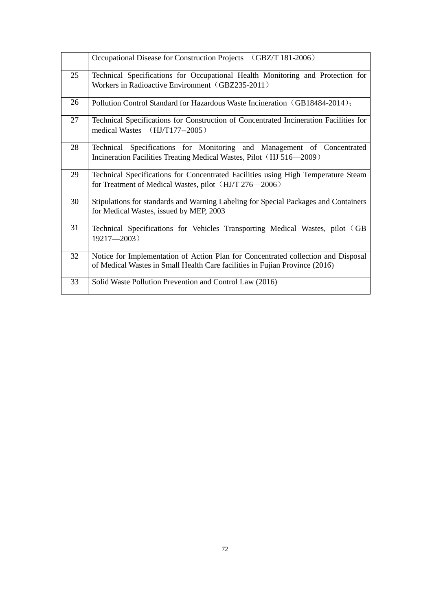|    | Occupational Disease for Construction Projects (GBZ/T 181-2006)                                                                                                  |
|----|------------------------------------------------------------------------------------------------------------------------------------------------------------------|
| 25 | Technical Specifications for Occupational Health Monitoring and Protection for<br>Workers in Radioactive Environment (GBZ235-2011)                               |
| 26 | Pollution Control Standard for Hazardous Waste Incineration (GB18484-2014);                                                                                      |
| 27 | Technical Specifications for Construction of Concentrated Incineration Facilities for<br>medical Wastes (HJ/T177--2005)                                          |
| 28 | Technical Specifications for Monitoring and Management of Concentrated<br>Incineration Facilities Treating Medical Wastes, Pilot (HJ 516-2009)                   |
| 29 | Technical Specifications for Concentrated Facilities using High Temperature Steam<br>for Treatment of Medical Wastes, pilot $(HJ/T 276 - 2006)$                  |
| 30 | Stipulations for standards and Warning Labeling for Special Packages and Containers<br>for Medical Wastes, issued by MEP, 2003                                   |
| 31 | Technical Specifications for Vehicles Transporting Medical Wastes, pilot (GB<br>$19217 - 2003$ )                                                                 |
| 32 | Notice for Implementation of Action Plan for Concentrated collection and Disposal<br>of Medical Wastes in Small Health Care facilities in Fujian Province (2016) |
| 33 | Solid Waste Pollution Prevention and Control Law (2016)                                                                                                          |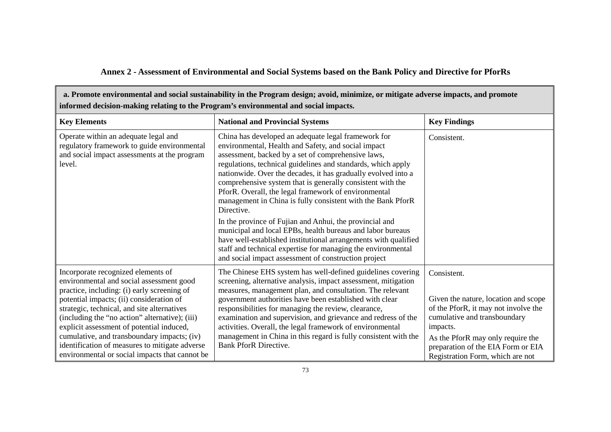# **Annex 2 - Assessment of Environmental and Social Systems based on the Bank Policy and Directive for PforRs**

| a. Promote environmental and social sustainability in the Program design; avoid, minimize, or mitigate adverse impacts, and promote<br>informed decision-making relating to the Program's environmental and social impacts.                                                                                                                                                                                                                                                |                                                                                                                                                                                                                                                                                                                                                                                                                                                                                                                                                                                                                                                                                                                                                                                                                          |                                                                                                                                                                                                                                                        |
|----------------------------------------------------------------------------------------------------------------------------------------------------------------------------------------------------------------------------------------------------------------------------------------------------------------------------------------------------------------------------------------------------------------------------------------------------------------------------|--------------------------------------------------------------------------------------------------------------------------------------------------------------------------------------------------------------------------------------------------------------------------------------------------------------------------------------------------------------------------------------------------------------------------------------------------------------------------------------------------------------------------------------------------------------------------------------------------------------------------------------------------------------------------------------------------------------------------------------------------------------------------------------------------------------------------|--------------------------------------------------------------------------------------------------------------------------------------------------------------------------------------------------------------------------------------------------------|
| <b>Key Elements</b>                                                                                                                                                                                                                                                                                                                                                                                                                                                        | <b>National and Provincial Systems</b>                                                                                                                                                                                                                                                                                                                                                                                                                                                                                                                                                                                                                                                                                                                                                                                   | <b>Key Findings</b>                                                                                                                                                                                                                                    |
| Operate within an adequate legal and<br>regulatory framework to guide environmental<br>and social impact assessments at the program<br>level.                                                                                                                                                                                                                                                                                                                              | China has developed an adequate legal framework for<br>environmental, Health and Safety, and social impact<br>assessment, backed by a set of comprehensive laws,<br>regulations, technical guidelines and standards, which apply<br>nationwide. Over the decades, it has gradually evolved into a<br>comprehensive system that is generally consistent with the<br>PforR. Overall, the legal framework of environmental<br>management in China is fully consistent with the Bank PforR<br>Directive.<br>In the province of Fujian and Anhui, the provincial and<br>municipal and local EPBs, health bureaus and labor bureaus<br>have well-established institutional arrangements with qualified<br>staff and technical expertise for managing the environmental<br>and social impact assessment of construction project | Consistent.                                                                                                                                                                                                                                            |
| Incorporate recognized elements of<br>environmental and social assessment good<br>practice, including: (i) early screening of<br>potential impacts; (ii) consideration of<br>strategic, technical, and site alternatives<br>(including the "no action" alternative); (iii)<br>explicit assessment of potential induced,<br>cumulative, and transboundary impacts; (iv)<br>identification of measures to mitigate adverse<br>environmental or social impacts that cannot be | The Chinese EHS system has well-defined guidelines covering<br>screening, alternative analysis, impact assessment, mitigation<br>measures, management plan, and consultation. The relevant<br>government authorities have been established with clear<br>responsibilities for managing the review, clearance,<br>examination and supervision, and grievance and redress of the<br>activities. Overall, the legal framework of environmental<br>management in China in this regard is fully consistent with the<br><b>Bank PforR Directive.</b>                                                                                                                                                                                                                                                                           | Consistent.<br>Given the nature, location and scope<br>of the PforR, it may not involve the<br>cumulative and transboundary<br>impacts.<br>As the PforR may only require the<br>preparation of the EIA Form or EIA<br>Registration Form, which are not |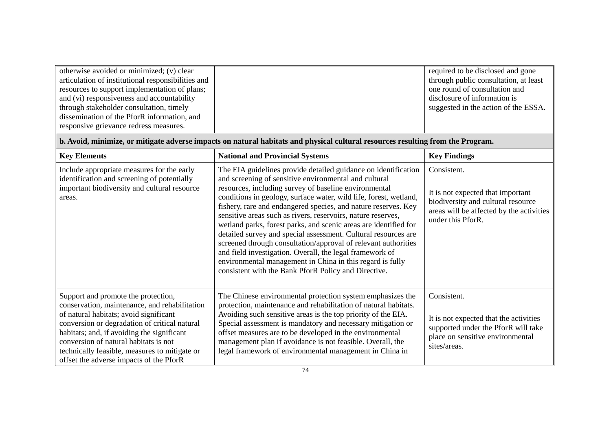| otherwise avoided or minimized; (v) clear<br>articulation of institutional responsibilities and<br>resources to support implementation of plans;<br>and (vi) responsiveness and accountability<br>through stakeholder consultation, timely<br>dissemination of the PforR information, and<br>responsive grievance redress measures.                                |                                                                                                                                                                                                                                                                                                                                                                                                                                                                                                                                                                                                                                                                                                                                                                                  | required to be disclosed and gone<br>through public consultation, at least<br>one round of consultation and<br>disclosure of information is<br>suggested in the action of the ESSA. |
|--------------------------------------------------------------------------------------------------------------------------------------------------------------------------------------------------------------------------------------------------------------------------------------------------------------------------------------------------------------------|----------------------------------------------------------------------------------------------------------------------------------------------------------------------------------------------------------------------------------------------------------------------------------------------------------------------------------------------------------------------------------------------------------------------------------------------------------------------------------------------------------------------------------------------------------------------------------------------------------------------------------------------------------------------------------------------------------------------------------------------------------------------------------|-------------------------------------------------------------------------------------------------------------------------------------------------------------------------------------|
|                                                                                                                                                                                                                                                                                                                                                                    | b. Avoid, minimize, or mitigate adverse impacts on natural habitats and physical cultural resources resulting from the Program.                                                                                                                                                                                                                                                                                                                                                                                                                                                                                                                                                                                                                                                  |                                                                                                                                                                                     |
| <b>Key Elements</b>                                                                                                                                                                                                                                                                                                                                                | <b>National and Provincial Systems</b>                                                                                                                                                                                                                                                                                                                                                                                                                                                                                                                                                                                                                                                                                                                                           | <b>Key Findings</b>                                                                                                                                                                 |
| Include appropriate measures for the early<br>identification and screening of potentially<br>important biodiversity and cultural resource<br>areas.                                                                                                                                                                                                                | The EIA guidelines provide detailed guidance on identification<br>and screening of sensitive environmental and cultural<br>resources, including survey of baseline environmental<br>conditions in geology, surface water, wild life, forest, wetland,<br>fishery, rare and endangered species, and nature reserves. Key<br>sensitive areas such as rivers, reservoirs, nature reserves,<br>wetland parks, forest parks, and scenic areas are identified for<br>detailed survey and special assessment. Cultural resources are<br>screened through consultation/approval of relevant authorities<br>and field investigation. Overall, the legal framework of<br>environmental management in China in this regard is fully<br>consistent with the Bank PforR Policy and Directive. | Consistent.<br>It is not expected that important<br>biodiversity and cultural resource<br>areas will be affected by the activities<br>under this PforR.                             |
| Support and promote the protection,<br>conservation, maintenance, and rehabilitation<br>of natural habitats; avoid significant<br>conversion or degradation of critical natural<br>habitats; and, if avoiding the significant<br>conversion of natural habitats is not<br>technically feasible, measures to mitigate or<br>offset the adverse impacts of the PforR | The Chinese environmental protection system emphasizes the<br>protection, maintenance and rehabilitation of natural habitats.<br>Avoiding such sensitive areas is the top priority of the EIA.<br>Special assessment is mandatory and necessary mitigation or<br>offset measures are to be developed in the environmental<br>management plan if avoidance is not feasible. Overall, the<br>legal framework of environmental management in China in                                                                                                                                                                                                                                                                                                                               | Consistent.<br>It is not expected that the activities<br>supported under the PforR will take<br>place on sensitive environmental<br>sites/areas.                                    |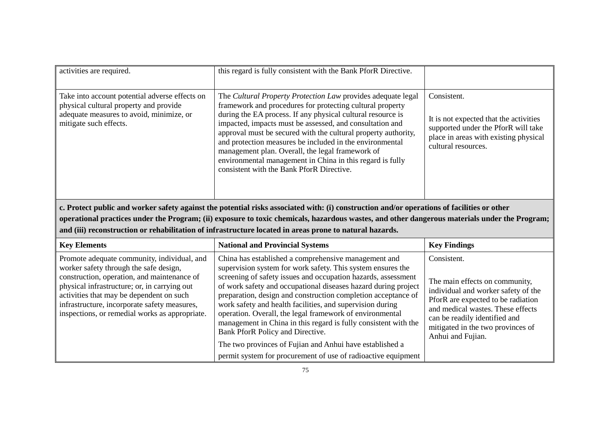| activities are required.                                                                                                                                       | this regard is fully consistent with the Bank PforR Directive.                                                                                                                                                                                                                                                                                                                                                                                                                                                                                   |                                                                                                                                                              |
|----------------------------------------------------------------------------------------------------------------------------------------------------------------|--------------------------------------------------------------------------------------------------------------------------------------------------------------------------------------------------------------------------------------------------------------------------------------------------------------------------------------------------------------------------------------------------------------------------------------------------------------------------------------------------------------------------------------------------|--------------------------------------------------------------------------------------------------------------------------------------------------------------|
| Take into account potential adverse effects on<br>physical cultural property and provide<br>adequate measures to avoid, minimize, or<br>mitigate such effects. | The Cultural Property Protection Law provides adequate legal<br>framework and procedures for protecting cultural property<br>during the EA process. If any physical cultural resource is<br>impacted, impacts must be assessed, and consultation and<br>approval must be secured with the cultural property authority,<br>and protection measures be included in the environmental<br>management plan. Overall, the legal framework of<br>environmental management in China in this regard is fully<br>consistent with the Bank PforR Directive. | Consistent.<br>It is not expected that the activities<br>supported under the PforR will take<br>place in areas with existing physical<br>cultural resources. |
| c. Protect public and worker safety against the potential risks associated with: (i) construction and/or operations of facilities or other                     |                                                                                                                                                                                                                                                                                                                                                                                                                                                                                                                                                  |                                                                                                                                                              |

**operational practices under the Program; (ii) exposure to toxic chemicals, hazardous wastes, and other dangerous materials under the Program; and (iii) reconstruction or rehabilitation of infrastructure located in areas prone to natural hazards.**

| <b>Key Elements</b>                                                                                                                                                                                                                                                                                                                | <b>National and Provincial Systems</b>                                                                                                                                                                                                                                                                                                                                                                                                                                                                                                                                                                                                                                               | <b>Key Findings</b>                                                                                                                                                                                                                                        |
|------------------------------------------------------------------------------------------------------------------------------------------------------------------------------------------------------------------------------------------------------------------------------------------------------------------------------------|--------------------------------------------------------------------------------------------------------------------------------------------------------------------------------------------------------------------------------------------------------------------------------------------------------------------------------------------------------------------------------------------------------------------------------------------------------------------------------------------------------------------------------------------------------------------------------------------------------------------------------------------------------------------------------------|------------------------------------------------------------------------------------------------------------------------------------------------------------------------------------------------------------------------------------------------------------|
| Promote adequate community, individual, and<br>worker safety through the safe design,<br>construction, operation, and maintenance of<br>physical infrastructure; or, in carrying out<br>activities that may be dependent on such<br>infrastructure, incorporate safety measures,<br>inspections, or remedial works as appropriate. | China has established a comprehensive management and<br>supervision system for work safety. This system ensures the<br>screening of safety issues and occupation hazards, assessment<br>of work safety and occupational diseases hazard during project<br>preparation, design and construction completion acceptance of<br>work safety and health facilities, and supervision during<br>operation. Overall, the legal framework of environmental<br>management in China in this regard is fully consistent with the<br>Bank PforR Policy and Directive.<br>The two provinces of Fujian and Anhui have established a<br>permit system for procurement of use of radioactive equipment | Consistent.<br>The main effects on community,<br>individual and worker safety of the<br>PforR are expected to be radiation<br>and medical wastes. These effects<br>can be readily identified and<br>mitigated in the two provinces of<br>Anhui and Fujian. |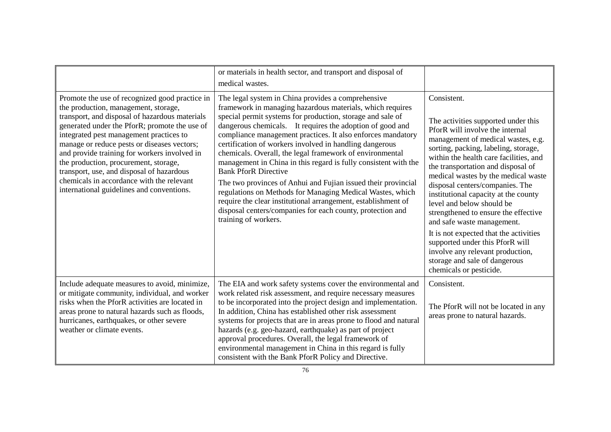|                                                                                                                                                                                                                                                                                                                                                                                                                                                                                                                     | or materials in health sector, and transport and disposal of<br>medical wastes.                                                                                                                                                                                                                                                                                                                                                                                                                                                                                                                                                                                                                                                                                                                                         |                                                                                                                                                                                                                                                                                                                                                                                                                                                                                                                                                                                                                            |
|---------------------------------------------------------------------------------------------------------------------------------------------------------------------------------------------------------------------------------------------------------------------------------------------------------------------------------------------------------------------------------------------------------------------------------------------------------------------------------------------------------------------|-------------------------------------------------------------------------------------------------------------------------------------------------------------------------------------------------------------------------------------------------------------------------------------------------------------------------------------------------------------------------------------------------------------------------------------------------------------------------------------------------------------------------------------------------------------------------------------------------------------------------------------------------------------------------------------------------------------------------------------------------------------------------------------------------------------------------|----------------------------------------------------------------------------------------------------------------------------------------------------------------------------------------------------------------------------------------------------------------------------------------------------------------------------------------------------------------------------------------------------------------------------------------------------------------------------------------------------------------------------------------------------------------------------------------------------------------------------|
| Promote the use of recognized good practice in<br>the production, management, storage,<br>transport, and disposal of hazardous materials<br>generated under the PforR; promote the use of<br>integrated pest management practices to<br>manage or reduce pests or diseases vectors;<br>and provide training for workers involved in<br>the production, procurement, storage,<br>transport, use, and disposal of hazardous<br>chemicals in accordance with the relevant<br>international guidelines and conventions. | The legal system in China provides a comprehensive<br>framework in managing hazardous materials, which requires<br>special permit systems for production, storage and sale of<br>dangerous chemicals. It requires the adoption of good and<br>compliance management practices. It also enforces mandatory<br>certification of workers involved in handling dangerous<br>chemicals. Overall, the legal framework of environmental<br>management in China in this regard is fully consistent with the<br><b>Bank PforR Directive</b><br>The two provinces of Anhui and Fujian issued their provincial<br>regulations on Methods for Managing Medical Wastes, which<br>require the clear institutional arrangement, establishment of<br>disposal centers/companies for each county, protection and<br>training of workers. | Consistent.<br>The activities supported under this<br>PforR will involve the internal<br>management of medical wastes, e.g.<br>sorting, packing, labeling, storage,<br>within the health care facilities, and<br>the transportation and disposal of<br>medical wastes by the medical waste<br>disposal centers/companies. The<br>institutional capacity at the county<br>level and below should be<br>strengthened to ensure the effective<br>and safe waste management.<br>It is not expected that the activities<br>supported under this PforR will<br>involve any relevant production,<br>storage and sale of dangerous |
|                                                                                                                                                                                                                                                                                                                                                                                                                                                                                                                     |                                                                                                                                                                                                                                                                                                                                                                                                                                                                                                                                                                                                                                                                                                                                                                                                                         | chemicals or pesticide.                                                                                                                                                                                                                                                                                                                                                                                                                                                                                                                                                                                                    |
| Include adequate measures to avoid, minimize,<br>or mitigate community, individual, and worker<br>risks when the PforR activities are located in<br>areas prone to natural hazards such as floods,<br>hurricanes, earthquakes, or other severe<br>weather or climate events.                                                                                                                                                                                                                                        | The EIA and work safety systems cover the environmental and<br>work related risk assessment, and require necessary measures<br>to be incorporated into the project design and implementation.<br>In addition, China has established other risk assessment<br>systems for projects that are in areas prone to flood and natural<br>hazards (e.g. geo-hazard, earthquake) as part of project<br>approval procedures. Overall, the legal framework of<br>environmental management in China in this regard is fully<br>consistent with the Bank PforR Policy and Directive.                                                                                                                                                                                                                                                 | Consistent.<br>The PforR will not be located in any<br>areas prone to natural hazards.                                                                                                                                                                                                                                                                                                                                                                                                                                                                                                                                     |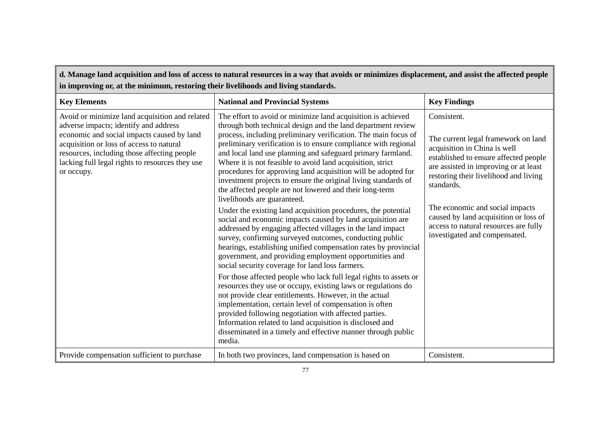| d. Manage land acquisition and loss of access to natural resources in a way that avoids or minimizes displacement, and assist the affected people<br>in improving or, at the minimum, restoring their livelihoods and living standards.                                                           |                                                                                                                                                                                                                                                                                                                                                                                                                                                                                                                                                                                                                                                                                                                                                                                                                                                                                                                                                                                                                                                                                                                                                                                                                                                                                                                                                                                                                                                                                                                             |                                                                                                                                                                                                                                                                                                                                                                                   |
|---------------------------------------------------------------------------------------------------------------------------------------------------------------------------------------------------------------------------------------------------------------------------------------------------|-----------------------------------------------------------------------------------------------------------------------------------------------------------------------------------------------------------------------------------------------------------------------------------------------------------------------------------------------------------------------------------------------------------------------------------------------------------------------------------------------------------------------------------------------------------------------------------------------------------------------------------------------------------------------------------------------------------------------------------------------------------------------------------------------------------------------------------------------------------------------------------------------------------------------------------------------------------------------------------------------------------------------------------------------------------------------------------------------------------------------------------------------------------------------------------------------------------------------------------------------------------------------------------------------------------------------------------------------------------------------------------------------------------------------------------------------------------------------------------------------------------------------------|-----------------------------------------------------------------------------------------------------------------------------------------------------------------------------------------------------------------------------------------------------------------------------------------------------------------------------------------------------------------------------------|
| <b>Key Elements</b>                                                                                                                                                                                                                                                                               | <b>National and Provincial Systems</b>                                                                                                                                                                                                                                                                                                                                                                                                                                                                                                                                                                                                                                                                                                                                                                                                                                                                                                                                                                                                                                                                                                                                                                                                                                                                                                                                                                                                                                                                                      | <b>Key Findings</b>                                                                                                                                                                                                                                                                                                                                                               |
| Avoid or minimize land acquisition and related<br>adverse impacts; identify and address<br>economic and social impacts caused by land<br>acquisition or loss of access to natural<br>resources, including those affecting people<br>lacking full legal rights to resources they use<br>or occupy. | The effort to avoid or minimize land acquisition is achieved<br>through both technical design and the land department review<br>process, including preliminary verification. The main focus of<br>preliminary verification is to ensure compliance with regional<br>and local land use planning and safeguard primary farmland.<br>Where it is not feasible to avoid land acquisition, strict<br>procedures for approving land acquisition will be adopted for<br>investment projects to ensure the original living standards of<br>the affected people are not lowered and their long-term<br>livelihoods are guaranteed.<br>Under the existing land acquisition procedures, the potential<br>social and economic impacts caused by land acquisition are<br>addressed by engaging affected villages in the land impact<br>survey, confirming surveyed outcomes, conducting public<br>hearings, establishing unified compensation rates by provincial<br>government, and providing employment opportunities and<br>social security coverage for land loss farmers.<br>For those affected people who lack full legal rights to assets or<br>resources they use or occupy, existing laws or regulations do<br>not provide clear entitlements. However, in the actual<br>implementation, certain level of compensation is often<br>provided following negotiation with affected parties.<br>Information related to land acquisition is disclosed and<br>disseminated in a timely and effective manner through public<br>media. | Consistent.<br>The current legal framework on land<br>acquisition in China is well<br>established to ensure affected people<br>are assisted in improving or at least<br>restoring their livelihood and living<br>standards.<br>The economic and social impacts<br>caused by land acquisition or loss of<br>access to natural resources are fully<br>investigated and compensated. |
| Provide compensation sufficient to purchase                                                                                                                                                                                                                                                       | In both two provinces, land compensation is based on                                                                                                                                                                                                                                                                                                                                                                                                                                                                                                                                                                                                                                                                                                                                                                                                                                                                                                                                                                                                                                                                                                                                                                                                                                                                                                                                                                                                                                                                        | Consistent.                                                                                                                                                                                                                                                                                                                                                                       |

 $\overline{\phantom{0}}$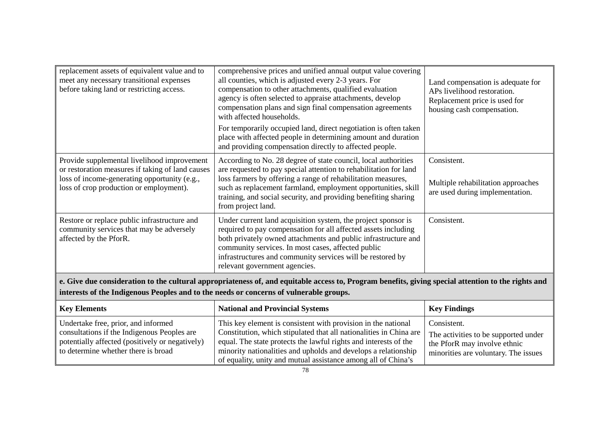| replacement assets of equivalent value and to<br>meet any necessary transitional expenses<br>before taking land or restricting access.                                                     | comprehensive prices and unified annual output value covering<br>all counties, which is adjusted every 2-3 years. For<br>compensation to other attachments, qualified evaluation<br>agency is often selected to appraise attachments, develop<br>compensation plans and sign final compensation agreements<br>with affected households.<br>For temporarily occupied land, direct negotiation is often taken<br>place with affected people in determining amount and duration<br>and providing compensation directly to affected people. | Land compensation is adequate for<br>APs livelihood restoration.<br>Replacement price is used for<br>housing cash compensation. |
|--------------------------------------------------------------------------------------------------------------------------------------------------------------------------------------------|-----------------------------------------------------------------------------------------------------------------------------------------------------------------------------------------------------------------------------------------------------------------------------------------------------------------------------------------------------------------------------------------------------------------------------------------------------------------------------------------------------------------------------------------|---------------------------------------------------------------------------------------------------------------------------------|
| Provide supplemental livelihood improvement<br>or restoration measures if taking of land causes<br>loss of income-generating opportunity (e.g.,<br>loss of crop production or employment). | According to No. 28 degree of state council, local authorities<br>are requested to pay special attention to rehabilitation for land<br>loss farmers by offering a range of rehabilitation measures,<br>such as replacement farmland, employment opportunities, skill<br>training, and social security, and providing benefiting sharing<br>from project land.                                                                                                                                                                           | Consistent.<br>Multiple rehabilitation approaches<br>are used during implementation.                                            |
| Restore or replace public infrastructure and<br>community services that may be adversely<br>affected by the PforR.                                                                         | Under current land acquisition system, the project sponsor is<br>required to pay compensation for all affected assets including<br>both privately owned attachments and public infrastructure and<br>community services. In most cases, affected public<br>infrastructures and community services will be restored by<br>relevant government agencies.                                                                                                                                                                                  | Consistent.                                                                                                                     |

**e. Give due consideration to the cultural appropriateness of, and equitable access to, Program benefits, giving special attention to the rights and interests of the Indigenous Peoples and to the needs or concerns of vulnerable groups.** 

| <b>Key Elements</b>                             | <b>National and Provincial Systems</b>                             | <b>Key Findings</b>                  |
|-------------------------------------------------|--------------------------------------------------------------------|--------------------------------------|
| Undertake free, prior, and informed             | This key element is consistent with provision in the national      | Consistent.                          |
| consultations if the Indigenous Peoples are     | Constitution, which stipulated that all nationalities in China are | The activities to be supported under |
| potentially affected (positively or negatively) | equal. The state protects the lawful rights and interests of the   | the PforR may involve ethnic         |
| to determine whether there is broad             | minority nationalities and upholds and develops a relationship     | minorities are voluntary. The issues |
|                                                 | of equality, unity and mutual assistance among all of China's      |                                      |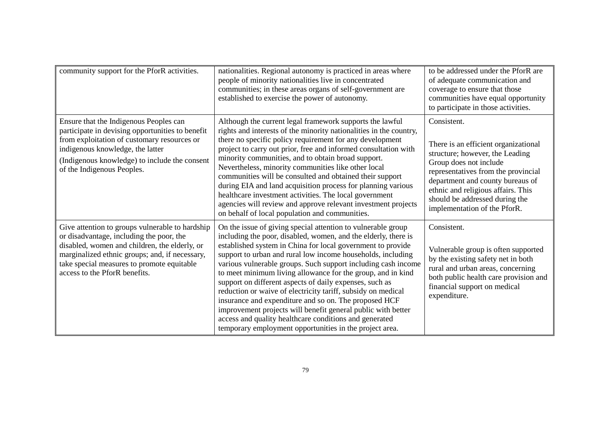| community support for the PforR activities.                                                                                                                                                                                                                                   | nationalities. Regional autonomy is practiced in areas where<br>people of minority nationalities live in concentrated<br>communities; in these areas organs of self-government are<br>established to exercise the power of autonomy.                                                                                                                                                                                                                                                                                                                                                                                                                                                                                                                                  | to be addressed under the PforR are<br>of adequate communication and<br>coverage to ensure that those<br>communities have equal opportunity<br>to participate in those activities.                                                                                                                  |
|-------------------------------------------------------------------------------------------------------------------------------------------------------------------------------------------------------------------------------------------------------------------------------|-----------------------------------------------------------------------------------------------------------------------------------------------------------------------------------------------------------------------------------------------------------------------------------------------------------------------------------------------------------------------------------------------------------------------------------------------------------------------------------------------------------------------------------------------------------------------------------------------------------------------------------------------------------------------------------------------------------------------------------------------------------------------|-----------------------------------------------------------------------------------------------------------------------------------------------------------------------------------------------------------------------------------------------------------------------------------------------------|
| Ensure that the Indigenous Peoples can<br>participate in devising opportunities to benefit<br>from exploitation of customary resources or<br>indigenous knowledge, the latter<br>(Indigenous knowledge) to include the consent<br>of the Indigenous Peoples.                  | Although the current legal framework supports the lawful<br>rights and interests of the minority nationalities in the country,<br>there no specific policy requirement for any development<br>project to carry out prior, free and informed consultation with<br>minority communities, and to obtain broad support.<br>Nevertheless, minority communities like other local<br>communities will be consulted and obtained their support<br>during EIA and land acquisition process for planning various<br>healthcare investment activities. The local government<br>agencies will review and approve relevant investment projects<br>on behalf of local population and communities.                                                                                   | Consistent.<br>There is an efficient organizational<br>structure; however, the Leading<br>Group does not include<br>representatives from the provincial<br>department and county bureaus of<br>ethnic and religious affairs. This<br>should be addressed during the<br>implementation of the PforR. |
| Give attention to groups vulnerable to hardship<br>or disadvantage, including the poor, the<br>disabled, women and children, the elderly, or<br>marginalized ethnic groups; and, if necessary,<br>take special measures to promote equitable<br>access to the PforR benefits. | On the issue of giving special attention to vulnerable group<br>including the poor, disabled, women, and the elderly, there is<br>established system in China for local government to provide<br>support to urban and rural low income households, including<br>various vulnerable groups. Such support including cash income<br>to meet minimum living allowance for the group, and in kind<br>support on different aspects of daily expenses, such as<br>reduction or waive of electricity tariff, subsidy on medical<br>insurance and expenditure and so on. The proposed HCF<br>improvement projects will benefit general public with better<br>access and quality healthcare conditions and generated<br>temporary employment opportunities in the project area. | Consistent.<br>Vulnerable group is often supported<br>by the existing safety net in both<br>rural and urban areas, concerning<br>both public health care provision and<br>financial support on medical<br>expenditure.                                                                              |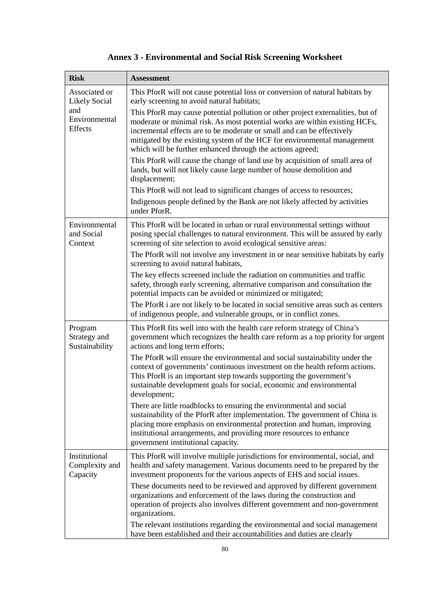| <b>Risk</b>                                 | <b>Assessment</b>                                                                                                                                                                                                                                                                                                                                                                  |
|---------------------------------------------|------------------------------------------------------------------------------------------------------------------------------------------------------------------------------------------------------------------------------------------------------------------------------------------------------------------------------------------------------------------------------------|
| Associated or<br><b>Likely Social</b>       | This PforR will not cause potential loss or conversion of natural habitats by<br>early screening to avoid natural habitats;                                                                                                                                                                                                                                                        |
| and<br>Environmental<br>Effects             | This PforR may cause potential pollution or other project externalities, but of<br>moderate or minimal risk. As most potential works are within existing HCFs,<br>incremental effects are to be moderate or small and can be effectively<br>mitigated by the existing system of the HCF for environmental management<br>which will be further enhanced through the actions agreed; |
|                                             | This PforR will cause the change of land use by acquisition of small area of<br>lands, but will not likely cause large number of house demolition and<br>displacement;                                                                                                                                                                                                             |
|                                             | This PforR will not lead to significant changes of access to resources;                                                                                                                                                                                                                                                                                                            |
|                                             | Indigenous people defined by the Bank are not likely affected by activities<br>under PforR.                                                                                                                                                                                                                                                                                        |
| Environmental<br>and Social<br>Context      | This PforR will be located in urban or rural environmental settings without<br>posing special challenges to natural environment. This will be assured by early<br>screening of site selection to avoid ecological sensitive areas:                                                                                                                                                 |
|                                             | The PforR will not involve any investment in or near sensitive habitats by early<br>screening to avoid natural habitats,                                                                                                                                                                                                                                                           |
|                                             | The key effects screened include the radiation on communities and traffic<br>safety, through early screening, alternative comparison and consultation the<br>potential impacts can be avoided or minimized or mitigated;                                                                                                                                                           |
|                                             | The PforR i are not likely to be located in social sensitive areas such as centers<br>of indigenous people, and vulnerable groups, or in conflict zones.                                                                                                                                                                                                                           |
| Program<br>Strategy and<br>Sustainability   | This PforR fits well into with the health care reform strategy of China's<br>government which recognizes the health care reform as a top priority for urgent<br>actions and long term efforts;                                                                                                                                                                                     |
|                                             | The PforR will ensure the environmental and social sustainability under the<br>context of governments' continuous investment on the health reform actions.<br>This PforR is an important step towards supporting the government's<br>sustainable development goals for social, economic and environmental<br>development;                                                          |
|                                             | There are little roadblocks to ensuring the environmental and social<br>sustainability of the PforR after implementation. The government of China is<br>placing more emphasis on environmental protection and human, improving<br>institutional arrangements, and providing more resources to enhance<br>government institutional capacity.                                        |
| Institutional<br>Complexity and<br>Capacity | This PforR will involve multiple jurisdictions for environmental, social, and<br>health and safety management. Various documents need to be prepared by the<br>investment proponents for the various aspects of EHS and social issues.                                                                                                                                             |
|                                             | These documents need to be reviewed and approved by different government<br>organizations and enforcement of the laws during the construction and<br>operation of projects also involves different government and non-government<br>organizations.                                                                                                                                 |
|                                             | The relevant institutions regarding the environmental and social management<br>have been established and their accountabilities and duties are clearly                                                                                                                                                                                                                             |

# **Annex 3 - Environmental and Social Risk Screening Worksheet**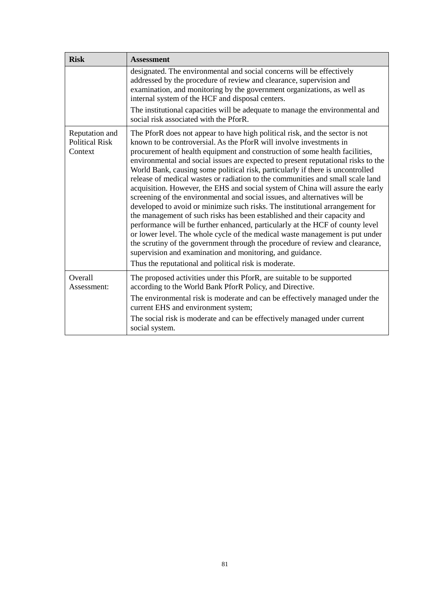| <b>Risk</b>                                        | <b>Assessment</b>                                                                                                                                                                                                                                                                                                                                                                                                                                                                                                                                                                                                                                                                                                                                                                                                                                                                                                                                                                                                                                                                                                                                                                               |
|----------------------------------------------------|-------------------------------------------------------------------------------------------------------------------------------------------------------------------------------------------------------------------------------------------------------------------------------------------------------------------------------------------------------------------------------------------------------------------------------------------------------------------------------------------------------------------------------------------------------------------------------------------------------------------------------------------------------------------------------------------------------------------------------------------------------------------------------------------------------------------------------------------------------------------------------------------------------------------------------------------------------------------------------------------------------------------------------------------------------------------------------------------------------------------------------------------------------------------------------------------------|
|                                                    | designated. The environmental and social concerns will be effectively<br>addressed by the procedure of review and clearance, supervision and<br>examination, and monitoring by the government organizations, as well as<br>internal system of the HCF and disposal centers.<br>The institutional capacities will be adequate to manage the environmental and<br>social risk associated with the PforR.                                                                                                                                                                                                                                                                                                                                                                                                                                                                                                                                                                                                                                                                                                                                                                                          |
| Reputation and<br><b>Political Risk</b><br>Context | The PforR does not appear to have high political risk, and the sector is not<br>known to be controversial. As the PforR will involve investments in<br>procurement of health equipment and construction of some health facilities,<br>environmental and social issues are expected to present reputational risks to the<br>World Bank, causing some political risk, particularly if there is uncontrolled<br>release of medical wastes or radiation to the communities and small scale land<br>acquisition. However, the EHS and social system of China will assure the early<br>screening of the environmental and social issues, and alternatives will be<br>developed to avoid or minimize such risks. The institutional arrangement for<br>the management of such risks has been established and their capacity and<br>performance will be further enhanced, particularly at the HCF of county level<br>or lower level. The whole cycle of the medical waste management is put under<br>the scrutiny of the government through the procedure of review and clearance,<br>supervision and examination and monitoring, and guidance.<br>Thus the reputational and political risk is moderate. |
| Overall<br>Assessment:                             | The proposed activities under this PforR, are suitable to be supported<br>according to the World Bank PforR Policy, and Directive.<br>The environmental risk is moderate and can be effectively managed under the<br>current EHS and environment system;                                                                                                                                                                                                                                                                                                                                                                                                                                                                                                                                                                                                                                                                                                                                                                                                                                                                                                                                        |
|                                                    | The social risk is moderate and can be effectively managed under current<br>social system.                                                                                                                                                                                                                                                                                                                                                                                                                                                                                                                                                                                                                                                                                                                                                                                                                                                                                                                                                                                                                                                                                                      |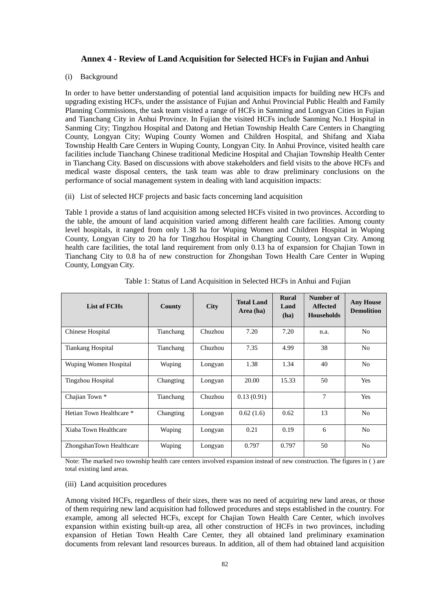#### **Annex 4 - Review of Land Acquisition for Selected HCFs in Fujian and Anhui**

#### (i) Background

In order to have better understanding of potential land acquisition impacts for building new HCFs and upgrading existing HCFs, under the assistance of Fujian and Anhui Provincial Public Health and Family Planning Commissions, the task team visited a range of HCFs in Sanming and Longyan Cities in Fujian and Tianchang City in Anhui Province. In Fujian the visited HCFs include Sanming No.1 Hospital in Sanming City; Tingzhou Hospital and Datong and Hetian Township Health Care Centers in Changting County, Longyan City; Wuping County Women and Children Hospital, and Shifang and Xiaba Township Health Care Centers in Wuping County, Longyan City. In Anhui Province, visited health care facilities include Tianchang Chinese traditional Medicine Hospital and Chajian Township Health Center in Tianchang City. Based on discussions with above stakeholders and field visits to the above HCFs and medical waste disposal centers, the task team was able to draw preliminary conclusions on the performance of social management system in dealing with land acquisition impacts:

#### (ii) List of selected HCF projects and basic facts concerning land acquisition

Table 1 provide a status of land acquisition among selected HCFs visited in two provinces. According to the table, the amount of land acquisition varied among different health care facilities. Among county level hospitals, it ranged from only 1.38 ha for Wuping Women and Children Hospital in Wuping County, Longyan City to 20 ha for Tingzhou Hospital in Changting County, Longyan City. Among health care facilities, the total land requirement from only 0.13 ha of expansion for Chajian Town in Tianchang City to 0.8 ha of new construction for Zhongshan Town Health Care Center in Wuping County, Longyan City.

| List of FCHs             | County    | <b>City</b> | <b>Total Land</b><br>Area (ha) | <b>Rural</b><br>Land<br>(ha) | Number of<br><b>Affected</b><br><b>Households</b> | <b>Any House</b><br><b>Demolition</b> |
|--------------------------|-----------|-------------|--------------------------------|------------------------------|---------------------------------------------------|---------------------------------------|
| Chinese Hospital         | Tianchang | Chuzhou     | 7.20                           | 7.20                         | n.a.                                              | N <sub>o</sub>                        |
| <b>Tiankang Hospital</b> | Tianchang | Chuzhou     | 7.35                           | 4.99                         | 38                                                | N <sub>0</sub>                        |
| Wuping Women Hospital    | Wuping    | Longyan     | 1.38                           | 1.34                         | 40                                                | N <sub>o</sub>                        |
| <b>Tingzhou Hospital</b> | Changting | Longyan     | 20.00                          | 15.33                        | 50                                                | Yes                                   |
| Chajian Town *           | Tianchang | Chuzhou     | 0.13(0.91)                     |                              | 7                                                 | Yes                                   |
| Hetian Town Healthcare * | Changting | Longyan     | 0.62(1.6)                      | 0.62                         | 13                                                | N <sub>0</sub>                        |
| Xiaba Town Healthcare    | Wuping    | Longyan     | 0.21                           | 0.19                         | 6                                                 | N <sub>0</sub>                        |
| ZhongshanTown Healthcare | Wuping    | Longyan     | 0.797                          | 0.797                        | 50                                                | N <sub>0</sub>                        |

Table 1: Status of Land Acquisition in Selected HCFs in Anhui and Fujian

Note: The marked two township health care centers involved expansion instead of new construction. The figures in ( ) are total existing land areas.

#### (iii) Land acquisition procedures

Among visited HCFs, regardless of their sizes, there was no need of acquiring new land areas, or those of them requiring new land acquisition had followed procedures and steps established in the country. For example, among all selected HCFs, except for Chajian Town Health Care Center, which involves expansion within existing built-up area, all other construction of HCFs in two provinces, including expansion of Hetian Town Health Care Center, they all obtained land preliminary examination documents from relevant land resources bureaus. In addition, all of them had obtained land acquisition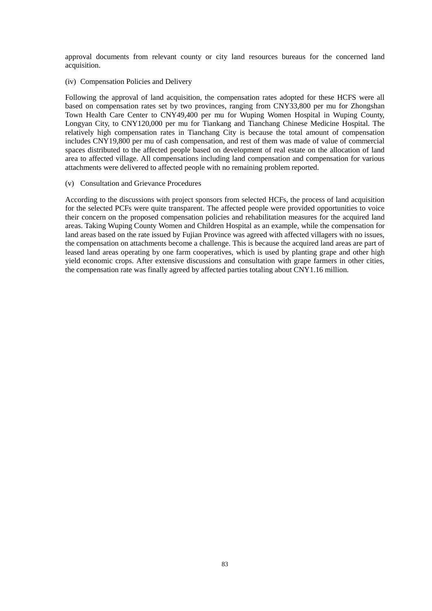approval documents from relevant county or city land resources bureaus for the concerned land acquisition.

#### (iv) Compensation Policies and Delivery

Following the approval of land acquisition, the compensation rates adopted for these HCFS were all based on compensation rates set by two provinces, ranging from CNY33,800 per mu for Zhongshan Town Health Care Center to CNY49,400 per mu for Wuping Women Hospital in Wuping County, Longyan City, to CNY120,000 per mu for Tiankang and Tianchang Chinese Medicine Hospital. The relatively high compensation rates in Tianchang City is because the total amount of compensation includes CNY19,800 per mu of cash compensation, and rest of them was made of value of commercial spaces distributed to the affected people based on development of real estate on the allocation of land area to affected village. All compensations including land compensation and compensation for various attachments were delivered to affected people with no remaining problem reported.

#### (v) Consultation and Grievance Procedures

According to the discussions with project sponsors from selected HCFs, the process of land acquisition for the selected PCFs were quite transparent. The affected people were provided opportunities to voice their concern on the proposed compensation policies and rehabilitation measures for the acquired land areas. Taking Wuping County Women and Children Hospital as an example, while the compensation for land areas based on the rate issued by Fujian Province was agreed with affected villagers with no issues, the compensation on attachments become a challenge. This is because the acquired land areas are part of leased land areas operating by one farm cooperatives, which is used by planting grape and other high yield economic crops. After extensive discussions and consultation with grape farmers in other cities, the compensation rate was finally agreed by affected parties totaling about CNY1.16 million.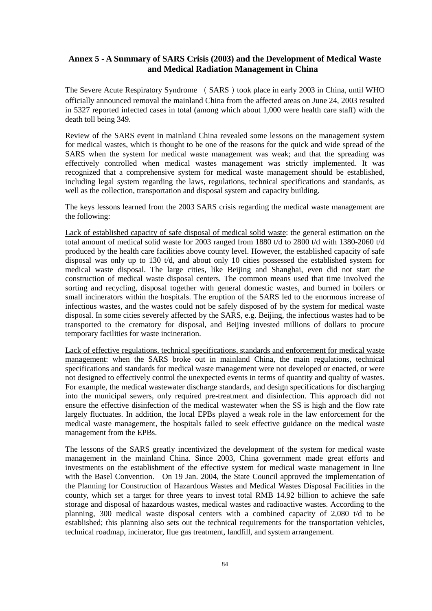## **Annex 5 - A Summary of SARS Crisis (2003) and the Development of Medical Waste and Medical Radiation Management in China**

The Severe Acute Respiratory Syndrome (SARS) took place in early 2003 in China, until WHO officially announced removal the mainland China from the affected areas on June 24, 2003 resulted in 5327 reported infected cases in total (among which about 1,000 were health care staff) with the death toll being 349.

Review of the SARS event in mainland China revealed some lessons on the management system for medical wastes, which is thought to be one of the reasons for the quick and wide spread of the SARS when the system for medical waste management was weak; and that the spreading was effectively controlled when medical wastes management was strictly implemented. It was recognized that a comprehensive system for medical waste management should be established, including legal system regarding the laws, regulations, technical specifications and standards, as well as the collection, transportation and disposal system and capacity building.

The keys lessons learned from the 2003 SARS crisis regarding the medical waste management are the following:

Lack of established capacity of safe disposal of medical solid waste: the general estimation on the total amount of medical solid waste for 2003 ranged from 1880 t/d to 2800 t/d with 1380-2060 t/d produced by the health care facilities above county level. However, the established capacity of safe disposal was only up to 130 t/d, and about only 10 cities possessed the established system for medical waste disposal. The large cities, like Beijing and Shanghai, even did not start the construction of medical waste disposal centers. The common means used that time involved the sorting and recycling, disposal together with general domestic wastes, and burned in boilers or small incinerators within the hospitals. The eruption of the SARS led to the enormous increase of infectious wastes, and the wastes could not be safely disposed of by the system for medical waste disposal. In some cities severely affected by the SARS, e.g. Beijing, the infectious wastes had to be transported to the crematory for disposal, and Beijing invested millions of dollars to procure temporary facilities for waste incineration.

Lack of effective regulations, technical specifications, standards and enforcement for medical waste management: when the SARS broke out in mainland China, the main regulations, technical specifications and standards for medical waste management were not developed or enacted, or were not designed to effectively control the unexpected events in terms of quantity and quality of wastes. For example, the medical wastewater discharge standards, and design specifications for discharging into the municipal sewers, only required pre-treatment and disinfection. This approach did not ensure the effective disinfection of the medical wastewater when the SS is high and the flow rate largely fluctuates. In addition, the local EPBs played a weak role in the law enforcement for the medical waste management, the hospitals failed to seek effective guidance on the medical waste management from the EPBs.

The lessons of the SARS greatly incentivized the development of the system for medical waste management in the mainland China. Since 2003, China government made great efforts and investments on the establishment of the effective system for medical waste management in line with the Basel Convention. On 19 Jan. 2004, the State Council approved the implementation of the Planning for Construction of Hazardous Wastes and Medical Wastes Disposal Facilities in the county, which set a target for three years to invest total RMB 14.92 billion to achieve the safe storage and disposal of hazardous wastes, medical wastes and radioactive wastes. According to the planning, 300 medical waste disposal centers with a combined capacity of 2,080 t/d to be established; this planning also sets out the technical requirements for the transportation vehicles, technical roadmap, incinerator, flue gas treatment, landfill, and system arrangement.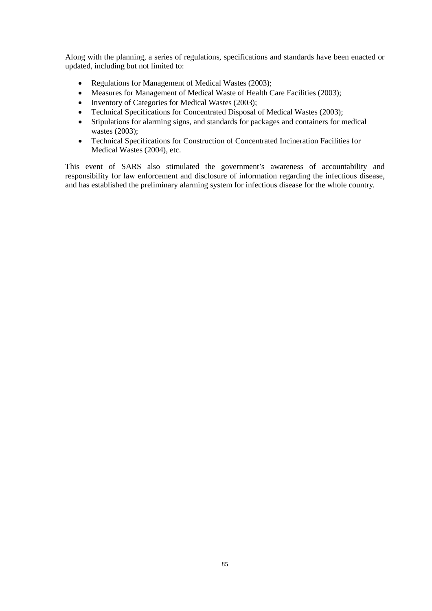Along with the planning, a series of regulations, specifications and standards have been enacted or updated, including but not limited to:

- Regulations for Management of Medical Wastes (2003);
- Measures for Management of Medical Waste of Health Care Facilities (2003);
- Inventory of Categories for Medical Wastes (2003);
- Technical Specifications for Concentrated Disposal of Medical Wastes (2003);
- Stipulations for alarming signs, and standards for packages and containers for medical wastes (2003);
- Technical Specifications for Construction of Concentrated Incineration Facilities for Medical Wastes (2004), etc.

This event of SARS also stimulated the government's awareness of accountability and responsibility for law enforcement and disclosure of information regarding the infectious disease, and has established the preliminary alarming system for infectious disease for the whole country.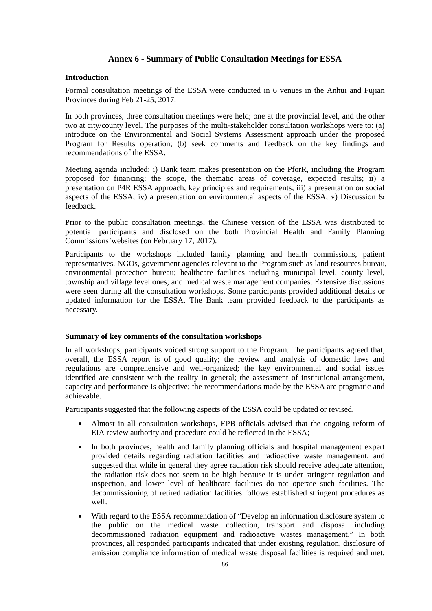### **Annex 6 - Summary of Public Consultation Meetings for ESSA**

#### **Introduction**

Formal consultation meetings of the ESSA were conducted in 6 venues in the Anhui and Fujian Provinces during Feb 21-25, 2017.

In both provinces, three consultation meetings were held; one at the provincial level, and the other two at city/county level. The purposes of the multi-stakeholder consultation workshops were to: (a) introduce on the Environmental and Social Systems Assessment approach under the proposed Program for Results operation; (b) seek comments and feedback on the key findings and recommendations of the ESSA.

Meeting agenda included: i) Bank team makes presentation on the PforR, including the Program proposed for financing; the scope, the thematic areas of coverage, expected results; ii) a presentation on P4R ESSA approach, key principles and requirements; iii) a presentation on social aspects of the ESSA; iv) a presentation on environmental aspects of the ESSA; v) Discussion  $\&$ feedback.

Prior to the public consultation meetings, the Chinese version of the ESSA was distributed to potential participants and disclosed on the both Provincial Health and Family Planning Commissions'websites (on February 17, 2017).

Participants to the workshops included family planning and health commissions, patient representatives, NGOs, government agencies relevant to the Program such as land resources bureau, environmental protection bureau; healthcare facilities including municipal level, county level, township and village level ones; and medical waste management companies. Extensive discussions were seen during all the consultation workshops. Some participants provided additional details or updated information for the ESSA. The Bank team provided feedback to the participants as necessary.

#### **Summary of key comments of the consultation workshops**

In all workshops, participants voiced strong support to the Program. The participants agreed that, overall, the ESSA report is of good quality; the review and analysis of domestic laws and regulations are comprehensive and well-organized; the key environmental and social issues identified are consistent with the reality in general; the assessment of institutional arrangement, capacity and performance is objective; the recommendations made by the ESSA are pragmatic and achievable.

Participants suggested that the following aspects of the ESSA could be updated or revised.

- Almost in all consultation workshops, EPB officials advised that the ongoing reform of EIA review authority and procedure could be reflected in the ESSA;
- In both provinces, health and family planning officials and hospital management expert provided details regarding radiation facilities and radioactive waste management, and suggested that while in general they agree radiation risk should receive adequate attention, the radiation risk does not seem to be high because it is under stringent regulation and inspection, and lower level of healthcare facilities do not operate such facilities. The decommissioning of retired radiation facilities follows established stringent procedures as well.
- With regard to the ESSA recommendation of "Develop an information disclosure system to the public on the medical waste collection, transport and disposal including decommissioned radiation equipment and radioactive wastes management." In both provinces, all responded participants indicated that under existing regulation, disclosure of emission compliance information of medical waste disposal facilities is required and met.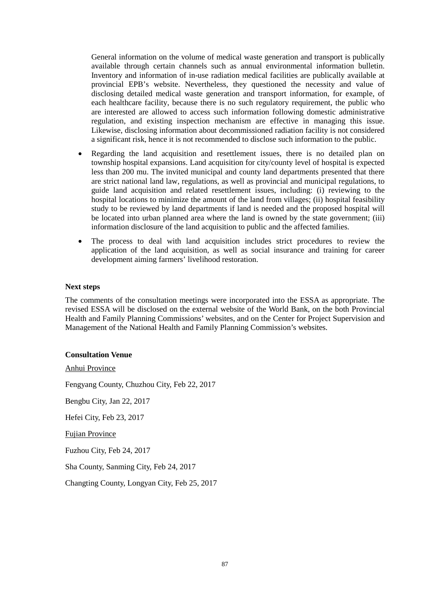General information on the volume of medical waste generation and transport is publically available through certain channels such as annual environmental information bulletin. Inventory and information of in-use radiation medical facilities are publically available at provincial EPB's website. Nevertheless, they questioned the necessity and value of disclosing detailed medical waste generation and transport information, for example, of each healthcare facility, because there is no such regulatory requirement, the public who are interested are allowed to access such information following domestic administrative regulation, and existing inspection mechanism are effective in managing this issue. Likewise, disclosing information about decommissioned radiation facility is not considered a significant risk, hence it is not recommended to disclose such information to the public.

- Regarding the land acquisition and resettlement issues, there is no detailed plan on township hospital expansions. Land acquisition for city/county level of hospital is expected less than 200 mu. The invited municipal and county land departments presented that there are strict national land law, regulations, as well as provincial and municipal regulations, to guide land acquisition and related resettlement issues, including: (i) reviewing to the hospital locations to minimize the amount of the land from villages; (ii) hospital feasibility study to be reviewed by land departments if land is needed and the proposed hospital will be located into urban planned area where the land is owned by the state government; (iii) information disclosure of the land acquisition to public and the affected families.
- The process to deal with land acquisition includes strict procedures to review the application of the land acquisition, as well as social insurance and training for career development aiming farmers' livelihood restoration.

#### **Next steps**

The comments of the consultation meetings were incorporated into the ESSA as appropriate. The revised ESSA will be disclosed on the external website of the World Bank, on the both Provincial Health and Family Planning Commissions' websites, and on the Center for Project Supervision and Management of the National Health and Family Planning Commission's websites.

#### **Consultation Venue**

Anhui Province

Fengyang County, Chuzhou City, Feb 22, 2017

Bengbu City, Jan 22, 2017

Hefei City, Feb 23, 2017

Fujian Province

Fuzhou City, Feb 24, 2017

Sha County, Sanming City, Feb 24, 2017

Changting County, Longyan City, Feb 25, 2017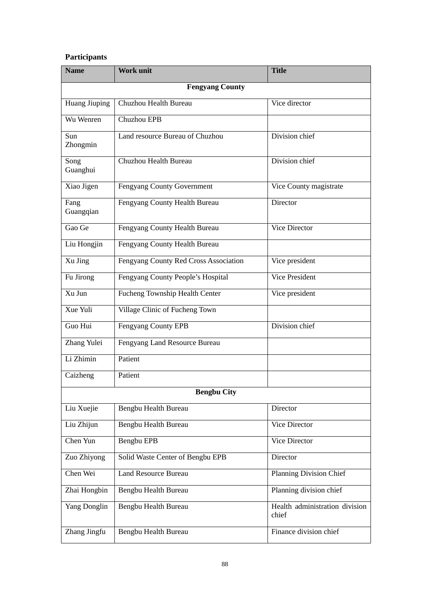## **Participants**

| <b>Name</b>            | <b>Work unit</b>                      | <b>Title</b>                            |  |  |
|------------------------|---------------------------------------|-----------------------------------------|--|--|
| <b>Fengyang County</b> |                                       |                                         |  |  |
| <b>Huang Jiuping</b>   | Chuzhou Health Bureau                 | Vice director                           |  |  |
| Wu Wenren              | Chuzhou EPB                           |                                         |  |  |
| Sun<br>Zhongmin        | Land resource Bureau of Chuzhou       | Division chief                          |  |  |
| Song<br>Guanghui       | Chuzhou Health Bureau                 | Division chief                          |  |  |
| Xiao Jigen             | Fengyang County Government            | Vice County magistrate                  |  |  |
| Fang<br>Guangqian      | Fengyang County Health Bureau         | Director                                |  |  |
| Gao Ge                 | Fengyang County Health Bureau         | <b>Vice Director</b>                    |  |  |
| Liu Hongjin            | Fengyang County Health Bureau         |                                         |  |  |
| Xu Jing                | Fengyang County Red Cross Association | Vice president                          |  |  |
| Fu Jirong              | Fengyang County People's Hospital     | <b>Vice President</b>                   |  |  |
| Xu Jun                 | Fucheng Township Health Center        | Vice president                          |  |  |
| Xue Yuli               | Village Clinic of Fucheng Town        |                                         |  |  |
| Guo Hui                | Fengyang County EPB                   | Division chief                          |  |  |
| Zhang Yulei            | Fengyang Land Resource Bureau         |                                         |  |  |
| Li Zhimin              | Patient                               |                                         |  |  |
| Caizheng               | Patient                               |                                         |  |  |
| <b>Bengbu City</b>     |                                       |                                         |  |  |
| Liu Xuejie             | Bengbu Health Bureau                  | Director                                |  |  |
| Liu Zhijun             | Bengbu Health Bureau                  | Vice Director                           |  |  |
| Chen Yun               | Bengbu EPB                            | Vice Director                           |  |  |
| Zuo Zhiyong            | Solid Waste Center of Bengbu EPB      | Director                                |  |  |
| Chen Wei               | <b>Land Resource Bureau</b>           | <b>Planning Division Chief</b>          |  |  |
| Zhai Hongbin           | Bengbu Health Bureau                  | Planning division chief                 |  |  |
| <b>Yang Donglin</b>    | Bengbu Health Bureau                  | Health administration division<br>chief |  |  |
| Zhang Jingfu           | Bengbu Health Bureau                  | Finance division chief                  |  |  |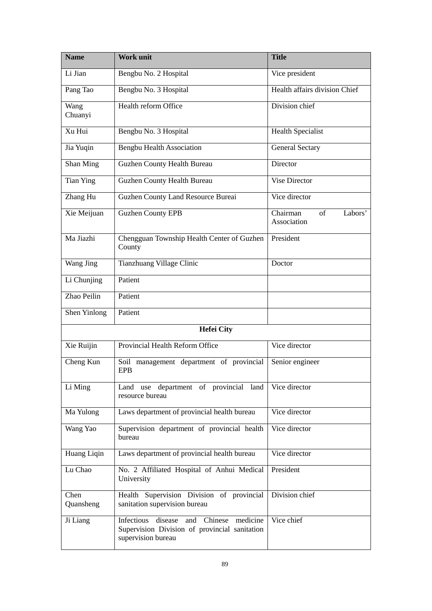| <b>Name</b>       | <b>Work unit</b>                                                                                               | <b>Title</b>                             |
|-------------------|----------------------------------------------------------------------------------------------------------------|------------------------------------------|
| Li Jian           | Bengbu No. 2 Hospital                                                                                          | Vice president                           |
| Pang Tao          | Bengbu No. 3 Hospital                                                                                          | Health affairs division Chief            |
| Wang<br>Chuanyi   | Health reform Office                                                                                           | Division chief                           |
| Xu Hui            | Bengbu No. 3 Hospital                                                                                          | <b>Health Specialist</b>                 |
| Jia Yuqin         | <b>Bengbu Health Association</b>                                                                               | <b>General Sectary</b>                   |
| Shan Ming         | Guzhen County Health Bureau                                                                                    | Director                                 |
| <b>Tian Ying</b>  | <b>Guzhen County Health Bureau</b>                                                                             | <b>Vise Director</b>                     |
| Zhang Hu          | Guzhen County Land Resource Bureai                                                                             | Vice director                            |
| Xie Meijuan       | <b>Guzhen County EPB</b>                                                                                       | of<br>Labors'<br>Chairman<br>Association |
| Ma Jiazhi         | Chengguan Township Health Center of Guzhen<br>County                                                           | President                                |
| Wang Jing         | Tianzhuang Village Clinic                                                                                      | Doctor                                   |
| Li Chunjing       | Patient                                                                                                        |                                          |
| Zhao Peilin       | Patient                                                                                                        |                                          |
| Shen Yinlong      | Patient                                                                                                        |                                          |
|                   | <b>Hefei City</b>                                                                                              |                                          |
| Xie Ruijin        | Provincial Health Reform Office                                                                                | Vice director                            |
| Cheng Kun         | Soil management department of provincial<br><b>EPB</b>                                                         | Senior engineer                          |
| Li Ming           | Land use department of provincial land<br>resource bureau                                                      | Vice director                            |
| Ma Yulong         | Laws department of provincial health bureau                                                                    | Vice director                            |
| Wang Yao          | Supervision department of provincial health<br>bureau                                                          | Vice director                            |
| Huang Liqin       | Laws department of provincial health bureau                                                                    | Vice director                            |
| Lu Chao           | No. 2 Affiliated Hospital of Anhui Medical<br>University                                                       | President                                |
| Chen<br>Quansheng | Health Supervision Division of provincial<br>sanitation supervision bureau                                     | Division chief                           |
| Ji Liang          | Infectious disease and Chinese medicine<br>Supervision Division of provincial sanitation<br>supervision bureau | Vice chief                               |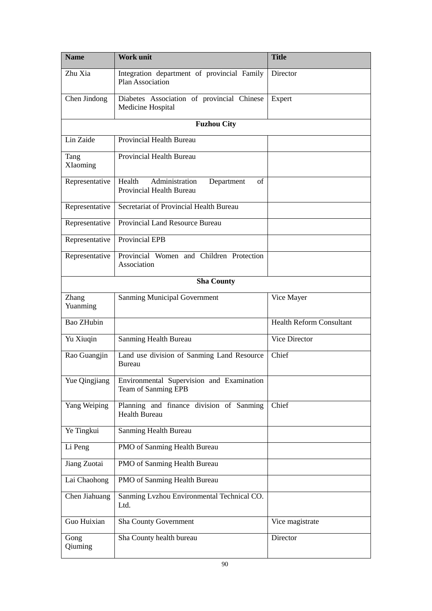| <b>Name</b>              | <b>Work unit</b>                                                         | <b>Title</b>                    |  |  |
|--------------------------|--------------------------------------------------------------------------|---------------------------------|--|--|
| Zhu Xia                  | Integration department of provincial Family<br>Plan Association          | Director                        |  |  |
| Chen Jindong             | Diabetes Association of provincial Chinese<br>Medicine Hospital          | Expert                          |  |  |
|                          | <b>Fuzhou City</b>                                                       |                                 |  |  |
| Lin Zaide                | <b>Provincial Health Bureau</b>                                          |                                 |  |  |
| Tang<br>XIaoming         | Provincial Health Bureau                                                 |                                 |  |  |
| Representative           | Administration<br>Health<br>of<br>Department<br>Provincial Health Bureau |                                 |  |  |
| Representative           | Secretariat of Provincial Health Bureau                                  |                                 |  |  |
| Representative           | <b>Provincial Land Resource Bureau</b>                                   |                                 |  |  |
| Representative           | <b>Provincial EPB</b>                                                    |                                 |  |  |
| Representative           | Provincial Women and Children Protection<br>Association                  |                                 |  |  |
|                          | <b>Sha County</b>                                                        |                                 |  |  |
| <b>Zhang</b><br>Yuanming | <b>Sanming Municipal Government</b>                                      | Vice Mayer                      |  |  |
| Bao ZHubin               |                                                                          | <b>Health Reform Consultant</b> |  |  |
| Yu Xiuqin                | Sanming Health Bureau                                                    | Vice Director                   |  |  |
| Rao Guangjin             | Land use division of Sanming Land Resource<br><b>Bureau</b>              | Chief                           |  |  |
| Yue Qingjiang            | Environmental Supervision and Examination<br>Team of Sanming EPB         |                                 |  |  |
| Yang Weiping             | Planning and finance division of Sanming<br><b>Health Bureau</b>         | Chief                           |  |  |
| Ye Tingkui               | Sanming Health Bureau                                                    |                                 |  |  |
| Li Peng                  | PMO of Sanming Health Bureau                                             |                                 |  |  |
| Jiang Zuotai             | PMO of Sanming Health Bureau                                             |                                 |  |  |
| Lai Chaohong             | PMO of Sanming Health Bureau                                             |                                 |  |  |
| Chen Jiahuang            | Sanming Lvzhou Environmental Technical CO.<br>Ltd.                       |                                 |  |  |
| Guo Huixian              | <b>Sha County Government</b>                                             | Vice magistrate                 |  |  |
| Gong<br>Qiuming          | Sha County health bureau                                                 | Director                        |  |  |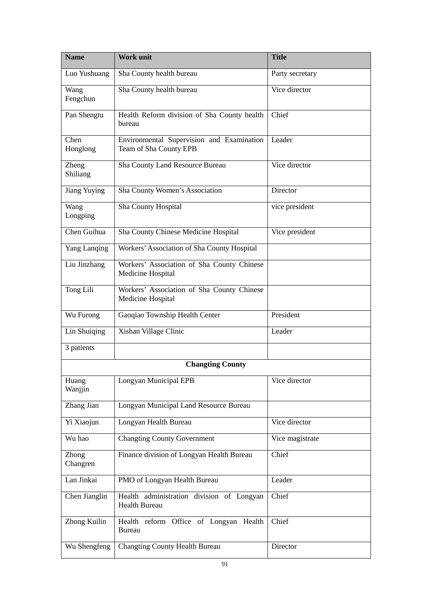| <b>Name</b>             | <b>Work unit</b>                                                    | <b>Title</b>    |  |
|-------------------------|---------------------------------------------------------------------|-----------------|--|
| Luo Yushuang            | Sha County health bureau                                            | Party secretary |  |
| Wang<br>Fengchun        | Sha County health bureau                                            | Vice director   |  |
| Pan Shengtu             | Health Reform division of Sha County health<br>bureau               | Chief           |  |
| Chen<br>Honglong        | Environmental Supervision and Examination<br>Team of Sha County EPB | Leader          |  |
| Zheng<br>Shiliang       | <b>Sha County Land Resource Bureau</b>                              | Vice director   |  |
| <b>Jiang Yuying</b>     | Sha County Women's Association                                      | Director        |  |
| Wang<br>Longping        | <b>Sha County Hospital</b>                                          | vice president  |  |
| Chen Guihua             | Sha County Chinese Medicine Hospital                                | Vice president  |  |
| Yang Lanqing            | Workers' Association of Sha County Hospital                         |                 |  |
| Liu Jinzhang            | Workers' Association of Sha County Chinese<br>Medicine Hospital     |                 |  |
| Tong Lili               | Workers' Association of Sha County Chinese<br>Medicine Hospital     |                 |  |
| Wu Furong               | Gaoqiao Township Health Center                                      | President       |  |
| Lin Shuiqing            | Xishan Village Clinic                                               | Leader          |  |
| 3 patients              |                                                                     |                 |  |
| <b>Changting County</b> |                                                                     |                 |  |
| Huang<br>Wanjjin        | Longyan Municipal EPB                                               | Vice director   |  |
| Zhang Jian              | Longyan Municipal Land Resource Bureau                              |                 |  |
| Yi Xiaojun              | Longyan Health Bureau                                               | Vice director   |  |
| Wu hao                  | <b>Changting County Government</b>                                  | Vice magistrate |  |
| Zhong<br>Changren       | Finance division of Longyan Health Bureau                           | Chief           |  |
| Lan Jinkai              | PMO of Longyan Health Bureau                                        | Leader          |  |
| Chen Jianglin           | Health administration division of Longyan<br><b>Health Bureau</b>   | Chief           |  |
| Zhong Kuilin            | Health reform Office of Longyan Health<br><b>Bureau</b>             | Chief           |  |
| Wu Shengfeng            | <b>Changting County Health Bureau</b>                               | Director        |  |